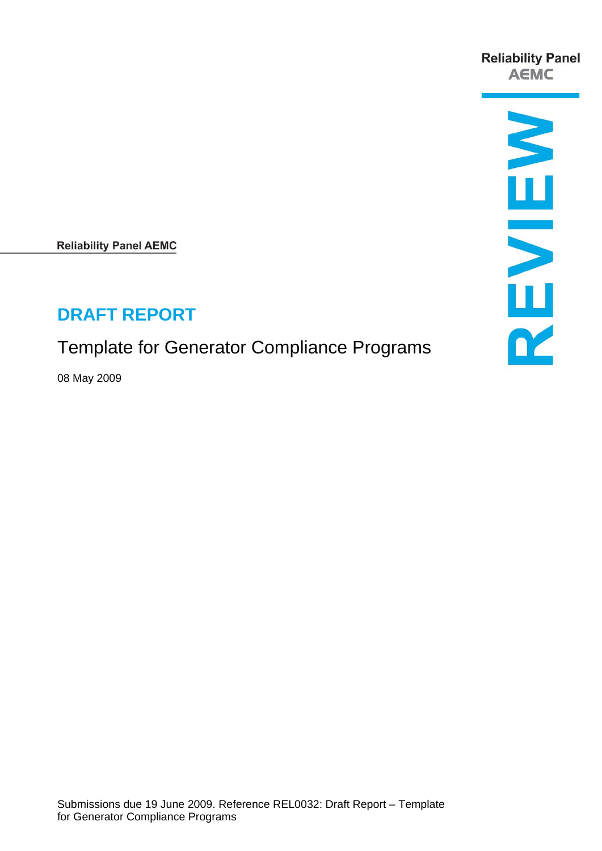**Reliability Panel AEMC** 



**Reliability Panel AEMC** 

# **DRAFT REPORT**

# Template for Generator Compliance Programs

08 May 2009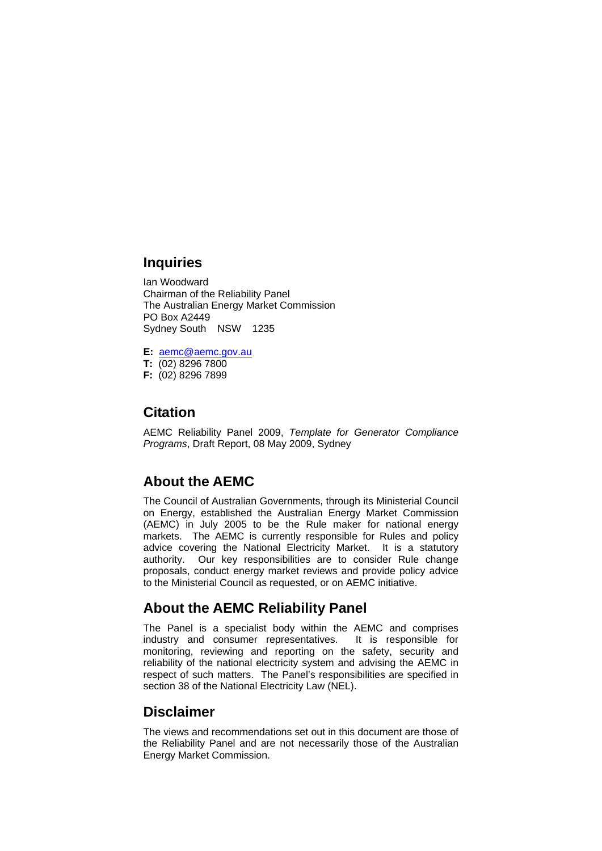## **Inquiries**

Ian Woodward Chairman of the Reliability Panel The Australian Energy Market Commission PO Box A2449 Sydney South NSW 1235

**E:** aemc@aemc.gov.au **T:** (02) 8296 7800

**F:** (02) 8296 7899

## **Citation**

AEMC Reliability Panel 2009, *Template for Generator Compliance Programs*, Draft Report, 08 May 2009, Sydney

## **About the AEMC**

The Council of Australian Governments, through its Ministerial Council on Energy, established the Australian Energy Market Commission (AEMC) in July 2005 to be the Rule maker for national energy markets. The AEMC is currently responsible for Rules and policy advice covering the National Electricity Market. It is a statutory authority. Our key responsibilities are to consider Rule change proposals, conduct energy market reviews and provide policy advice to the Ministerial Council as requested, or on AEMC initiative.

## **About the AEMC Reliability Panel**

The Panel is a specialist body within the AEMC and comprises industry and consumer representatives. It is responsible for monitoring, reviewing and reporting on the safety, security and reliability of the national electricity system and advising the AEMC in respect of such matters. The Panel's responsibilities are specified in section 38 of the National Electricity Law (NEL).

#### **Disclaimer**

The views and recommendations set out in this document are those of the Reliability Panel and are not necessarily those of the Australian Energy Market Commission.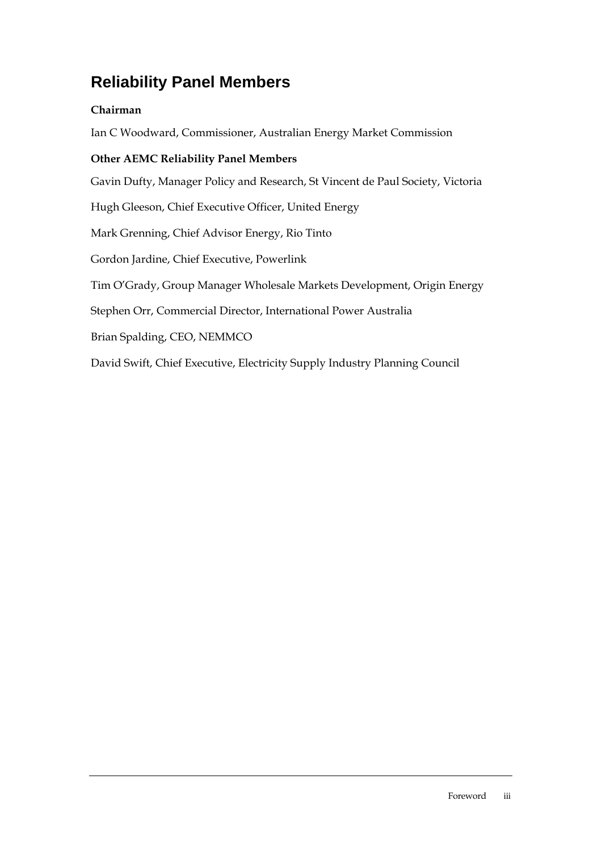# **Reliability Panel Members**

## **Chairman**

Ian C Woodward, Commissioner, Australian Energy Market Commission **Other AEMC Reliability Panel Members**  Gavin Dufty, Manager Policy and Research, St Vincent de Paul Society, Victoria Hugh Gleeson, Chief Executive Officer, United Energy Mark Grenning, Chief Advisor Energy, Rio Tinto Gordon Jardine, Chief Executive, Powerlink Tim O'Grady, Group Manager Wholesale Markets Development, Origin Energy Stephen Orr, Commercial Director, International Power Australia Brian Spalding, CEO, NEMMCO David Swift, Chief Executive, Electricity Supply Industry Planning Council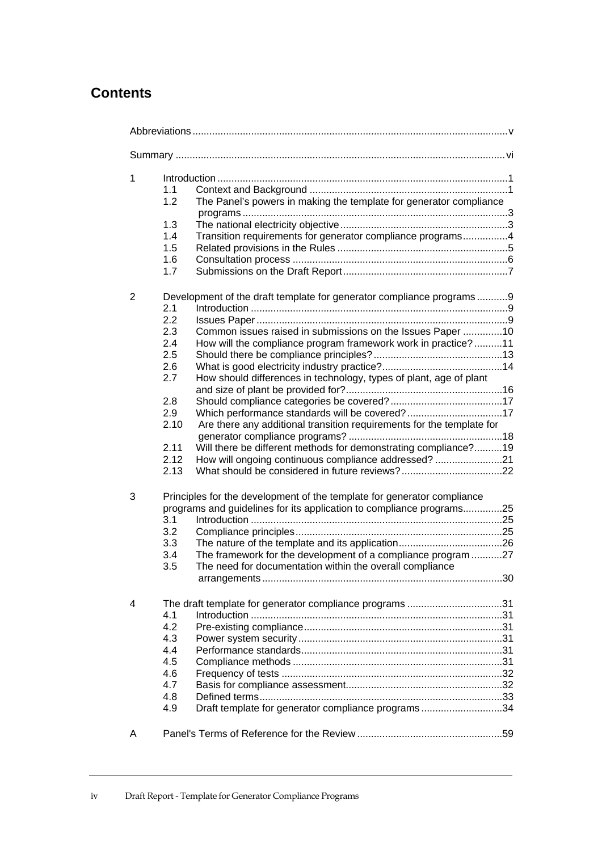## **Contents**

| 1 | 1.1<br>The Panel's powers in making the template for generator compliance<br>1.2<br>1.3<br>Transition requirements for generator compliance programs4<br>1.4<br>1.5<br>1.6<br>1.7                                                                                                                                                                                                                                                                                                                                                                                            |  |  |  |  |
|---|------------------------------------------------------------------------------------------------------------------------------------------------------------------------------------------------------------------------------------------------------------------------------------------------------------------------------------------------------------------------------------------------------------------------------------------------------------------------------------------------------------------------------------------------------------------------------|--|--|--|--|
| 2 | Development of the draft template for generator compliance programs9<br>2.1<br>2.2<br>Common issues raised in submissions on the Issues Paper 10<br>2.3<br>How will the compliance program framework work in practice?11<br>2.4<br>2.5<br>2.6<br>2.7<br>How should differences in technology, types of plant, age of plant<br>2.8<br>2.9<br>Are there any additional transition requirements for the template for<br>2.10<br>Will there be different methods for demonstrating compliance?19<br>2.11<br>How will ongoing continuous compliance addressed? 21<br>2.12<br>2.13 |  |  |  |  |
| 3 | Principles for the development of the template for generator compliance<br>programs and guidelines for its application to compliance programs25<br>3.1<br>3.2<br>3.3<br>The framework for the development of a compliance program 27<br>3.4<br>The need for documentation within the overall compliance<br>3.5<br>30                                                                                                                                                                                                                                                         |  |  |  |  |
| 4 | The draft template for generator compliance programs 31<br>4.1<br>4.2<br>4.3<br>4.4<br>4.5<br>4.6<br>4.7<br>4.8<br>Draft template for generator compliance programs34<br>4.9                                                                                                                                                                                                                                                                                                                                                                                                 |  |  |  |  |
| A |                                                                                                                                                                                                                                                                                                                                                                                                                                                                                                                                                                              |  |  |  |  |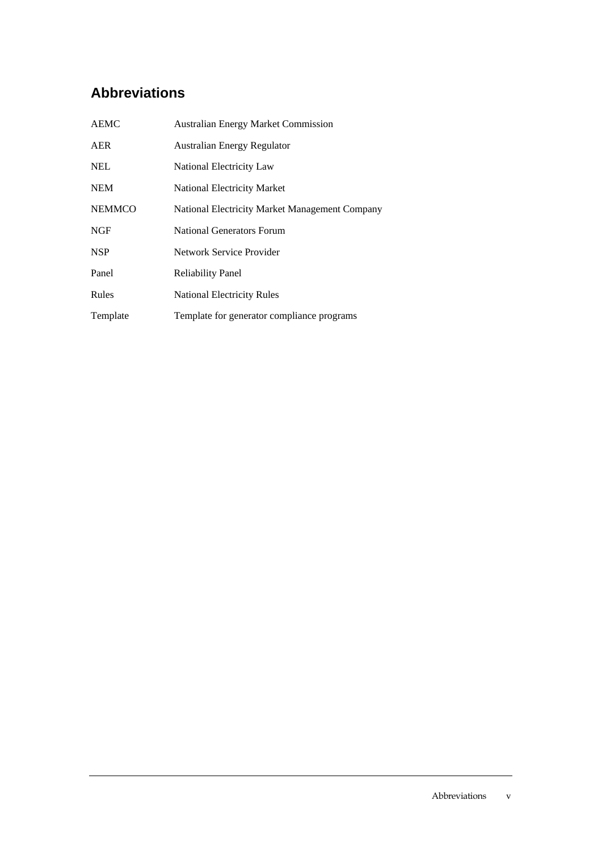# **Abbreviations**

| <b>AEMC</b>   | <b>Australian Energy Market Commission</b>     |
|---------------|------------------------------------------------|
| <b>AER</b>    | Australian Energy Regulator                    |
| <b>NEL</b>    | National Electricity Law                       |
| <b>NEM</b>    | <b>National Electricity Market</b>             |
| <b>NEMMCO</b> | National Electricity Market Management Company |
| <b>NGF</b>    | National Generators Forum                      |
| <b>NSP</b>    | Network Service Provider                       |
| Panel         | <b>Reliability Panel</b>                       |
| Rules         | <b>National Electricity Rules</b>              |
| Template      | Template for generator compliance programs     |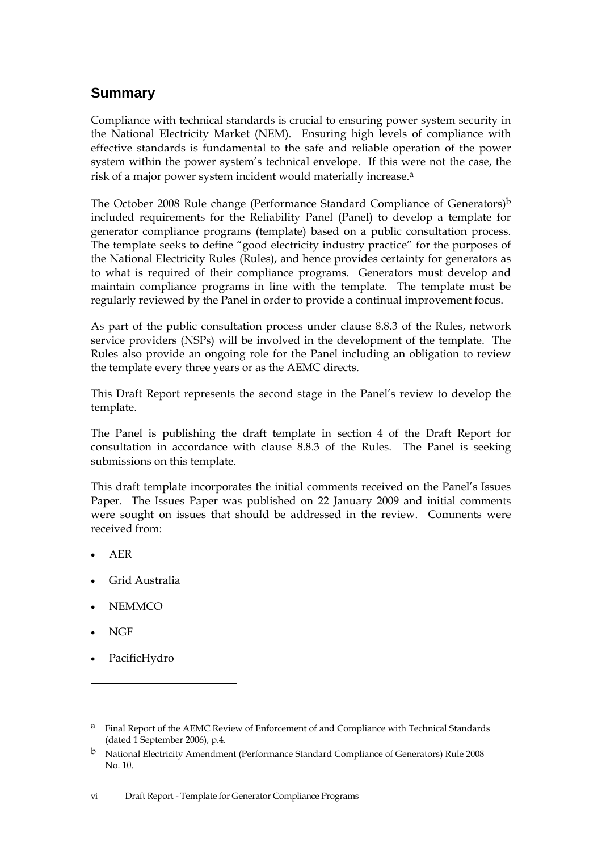# **Summary**

Compliance with technical standards is crucial to ensuring power system security in the National Electricity Market (NEM). Ensuring high levels of compliance with effective standards is fundamental to the safe and reliable operation of the power system within the power system's technical envelope. If this were not the case, the risk of a major power system incident would materially increase.<sup>a</sup>

The October 2008 Rule change (Performance Standard Compliance of Generators)<sup>b</sup> included requirements for the Reliability Panel (Panel) to develop a template for generator compliance programs (template) based on a public consultation process. The template seeks to define "good electricity industry practice" for the purposes of the National Electricity Rules (Rules), and hence provides certainty for generators as to what is required of their compliance programs. Generators must develop and maintain compliance programs in line with the template. The template must be regularly reviewed by the Panel in order to provide a continual improvement focus.

As part of the public consultation process under clause 8.8.3 of the Rules, network service providers (NSPs) will be involved in the development of the template. The Rules also provide an ongoing role for the Panel including an obligation to review the template every three years or as the AEMC directs.

This Draft Report represents the second stage in the Panel's review to develop the template.

The Panel is publishing the draft template in section 4 of the Draft Report for consultation in accordance with clause 8.8.3 of the Rules. The Panel is seeking submissions on this template.

This draft template incorporates the initial comments received on the Panel's Issues Paper. The Issues Paper was published on 22 January 2009 and initial comments were sought on issues that should be addressed in the review. Comments were received from:

- AER
- Grid Australia
- NEMMCO
- NGF

 $\overline{a}$ 

PacificHydro

a Final Report of the AEMC Review of Enforcement of and Compliance with Technical Standards (dated 1 September 2006), p.4.

b National Electricity Amendment (Performance Standard Compliance of Generators) Rule 2008 No. 10.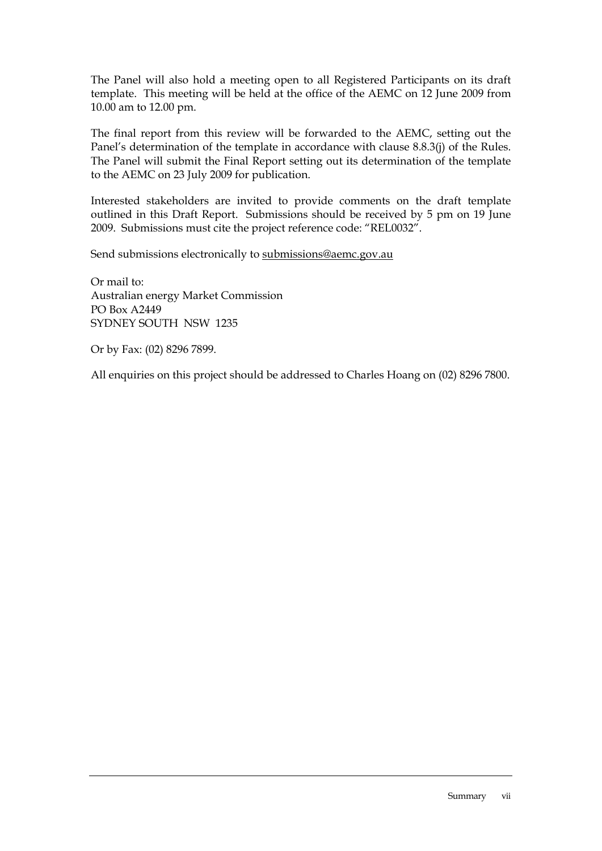The Panel will also hold a meeting open to all Registered Participants on its draft template. This meeting will be held at the office of the AEMC on 12 June 2009 from 10.00 am to 12.00 pm.

The final report from this review will be forwarded to the AEMC, setting out the Panel's determination of the template in accordance with clause 8.8.3(j) of the Rules. The Panel will submit the Final Report setting out its determination of the template to the AEMC on 23 July 2009 for publication.

Interested stakeholders are invited to provide comments on the draft template outlined in this Draft Report. Submissions should be received by 5 pm on 19 June 2009. Submissions must cite the project reference code: "REL0032".

Send submissions electronically to submissions@aemc.gov.au

Or mail to: Australian energy Market Commission PO Box A2449 SYDNEY SOUTH NSW 1235

Or by Fax: (02) 8296 7899.

All enquiries on this project should be addressed to Charles Hoang on (02) 8296 7800.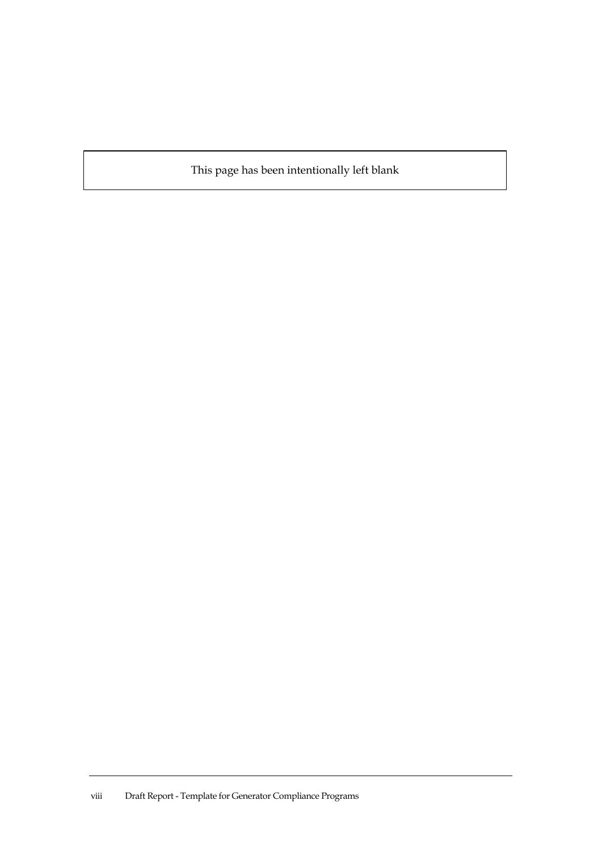This page has been intentionally left blank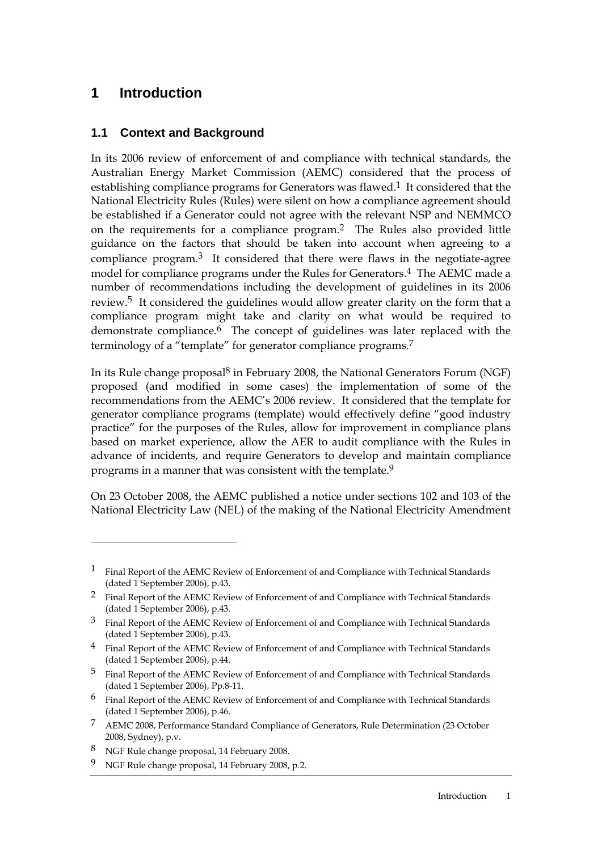## **1 Introduction**

#### **1.1 Context and Background**

In its 2006 review of enforcement of and compliance with technical standards, the Australian Energy Market Commission (AEMC) considered that the process of establishing compliance programs for Generators was flawed.<sup>1</sup> It considered that the National Electricity Rules (Rules) were silent on how a compliance agreement should be established if a Generator could not agree with the relevant NSP and NEMMCO on the requirements for a compliance program.2 The Rules also provided little guidance on the factors that should be taken into account when agreeing to a compliance program.3 It considered that there were flaws in the negotiate-agree model for compliance programs under the Rules for Generators.<sup>4</sup> The AEMC made a number of recommendations including the development of guidelines in its 2006 review.5 It considered the guidelines would allow greater clarity on the form that a compliance program might take and clarity on what would be required to demonstrate compliance.6 The concept of guidelines was later replaced with the terminology of a "template" for generator compliance programs.<sup>7</sup>

In its Rule change proposal<sup>8</sup> in February 2008, the National Generators Forum (NGF) proposed (and modified in some cases) the implementation of some of the recommendations from the AEMC's 2006 review. It considered that the template for generator compliance programs (template) would effectively define "good industry practice" for the purposes of the Rules, allow for improvement in compliance plans based on market experience, allow the AER to audit compliance with the Rules in advance of incidents, and require Generators to develop and maintain compliance programs in a manner that was consistent with the template.9

On 23 October 2008, the AEMC published a notice under sections 102 and 103 of the National Electricity Law (NEL) of the making of the National Electricity Amendment

<sup>1</sup> Final Report of the AEMC Review of Enforcement of and Compliance with Technical Standards (dated 1 September 2006), p.43.

<sup>2</sup> Final Report of the AEMC Review of Enforcement of and Compliance with Technical Standards (dated 1 September 2006), p.43.

<sup>3</sup> Final Report of the AEMC Review of Enforcement of and Compliance with Technical Standards (dated 1 September 2006), p.43.

<sup>4</sup> Final Report of the AEMC Review of Enforcement of and Compliance with Technical Standards (dated 1 September 2006), p.44.

<sup>5</sup> Final Report of the AEMC Review of Enforcement of and Compliance with Technical Standards (dated 1 September 2006), Pp.8-11.

<sup>6</sup> Final Report of the AEMC Review of Enforcement of and Compliance with Technical Standards (dated 1 September 2006), p.46.

<sup>7</sup> AEMC 2008, Performance Standard Compliance of Generators, Rule Determination (23 October 2008, Sydney), p.v.

<sup>8</sup> NGF Rule change proposal, 14 February 2008.

<sup>9</sup> NGF Rule change proposal, 14 February 2008, p.2.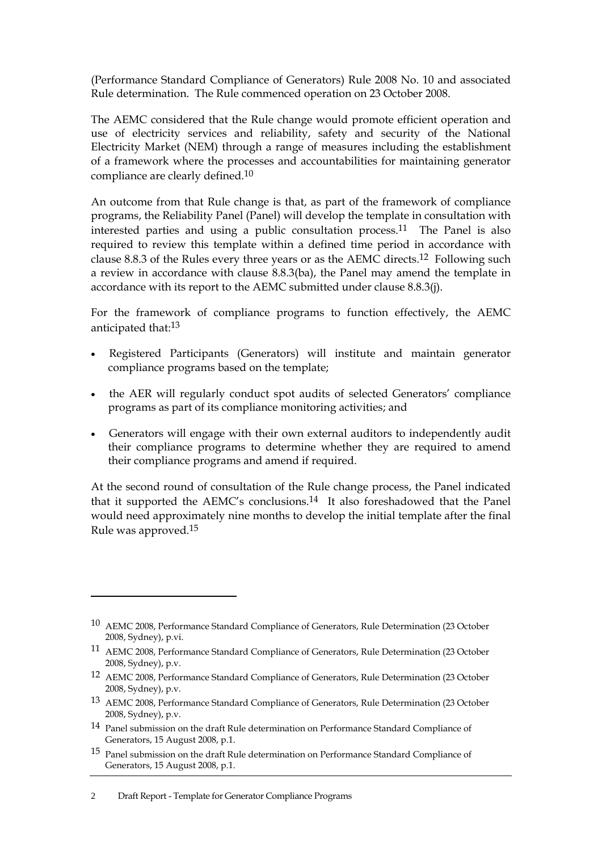(Performance Standard Compliance of Generators) Rule 2008 No. 10 and associated Rule determination. The Rule commenced operation on 23 October 2008.

The AEMC considered that the Rule change would promote efficient operation and use of electricity services and reliability, safety and security of the National Electricity Market (NEM) through a range of measures including the establishment of a framework where the processes and accountabilities for maintaining generator compliance are clearly defined.10

An outcome from that Rule change is that, as part of the framework of compliance programs, the Reliability Panel (Panel) will develop the template in consultation with interested parties and using a public consultation process.<sup>11</sup> The Panel is also required to review this template within a defined time period in accordance with clause 8.8.3 of the Rules every three years or as the AEMC directs.12 Following such a review in accordance with clause 8.8.3(ba), the Panel may amend the template in accordance with its report to the AEMC submitted under clause 8.8.3(j).

For the framework of compliance programs to function effectively, the AEMC anticipated that:13

- Registered Participants (Generators) will institute and maintain generator compliance programs based on the template;
- the AER will regularly conduct spot audits of selected Generators' compliance programs as part of its compliance monitoring activities; and
- Generators will engage with their own external auditors to independently audit their compliance programs to determine whether they are required to amend their compliance programs and amend if required.

At the second round of consultation of the Rule change process, the Panel indicated that it supported the AEMC's conclusions.<sup>14</sup> It also foreshadowed that the Panel would need approximately nine months to develop the initial template after the final Rule was approved.15

<sup>10</sup> AEMC 2008, Performance Standard Compliance of Generators, Rule Determination (23 October 2008, Sydney), p.vi.

<sup>11</sup> AEMC 2008, Performance Standard Compliance of Generators, Rule Determination (23 October 2008, Sydney), p.v.

<sup>12</sup> AEMC 2008, Performance Standard Compliance of Generators, Rule Determination (23 October 2008, Sydney), p.v.

<sup>13</sup> AEMC 2008, Performance Standard Compliance of Generators, Rule Determination (23 October 2008, Sydney), p.v.

<sup>14</sup> Panel submission on the draft Rule determination on Performance Standard Compliance of Generators, 15 August 2008, p.1.

<sup>15</sup> Panel submission on the draft Rule determination on Performance Standard Compliance of Generators, 15 August 2008, p.1.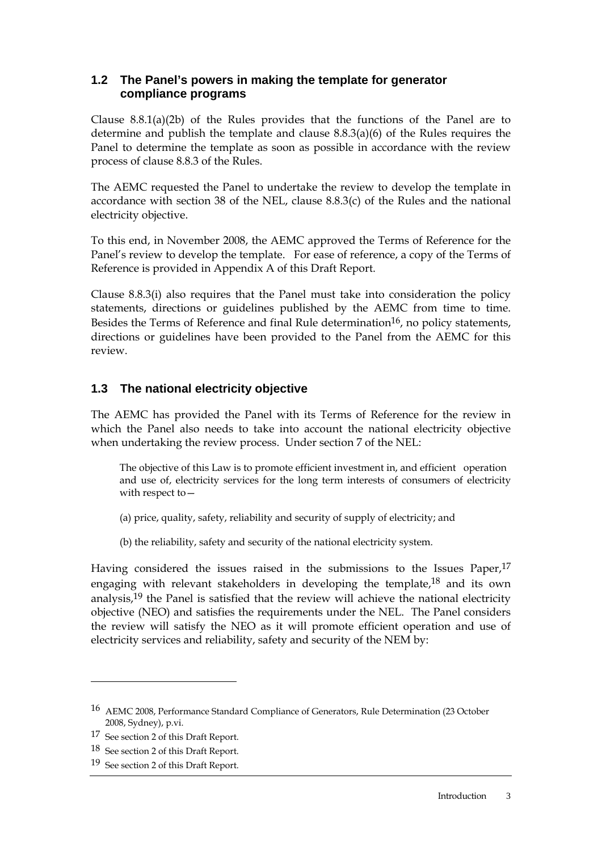#### **1.2 The Panel's powers in making the template for generator compliance programs**

Clause 8.8.1(a)(2b) of the Rules provides that the functions of the Panel are to determine and publish the template and clause 8.8.3(a)(6) of the Rules requires the Panel to determine the template as soon as possible in accordance with the review process of clause 8.8.3 of the Rules.

The AEMC requested the Panel to undertake the review to develop the template in accordance with section 38 of the NEL, clause 8.8.3(c) of the Rules and the national electricity objective.

To this end, in November 2008, the AEMC approved the Terms of Reference for the Panel's review to develop the template. For ease of reference, a copy of the Terms of Reference is provided in Appendix A of this Draft Report.

Clause 8.8.3(i) also requires that the Panel must take into consideration the policy statements, directions or guidelines published by the AEMC from time to time. Besides the Terms of Reference and final Rule determination<sup>16</sup>, no policy statements, directions or guidelines have been provided to the Panel from the AEMC for this review.

#### **1.3 The national electricity objective**

The AEMC has provided the Panel with its Terms of Reference for the review in which the Panel also needs to take into account the national electricity objective when undertaking the review process. Under section 7 of the NEL:

 The objective of this Law is to promote efficient investment in, and efficient operation and use of, electricity services for the long term interests of consumers of electricity with respect to—

- (a) price, quality, safety, reliability and security of supply of electricity; and
- (b) the reliability, safety and security of the national electricity system.

Having considered the issues raised in the submissions to the Issues Paper,<sup>17</sup> engaging with relevant stakeholders in developing the template,18 and its own analysis,19 the Panel is satisfied that the review will achieve the national electricity objective (NEO) and satisfies the requirements under the NEL. The Panel considers the review will satisfy the NEO as it will promote efficient operation and use of electricity services and reliability, safety and security of the NEM by:

<sup>16</sup> AEMC 2008, Performance Standard Compliance of Generators, Rule Determination (23 October 2008, Sydney), p.vi.

<sup>17</sup> See section 2 of this Draft Report.

<sup>18</sup> See section 2 of this Draft Report.

<sup>19</sup> See section 2 of this Draft Report.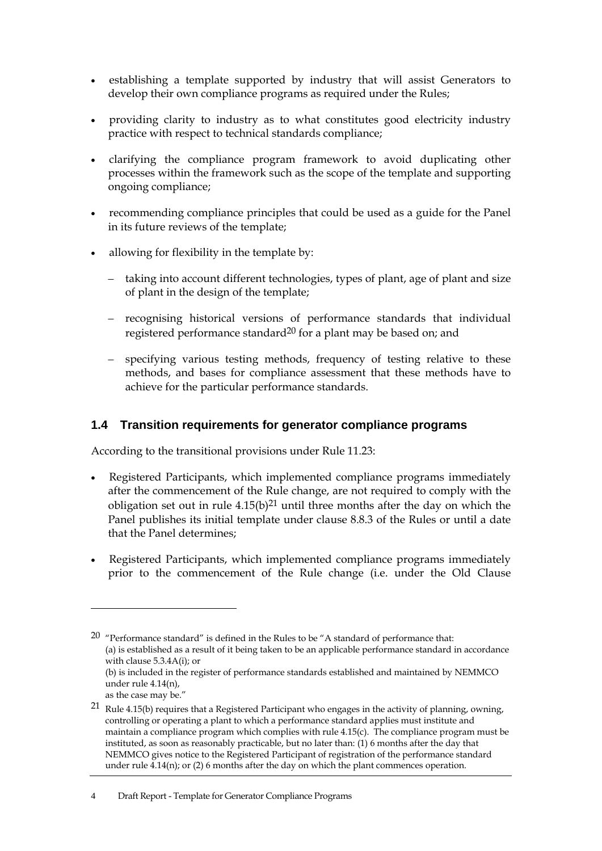- establishing a template supported by industry that will assist Generators to develop their own compliance programs as required under the Rules;
- providing clarity to industry as to what constitutes good electricity industry practice with respect to technical standards compliance;
- clarifying the compliance program framework to avoid duplicating other processes within the framework such as the scope of the template and supporting ongoing compliance;
- recommending compliance principles that could be used as a guide for the Panel in its future reviews of the template;
- allowing for flexibility in the template by:
	- taking into account different technologies, types of plant, age of plant and size of plant in the design of the template;
	- recognising historical versions of performance standards that individual registered performance standard<sup>20</sup> for a plant may be based on; and
	- specifying various testing methods, frequency of testing relative to these methods, and bases for compliance assessment that these methods have to achieve for the particular performance standards.

#### **1.4 Transition requirements for generator compliance programs**

According to the transitional provisions under Rule 11.23:

- Registered Participants, which implemented compliance programs immediately after the commencement of the Rule change, are not required to comply with the obligation set out in rule  $4.15(b)^{21}$  until three months after the day on which the Panel publishes its initial template under clause 8.8.3 of the Rules or until a date that the Panel determines;
- Registered Participants, which implemented compliance programs immediately prior to the commencement of the Rule change (i.e. under the Old Clause

#### 4 Draft Report - Template for Generator Compliance Programs

<sup>20 &</sup>quot;Performance standard" is defined in the Rules to be "A standard of performance that: (a) is established as a result of it being taken to be an applicable performance standard in accordance with clause 5.3.4A(i); or (b) is included in the register of performance standards established and maintained by NEMMCO under rule 4.14(n), as the case may be."

<sup>21</sup> Rule 4.15(b) requires that a Registered Participant who engages in the activity of planning, owning, controlling or operating a plant to which a performance standard applies must institute and maintain a compliance program which complies with rule 4.15(c). The compliance program must be instituted, as soon as reasonably practicable, but no later than: (1) 6 months after the day that NEMMCO gives notice to the Registered Participant of registration of the performance standard under rule 4.14(n); or (2) 6 months after the day on which the plant commences operation.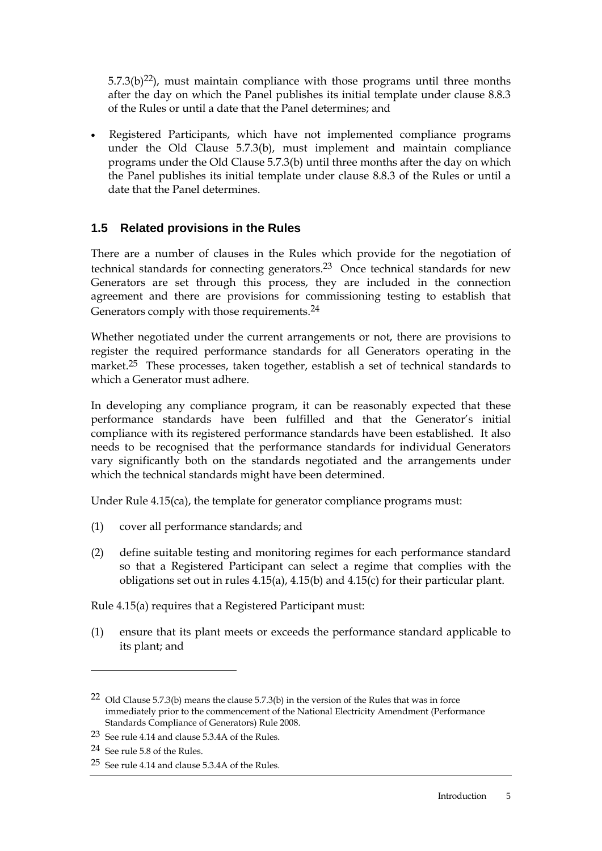$5.7.3(b)^{22}$ , must maintain compliance with those programs until three months after the day on which the Panel publishes its initial template under clause 8.8.3 of the Rules or until a date that the Panel determines; and

• Registered Participants, which have not implemented compliance programs under the Old Clause 5.7.3(b), must implement and maintain compliance programs under the Old Clause 5.7.3(b) until three months after the day on which the Panel publishes its initial template under clause 8.8.3 of the Rules or until a date that the Panel determines.

#### **1.5 Related provisions in the Rules**

There are a number of clauses in the Rules which provide for the negotiation of technical standards for connecting generators.23 Once technical standards for new Generators are set through this process, they are included in the connection agreement and there are provisions for commissioning testing to establish that Generators comply with those requirements.<sup>24</sup>

Whether negotiated under the current arrangements or not, there are provisions to register the required performance standards for all Generators operating in the market.25 These processes, taken together, establish a set of technical standards to which a Generator must adhere.

In developing any compliance program, it can be reasonably expected that these performance standards have been fulfilled and that the Generator's initial compliance with its registered performance standards have been established. It also needs to be recognised that the performance standards for individual Generators vary significantly both on the standards negotiated and the arrangements under which the technical standards might have been determined.

Under Rule 4.15(ca), the template for generator compliance programs must:

- (1) cover all performance standards; and
- (2) define suitable testing and monitoring regimes for each performance standard so that a Registered Participant can select a regime that complies with the obligations set out in rules 4.15(a), 4.15(b) and 4.15(c) for their particular plant.

Rule 4.15(a) requires that a Registered Participant must:

(1) ensure that its plant meets or exceeds the performance standard applicable to its plant; and

<sup>22</sup> Old Clause 5.7.3(b) means the clause 5.7.3(b) in the version of the Rules that was in force immediately prior to the commencement of the National Electricity Amendment (Performance Standards Compliance of Generators) Rule 2008.

<sup>23</sup> See rule 4.14 and clause 5.3.4A of the Rules.

<sup>24</sup> See rule 5.8 of the Rules.

<sup>25</sup> See rule 4.14 and clause 5.3.4A of the Rules.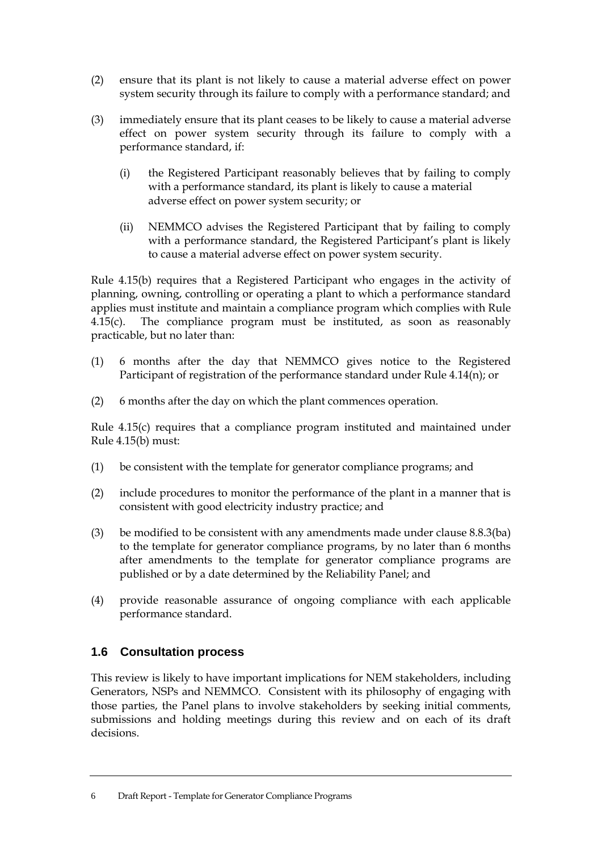- (2) ensure that its plant is not likely to cause a material adverse effect on power system security through its failure to comply with a performance standard; and
- (3) immediately ensure that its plant ceases to be likely to cause a material adverse effect on power system security through its failure to comply with a performance standard, if:
	- (i) the Registered Participant reasonably believes that by failing to comply with a performance standard, its plant is likely to cause a material adverse effect on power system security; or
	- (ii) NEMMCO advises the Registered Participant that by failing to comply with a performance standard, the Registered Participant's plant is likely to cause a material adverse effect on power system security.

Rule 4.15(b) requires that a Registered Participant who engages in the activity of planning, owning, controlling or operating a plant to which a performance standard applies must institute and maintain a compliance program which complies with Rule 4.15(c). The compliance program must be instituted, as soon as reasonably practicable, but no later than:

- (1) 6 months after the day that NEMMCO gives notice to the Registered Participant of registration of the performance standard under Rule 4.14(n); or
- (2) 6 months after the day on which the plant commences operation.

Rule 4.15(c) requires that a compliance program instituted and maintained under Rule 4.15(b) must:

- (1) be consistent with the template for generator compliance programs; and
- (2) include procedures to monitor the performance of the plant in a manner that is consistent with good electricity industry practice; and
- (3) be modified to be consistent with any amendments made under clause 8.8.3(ba) to the template for generator compliance programs, by no later than 6 months after amendments to the template for generator compliance programs are published or by a date determined by the Reliability Panel; and
- (4) provide reasonable assurance of ongoing compliance with each applicable performance standard.

## **1.6 Consultation process**

This review is likely to have important implications for NEM stakeholders, including Generators, NSPs and NEMMCO. Consistent with its philosophy of engaging with those parties, the Panel plans to involve stakeholders by seeking initial comments, submissions and holding meetings during this review and on each of its draft decisions.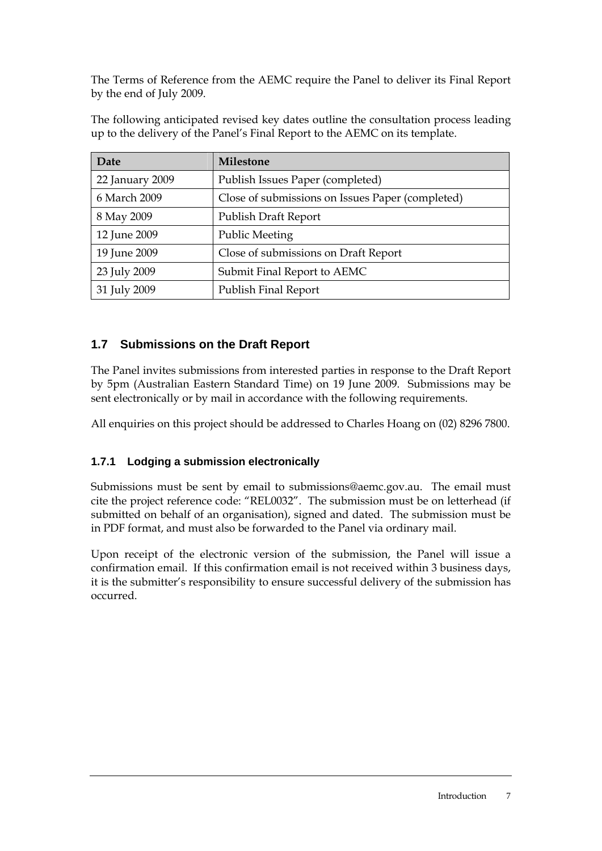The Terms of Reference from the AEMC require the Panel to deliver its Final Report by the end of July 2009.

The following anticipated revised key dates outline the consultation process leading up to the delivery of the Panel's Final Report to the AEMC on its template.

| Date            | <b>Milestone</b>                                 |  |  |
|-----------------|--------------------------------------------------|--|--|
| 22 January 2009 | Publish Issues Paper (completed)                 |  |  |
| 6 March 2009    | Close of submissions on Issues Paper (completed) |  |  |
| 8 May 2009      | Publish Draft Report                             |  |  |
| 12 June 2009    | <b>Public Meeting</b>                            |  |  |
| 19 June 2009    | Close of submissions on Draft Report             |  |  |
| 23 July 2009    | Submit Final Report to AEMC                      |  |  |
| 31 July 2009    | Publish Final Report                             |  |  |

## **1.7 Submissions on the Draft Report**

The Panel invites submissions from interested parties in response to the Draft Report by 5pm (Australian Eastern Standard Time) on 19 June 2009. Submissions may be sent electronically or by mail in accordance with the following requirements.

All enquiries on this project should be addressed to Charles Hoang on (02) 8296 7800.

#### **1.7.1 Lodging a submission electronically**

Submissions must be sent by email to submissions@aemc.gov.au. The email must cite the project reference code: "REL0032". The submission must be on letterhead (if submitted on behalf of an organisation), signed and dated. The submission must be in PDF format, and must also be forwarded to the Panel via ordinary mail.

Upon receipt of the electronic version of the submission, the Panel will issue a confirmation email. If this confirmation email is not received within 3 business days, it is the submitter's responsibility to ensure successful delivery of the submission has occurred.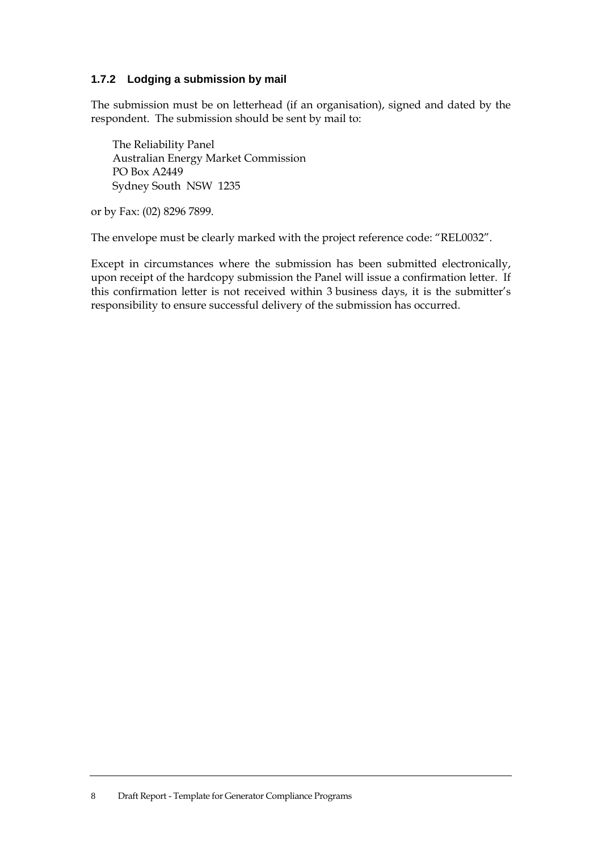#### **1.7.2 Lodging a submission by mail**

The submission must be on letterhead (if an organisation), signed and dated by the respondent. The submission should be sent by mail to:

The Reliability Panel Australian Energy Market Commission PO Box A2449 Sydney South NSW 1235

or by Fax: (02) 8296 7899.

The envelope must be clearly marked with the project reference code: "REL0032".

Except in circumstances where the submission has been submitted electronically, upon receipt of the hardcopy submission the Panel will issue a confirmation letter. If this confirmation letter is not received within 3 business days, it is the submitter's responsibility to ensure successful delivery of the submission has occurred.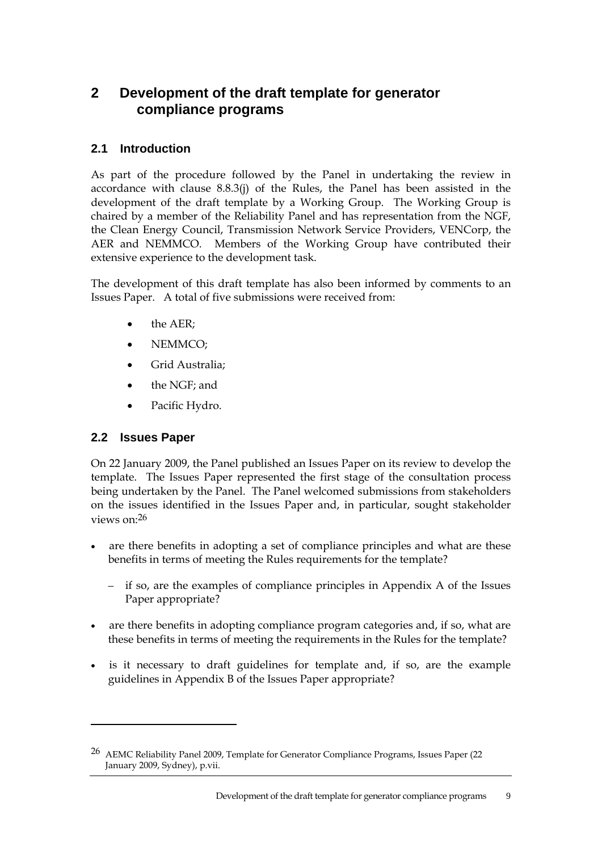# **2 Development of the draft template for generator compliance programs**

#### **2.1 Introduction**

As part of the procedure followed by the Panel in undertaking the review in accordance with clause 8.8.3(j) of the Rules, the Panel has been assisted in the development of the draft template by a Working Group. The Working Group is chaired by a member of the Reliability Panel and has representation from the NGF, the Clean Energy Council, Transmission Network Service Providers, VENCorp, the AER and NEMMCO. Members of the Working Group have contributed their extensive experience to the development task.

The development of this draft template has also been informed by comments to an Issues Paper. A total of five submissions were received from:

- the AER:
- NEMMCO;
- Grid Australia;
- the NGF; and
- Pacific Hydro.

#### **2.2 Issues Paper**

 $\overline{a}$ 

On 22 January 2009, the Panel published an Issues Paper on its review to develop the template. The Issues Paper represented the first stage of the consultation process being undertaken by the Panel. The Panel welcomed submissions from stakeholders on the issues identified in the Issues Paper and, in particular, sought stakeholder views on:26

- are there benefits in adopting a set of compliance principles and what are these benefits in terms of meeting the Rules requirements for the template?
	- if so, are the examples of compliance principles in Appendix A of the Issues Paper appropriate?
- are there benefits in adopting compliance program categories and, if so, what are these benefits in terms of meeting the requirements in the Rules for the template?
- is it necessary to draft guidelines for template and, if so, are the example guidelines in Appendix B of the Issues Paper appropriate?

<sup>26</sup> AEMC Reliability Panel 2009, Template for Generator Compliance Programs, Issues Paper (22 January 2009, Sydney), p.vii.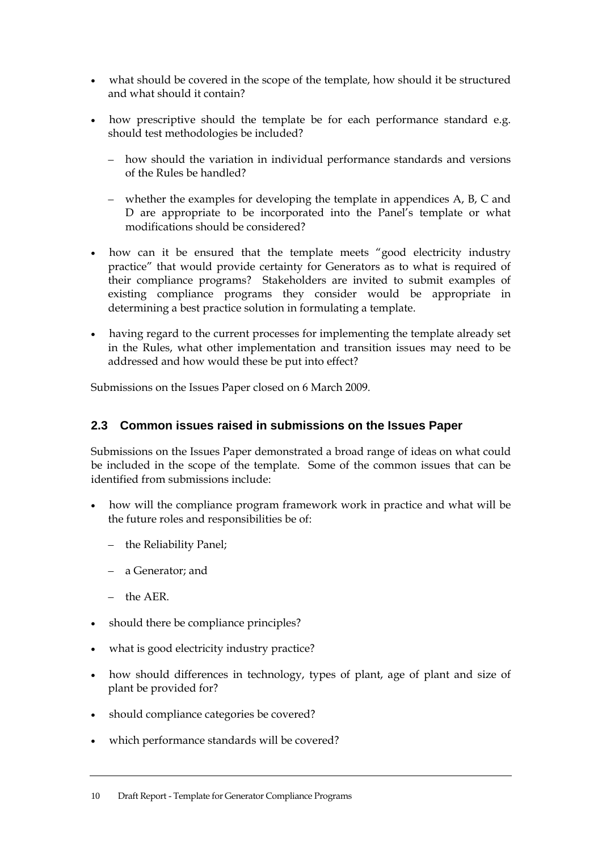- what should be covered in the scope of the template, how should it be structured and what should it contain?
- how prescriptive should the template be for each performance standard e.g. should test methodologies be included?
	- how should the variation in individual performance standards and versions of the Rules be handled?
	- whether the examples for developing the template in appendices A, B, C and D are appropriate to be incorporated into the Panel's template or what modifications should be considered?
- how can it be ensured that the template meets "good electricity industry practice" that would provide certainty for Generators as to what is required of their compliance programs? Stakeholders are invited to submit examples of existing compliance programs they consider would be appropriate in determining a best practice solution in formulating a template.
- having regard to the current processes for implementing the template already set in the Rules, what other implementation and transition issues may need to be addressed and how would these be put into effect?

Submissions on the Issues Paper closed on 6 March 2009.

#### **2.3 Common issues raised in submissions on the Issues Paper**

Submissions on the Issues Paper demonstrated a broad range of ideas on what could be included in the scope of the template. Some of the common issues that can be identified from submissions include:

- how will the compliance program framework work in practice and what will be the future roles and responsibilities be of:
	- the Reliability Panel;
	- a Generator; and
	- $-$  the AER.
- should there be compliance principles?
- what is good electricity industry practice?
- how should differences in technology, types of plant, age of plant and size of plant be provided for?
- should compliance categories be covered?
- which performance standards will be covered?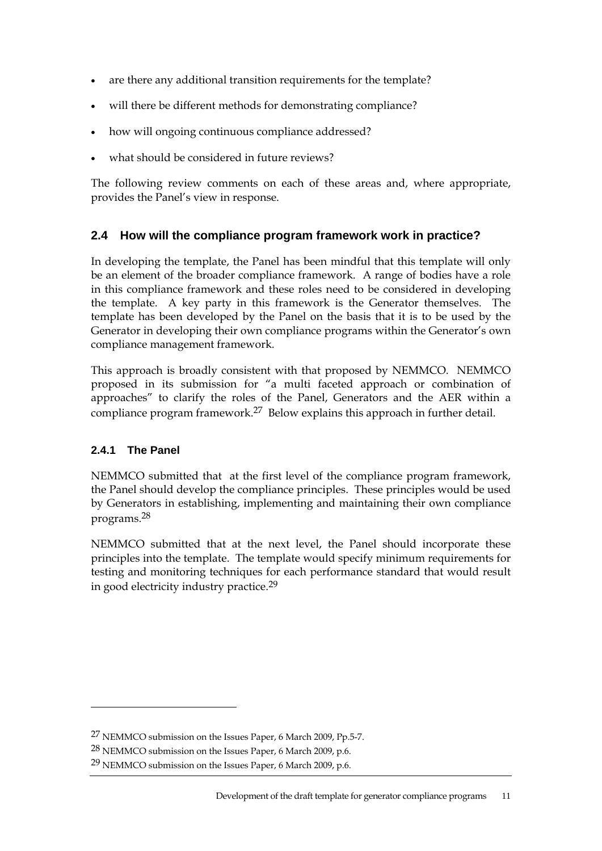- are there any additional transition requirements for the template?
- will there be different methods for demonstrating compliance?
- how will ongoing continuous compliance addressed?
- what should be considered in future reviews?

The following review comments on each of these areas and, where appropriate, provides the Panel's view in response.

#### **2.4 How will the compliance program framework work in practice?**

In developing the template, the Panel has been mindful that this template will only be an element of the broader compliance framework. A range of bodies have a role in this compliance framework and these roles need to be considered in developing the template. A key party in this framework is the Generator themselves. The template has been developed by the Panel on the basis that it is to be used by the Generator in developing their own compliance programs within the Generator's own compliance management framework.

This approach is broadly consistent with that proposed by NEMMCO. NEMMCO proposed in its submission for "a multi faceted approach or combination of approaches" to clarify the roles of the Panel, Generators and the AER within a compliance program framework.27 Below explains this approach in further detail.

#### **2.4.1 The Panel**

 $\overline{a}$ 

NEMMCO submitted that at the first level of the compliance program framework, the Panel should develop the compliance principles. These principles would be used by Generators in establishing, implementing and maintaining their own compliance programs.28

NEMMCO submitted that at the next level, the Panel should incorporate these principles into the template. The template would specify minimum requirements for testing and monitoring techniques for each performance standard that would result in good electricity industry practice.29

<sup>27</sup> NEMMCO submission on the Issues Paper, 6 March 2009, Pp.5-7.

<sup>28</sup> NEMMCO submission on the Issues Paper, 6 March 2009, p.6.

<sup>29</sup> NEMMCO submission on the Issues Paper, 6 March 2009, p.6.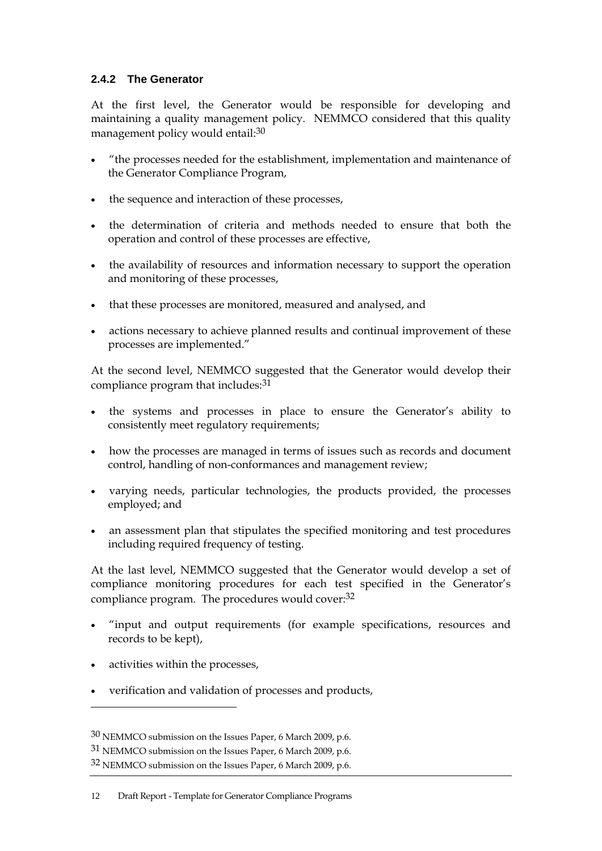#### **2.4.2 The Generator**

At the first level, the Generator would be responsible for developing and maintaining a quality management policy. NEMMCO considered that this quality management policy would entail:30

- "the processes needed for the establishment, implementation and maintenance of the Generator Compliance Program,
- the sequence and interaction of these processes,
- the determination of criteria and methods needed to ensure that both the operation and control of these processes are effective,
- the availability of resources and information necessary to support the operation and monitoring of these processes,
- that these processes are monitored, measured and analysed, and
- actions necessary to achieve planned results and continual improvement of these processes are implemented."

At the second level, NEMMCO suggested that the Generator would develop their compliance program that includes:31

- the systems and processes in place to ensure the Generator's ability to consistently meet regulatory requirements;
- how the processes are managed in terms of issues such as records and document control, handling of non-conformances and management review;
- varying needs, particular technologies, the products provided, the processes employed; and
- an assessment plan that stipulates the specified monitoring and test procedures including required frequency of testing.

At the last level, NEMMCO suggested that the Generator would develop a set of compliance monitoring procedures for each test specified in the Generator's compliance program. The procedures would cover: 32

- "input and output requirements (for example specifications, resources and records to be kept),
- activities within the processes,

 $\overline{a}$ 

• verification and validation of processes and products,

<sup>30</sup> NEMMCO submission on the Issues Paper, 6 March 2009, p.6. 31 NEMMCO submission on the Issues Paper, 6 March 2009, p.6. 32 NEMMCO submission on the Issues Paper, 6 March 2009, p.6.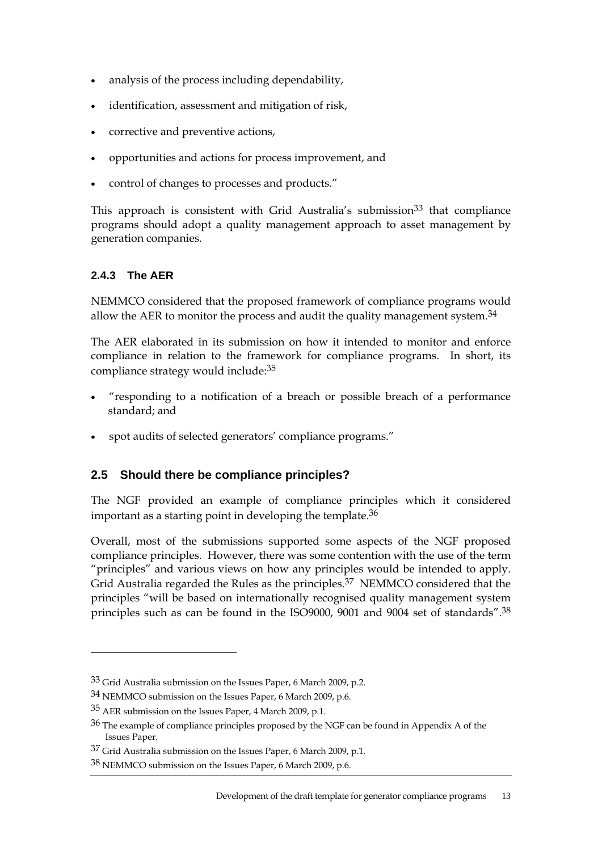- analysis of the process including dependability,
- identification, assessment and mitigation of risk,
- corrective and preventive actions,
- opportunities and actions for process improvement, and
- control of changes to processes and products."

This approach is consistent with Grid Australia's submission<sup>33</sup> that compliance programs should adopt a quality management approach to asset management by generation companies.

#### **2.4.3 The AER**

 $\overline{a}$ 

NEMMCO considered that the proposed framework of compliance programs would allow the AER to monitor the process and audit the quality management system.<sup>34</sup>

The AER elaborated in its submission on how it intended to monitor and enforce compliance in relation to the framework for compliance programs. In short, its compliance strategy would include:35

- "responding to a notification of a breach or possible breach of a performance standard; and
- spot audits of selected generators' compliance programs."

#### **2.5 Should there be compliance principles?**

The NGF provided an example of compliance principles which it considered important as a starting point in developing the template. $36$ 

Overall, most of the submissions supported some aspects of the NGF proposed compliance principles. However, there was some contention with the use of the term "principles" and various views on how any principles would be intended to apply. Grid Australia regarded the Rules as the principles.<sup>37</sup> NEMMCO considered that the principles "will be based on internationally recognised quality management system principles such as can be found in the ISO9000, 9001 and 9004 set of standards".38

<sup>33</sup> Grid Australia submission on the Issues Paper, 6 March 2009, p.2.

<sup>34</sup> NEMMCO submission on the Issues Paper, 6 March 2009, p.6.

<sup>&</sup>lt;sup>35</sup> AER submission on the Issues Paper, 4 March 2009, p.1.

<sup>36</sup> The example of compliance principles proposed by the NGF can be found in Appendix A of the Issues Paper.

<sup>37</sup> Grid Australia submission on the Issues Paper, 6 March 2009, p.1.

<sup>38</sup> NEMMCO submission on the Issues Paper, 6 March 2009, p.6.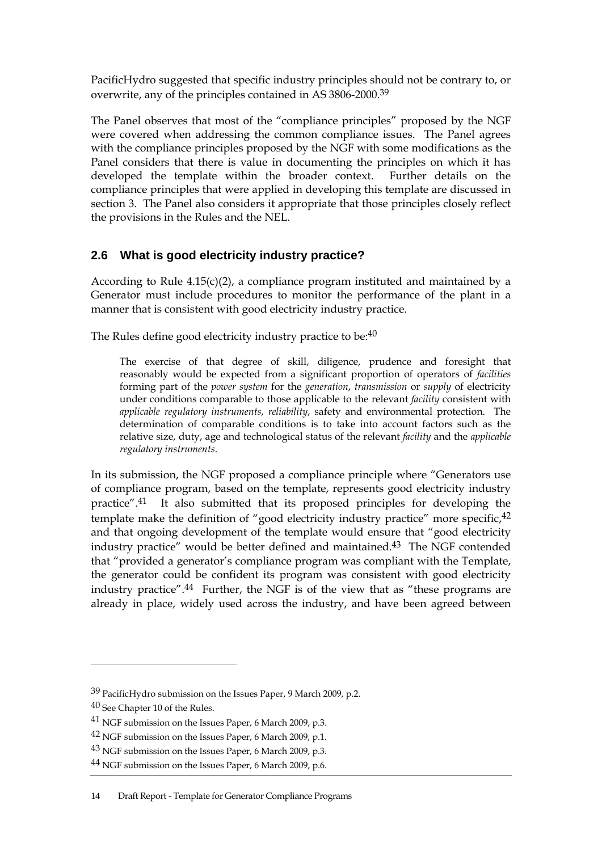PacificHydro suggested that specific industry principles should not be contrary to, or overwrite, any of the principles contained in AS 3806-2000.39

The Panel observes that most of the "compliance principles" proposed by the NGF were covered when addressing the common compliance issues. The Panel agrees with the compliance principles proposed by the NGF with some modifications as the Panel considers that there is value in documenting the principles on which it has developed the template within the broader context. Further details on the compliance principles that were applied in developing this template are discussed in section 3. The Panel also considers it appropriate that those principles closely reflect the provisions in the Rules and the NEL.

## **2.6 What is good electricity industry practice?**

According to Rule 4.15(c)(2), a compliance program instituted and maintained by a Generator must include procedures to monitor the performance of the plant in a manner that is consistent with good electricity industry practice.

The Rules define good electricity industry practice to be:40

 The exercise of that degree of skill, diligence, prudence and foresight that reasonably would be expected from a significant proportion of operators of *facilities*  forming part of the *power system* for the *generation*, *transmission* or *supply* of electricity under conditions comparable to those applicable to the relevant *facility* consistent with *applicable regulatory instruments*, *reliability*, safety and environmental protection. The determination of comparable conditions is to take into account factors such as the relative size, duty, age and technological status of the relevant *facility* and the *applicable regulatory instruments*.

In its submission, the NGF proposed a compliance principle where "Generators use of compliance program, based on the template, represents good electricity industry practice".41 It also submitted that its proposed principles for developing the template make the definition of "good electricity industry practice" more specific, <sup>42</sup> and that ongoing development of the template would ensure that "good electricity industry practice" would be better defined and maintained.43 The NGF contended that "provided a generator's compliance program was compliant with the Template, the generator could be confident its program was consistent with good electricity industry practice".44 Further, the NGF is of the view that as "these programs are already in place, widely used across the industry, and have been agreed between

<sup>39</sup> PacificHydro submission on the Issues Paper, 9 March 2009, p.2.

<sup>40</sup> See Chapter 10 of the Rules.

<sup>41</sup> NGF submission on the Issues Paper, 6 March 2009, p.3.

<sup>42</sup> NGF submission on the Issues Paper, 6 March 2009, p.1.

<sup>43</sup> NGF submission on the Issues Paper, 6 March 2009, p.3.

<sup>44</sup> NGF submission on the Issues Paper, 6 March 2009, p.6.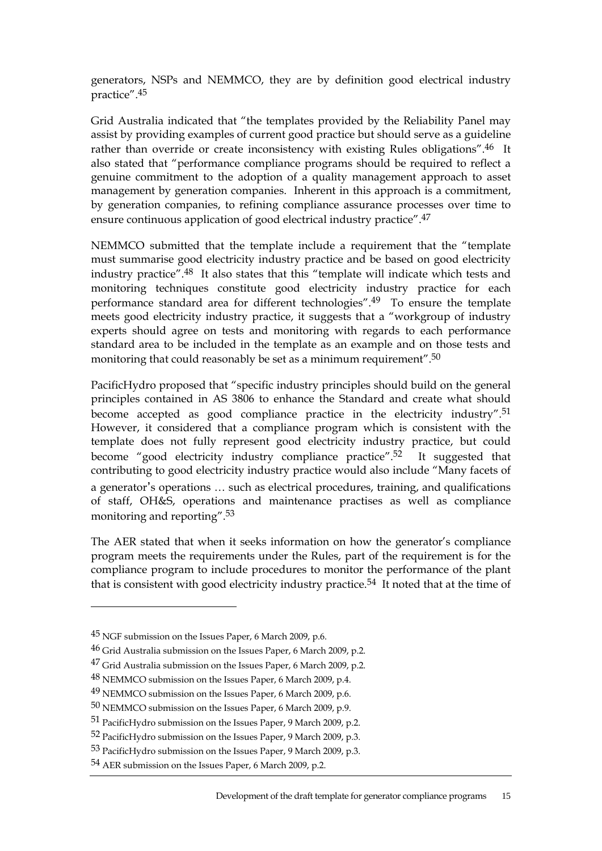generators, NSPs and NEMMCO, they are by definition good electrical industry practice".45

Grid Australia indicated that "the templates provided by the Reliability Panel may assist by providing examples of current good practice but should serve as a guideline rather than override or create inconsistency with existing Rules obligations".46 It also stated that "performance compliance programs should be required to reflect a genuine commitment to the adoption of a quality management approach to asset management by generation companies. Inherent in this approach is a commitment, by generation companies, to refining compliance assurance processes over time to ensure continuous application of good electrical industry practice".47

NEMMCO submitted that the template include a requirement that the "template must summarise good electricity industry practice and be based on good electricity industry practice".48 It also states that this "template will indicate which tests and monitoring techniques constitute good electricity industry practice for each performance standard area for different technologies".49 To ensure the template meets good electricity industry practice, it suggests that a "workgroup of industry experts should agree on tests and monitoring with regards to each performance standard area to be included in the template as an example and on those tests and monitoring that could reasonably be set as a minimum requirement".<sup>50</sup>

PacificHydro proposed that "specific industry principles should build on the general principles contained in AS 3806 to enhance the Standard and create what should become accepted as good compliance practice in the electricity industry".51 However, it considered that a compliance program which is consistent with the template does not fully represent good electricity industry practice, but could become "good electricity industry compliance practice".52 It suggested that contributing to good electricity industry practice would also include "Many facets of a generator's operations … such as electrical procedures, training, and qualifications of staff, OH&S, operations and maintenance practises as well as compliance monitoring and reporting".53

The AER stated that when it seeks information on how the generator's compliance program meets the requirements under the Rules, part of the requirement is for the compliance program to include procedures to monitor the performance of the plant that is consistent with good electricity industry practice.54 It noted that at the time of

<sup>45</sup> NGF submission on the Issues Paper, 6 March 2009, p.6.

<sup>46</sup> Grid Australia submission on the Issues Paper, 6 March 2009, p.2.

<sup>47</sup> Grid Australia submission on the Issues Paper, 6 March 2009, p.2.

<sup>48</sup> NEMMCO submission on the Issues Paper, 6 March 2009, p.4.

<sup>49</sup> NEMMCO submission on the Issues Paper, 6 March 2009, p.6.

<sup>50</sup> NEMMCO submission on the Issues Paper, 6 March 2009, p.9.

<sup>51</sup> PacificHydro submission on the Issues Paper, 9 March 2009, p.2.

<sup>52</sup> PacificHydro submission on the Issues Paper, 9 March 2009, p.3.

<sup>53</sup> PacificHydro submission on the Issues Paper, 9 March 2009, p.3.

<sup>54</sup> AER submission on the Issues Paper, 6 March 2009, p.2.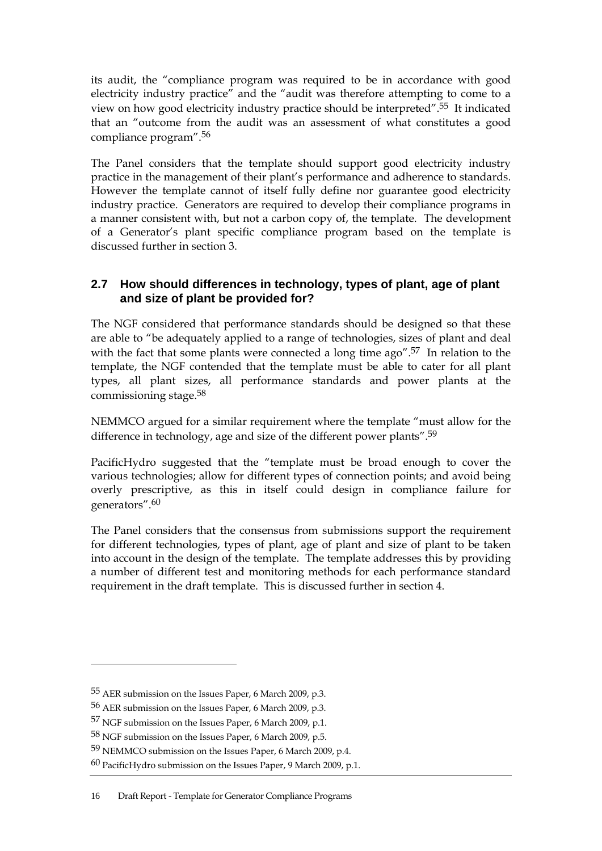its audit, the "compliance program was required to be in accordance with good electricity industry practice" and the "audit was therefore attempting to come to a view on how good electricity industry practice should be interpreted".55 It indicated that an "outcome from the audit was an assessment of what constitutes a good compliance program".56

The Panel considers that the template should support good electricity industry practice in the management of their plant's performance and adherence to standards. However the template cannot of itself fully define nor guarantee good electricity industry practice. Generators are required to develop their compliance programs in a manner consistent with, but not a carbon copy of, the template. The development of a Generator's plant specific compliance program based on the template is discussed further in section 3.

#### **2.7 How should differences in technology, types of plant, age of plant and size of plant be provided for?**

The NGF considered that performance standards should be designed so that these are able to "be adequately applied to a range of technologies, sizes of plant and deal with the fact that some plants were connected a long time ago".<sup>57</sup> In relation to the template, the NGF contended that the template must be able to cater for all plant types, all plant sizes, all performance standards and power plants at the commissioning stage.58

NEMMCO argued for a similar requirement where the template "must allow for the difference in technology, age and size of the different power plants".59

PacificHydro suggested that the "template must be broad enough to cover the various technologies; allow for different types of connection points; and avoid being overly prescriptive, as this in itself could design in compliance failure for generators".60

The Panel considers that the consensus from submissions support the requirement for different technologies, types of plant, age of plant and size of plant to be taken into account in the design of the template. The template addresses this by providing a number of different test and monitoring methods for each performance standard requirement in the draft template. This is discussed further in section 4.

<sup>55</sup> AER submission on the Issues Paper, 6 March 2009, p.3.

<sup>56</sup> AER submission on the Issues Paper, 6 March 2009, p.3.

<sup>57</sup> NGF submission on the Issues Paper, 6 March 2009, p.1.

<sup>58</sup> NGF submission on the Issues Paper, 6 March 2009, p.5.

<sup>59</sup> NEMMCO submission on the Issues Paper, 6 March 2009, p.4.

<sup>60</sup> PacificHydro submission on the Issues Paper, 9 March 2009, p.1.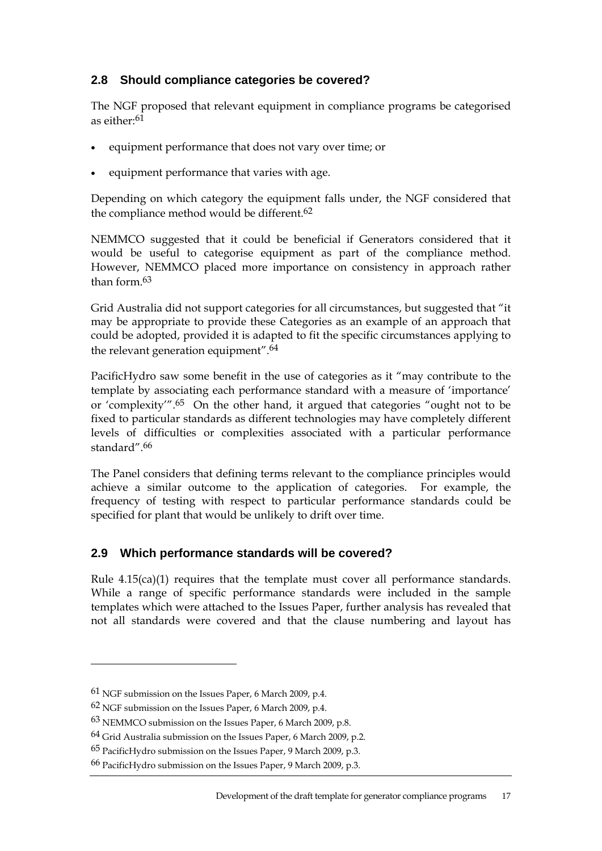### **2.8 Should compliance categories be covered?**

The NGF proposed that relevant equipment in compliance programs be categorised as either:61

- equipment performance that does not vary over time; or
- equipment performance that varies with age.

Depending on which category the equipment falls under, the NGF considered that the compliance method would be different.<sup>62</sup>

NEMMCO suggested that it could be beneficial if Generators considered that it would be useful to categorise equipment as part of the compliance method. However, NEMMCO placed more importance on consistency in approach rather than form  $63$ 

Grid Australia did not support categories for all circumstances, but suggested that "it may be appropriate to provide these Categories as an example of an approach that could be adopted, provided it is adapted to fit the specific circumstances applying to the relevant generation equipment".<sup>64</sup>

PacificHydro saw some benefit in the use of categories as it "may contribute to the template by associating each performance standard with a measure of 'importance' or 'complexity'".65 On the other hand, it argued that categories "ought not to be fixed to particular standards as different technologies may have completely different levels of difficulties or complexities associated with a particular performance standard".66

The Panel considers that defining terms relevant to the compliance principles would achieve a similar outcome to the application of categories. For example, the frequency of testing with respect to particular performance standards could be specified for plant that would be unlikely to drift over time.

#### **2.9 Which performance standards will be covered?**

Rule 4.15(ca)(1) requires that the template must cover all performance standards. While a range of specific performance standards were included in the sample templates which were attached to the Issues Paper, further analysis has revealed that not all standards were covered and that the clause numbering and layout has

<sup>61</sup> NGF submission on the Issues Paper, 6 March 2009, p.4.

<sup>62</sup> NGF submission on the Issues Paper, 6 March 2009, p.4.

<sup>63</sup> NEMMCO submission on the Issues Paper, 6 March 2009, p.8.

<sup>64</sup> Grid Australia submission on the Issues Paper, 6 March 2009, p.2.

<sup>65</sup> PacificHydro submission on the Issues Paper, 9 March 2009, p.3.

<sup>66</sup> PacificHydro submission on the Issues Paper, 9 March 2009, p.3.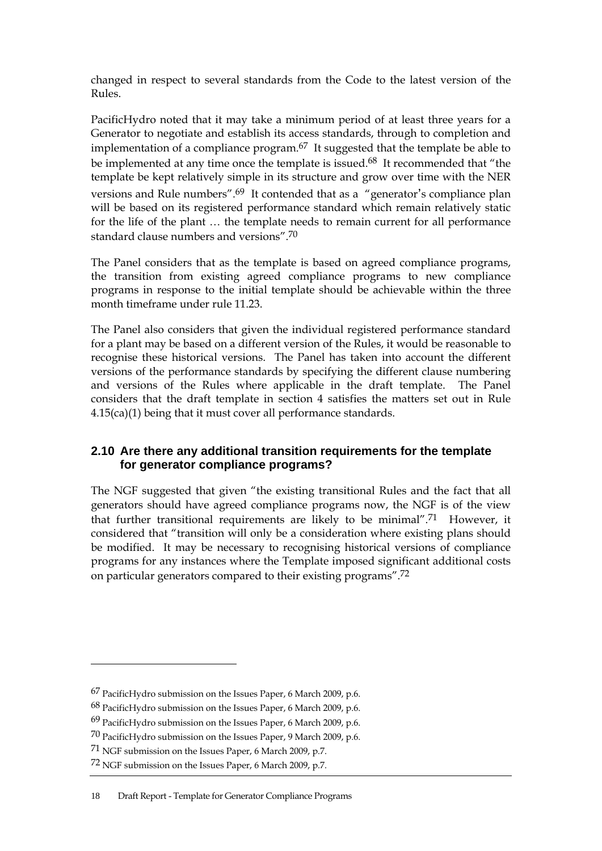changed in respect to several standards from the Code to the latest version of the Rules.

PacificHydro noted that it may take a minimum period of at least three years for a Generator to negotiate and establish its access standards, through to completion and implementation of a compliance program.67 It suggested that the template be able to be implemented at any time once the template is issued.<sup>68</sup> It recommended that "the template be kept relatively simple in its structure and grow over time with the NER versions and Rule numbers".69 It contended that as a "generator's compliance plan will be based on its registered performance standard which remain relatively static for the life of the plant … the template needs to remain current for all performance standard clause numbers and versions".70

The Panel considers that as the template is based on agreed compliance programs, the transition from existing agreed compliance programs to new compliance programs in response to the initial template should be achievable within the three month timeframe under rule 11.23.

The Panel also considers that given the individual registered performance standard for a plant may be based on a different version of the Rules, it would be reasonable to recognise these historical versions. The Panel has taken into account the different versions of the performance standards by specifying the different clause numbering and versions of the Rules where applicable in the draft template. The Panel considers that the draft template in section 4 satisfies the matters set out in Rule 4.15(ca)(1) being that it must cover all performance standards.

#### **2.10 Are there any additional transition requirements for the template for generator compliance programs?**

The NGF suggested that given "the existing transitional Rules and the fact that all generators should have agreed compliance programs now, the NGF is of the view that further transitional requirements are likely to be minimal".71 However, it considered that "transition will only be a consideration where existing plans should be modified. It may be necessary to recognising historical versions of compliance programs for any instances where the Template imposed significant additional costs on particular generators compared to their existing programs".72

<sup>67</sup> PacificHydro submission on the Issues Paper, 6 March 2009, p.6.

<sup>68</sup> PacificHydro submission on the Issues Paper, 6 March 2009, p.6.

<sup>69</sup> PacificHydro submission on the Issues Paper, 6 March 2009, p.6.

<sup>70</sup> PacificHydro submission on the Issues Paper, 9 March 2009, p.6.

<sup>71</sup> NGF submission on the Issues Paper, 6 March 2009, p.7.

<sup>72</sup> NGF submission on the Issues Paper, 6 March 2009, p.7.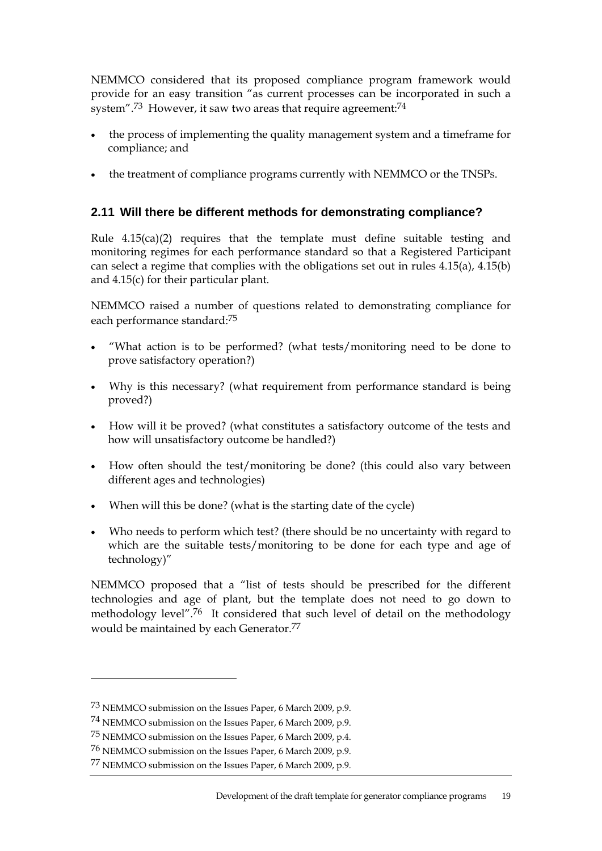NEMMCO considered that its proposed compliance program framework would provide for an easy transition "as current processes can be incorporated in such a system".<sup>73</sup> However, it saw two areas that require agreement:<sup>74</sup>

- the process of implementing the quality management system and a timeframe for compliance; and
- the treatment of compliance programs currently with NEMMCO or the TNSPs.

#### **2.11 Will there be different methods for demonstrating compliance?**

Rule 4.15(ca)(2) requires that the template must define suitable testing and monitoring regimes for each performance standard so that a Registered Participant can select a regime that complies with the obligations set out in rules 4.15(a), 4.15(b) and 4.15(c) for their particular plant.

NEMMCO raised a number of questions related to demonstrating compliance for each performance standard:75

- "What action is to be performed? (what tests/monitoring need to be done to prove satisfactory operation?)
- Why is this necessary? (what requirement from performance standard is being proved?)
- How will it be proved? (what constitutes a satisfactory outcome of the tests and how will unsatisfactory outcome be handled?)
- How often should the test/monitoring be done? (this could also vary between different ages and technologies)
- When will this be done? (what is the starting date of the cycle)
- Who needs to perform which test? (there should be no uncertainty with regard to which are the suitable tests/monitoring to be done for each type and age of technology)"

NEMMCO proposed that a "list of tests should be prescribed for the different technologies and age of plant, but the template does not need to go down to methodology level".76 It considered that such level of detail on the methodology would be maintained by each Generator.77

<sup>73</sup> NEMMCO submission on the Issues Paper, 6 March 2009, p.9.

<sup>74</sup> NEMMCO submission on the Issues Paper, 6 March 2009, p.9.

<sup>75</sup> NEMMCO submission on the Issues Paper, 6 March 2009, p.4.

<sup>76</sup> NEMMCO submission on the Issues Paper, 6 March 2009, p.9.

<sup>77</sup> NEMMCO submission on the Issues Paper, 6 March 2009, p.9.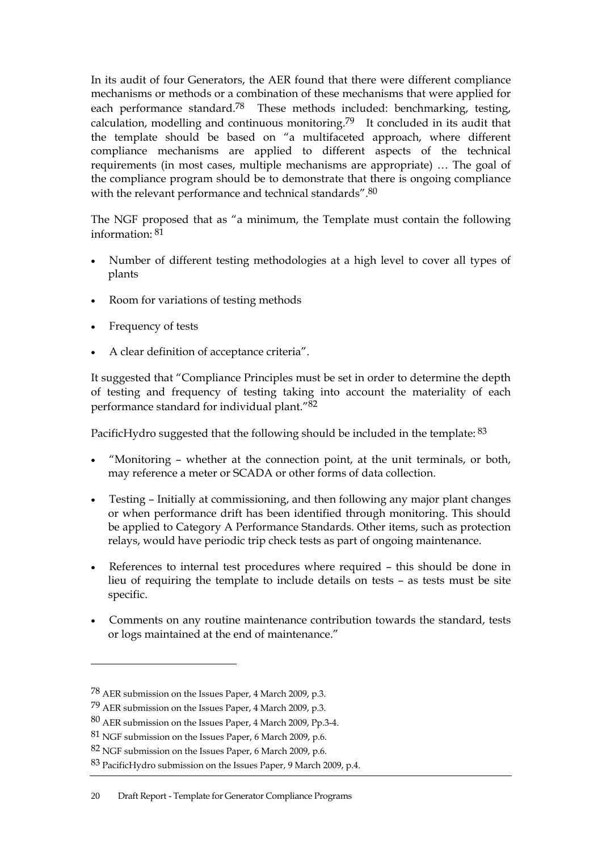In its audit of four Generators, the AER found that there were different compliance mechanisms or methods or a combination of these mechanisms that were applied for each performance standard.78 These methods included: benchmarking, testing, calculation, modelling and continuous monitoring.<sup>79</sup> It concluded in its audit that the template should be based on "a multifaceted approach, where different compliance mechanisms are applied to different aspects of the technical requirements (in most cases, multiple mechanisms are appropriate) … The goal of the compliance program should be to demonstrate that there is ongoing compliance with the relevant performance and technical standards".<sup>80</sup>

The NGF proposed that as "a minimum, the Template must contain the following information: 81

- Number of different testing methodologies at a high level to cover all types of plants
- Room for variations of testing methods
- Frequency of tests
- A clear definition of acceptance criteria".

It suggested that "Compliance Principles must be set in order to determine the depth of testing and frequency of testing taking into account the materiality of each performance standard for individual plant."82

PacificHydro suggested that the following should be included in the template: 83

- "Monitoring whether at the connection point, at the unit terminals, or both, may reference a meter or SCADA or other forms of data collection.
- Testing Initially at commissioning, and then following any major plant changes or when performance drift has been identified through monitoring. This should be applied to Category A Performance Standards. Other items, such as protection relays, would have periodic trip check tests as part of ongoing maintenance.
- References to internal test procedures where required this should be done in lieu of requiring the template to include details on tests – as tests must be site specific.
- Comments on any routine maintenance contribution towards the standard, tests or logs maintained at the end of maintenance."

<sup>78</sup> AER submission on the Issues Paper, 4 March 2009, p.3.

<sup>79</sup> AER submission on the Issues Paper, 4 March 2009, p.3.

<sup>80</sup> AER submission on the Issues Paper, 4 March 2009, Pp.3-4.

<sup>81</sup> NGF submission on the Issues Paper, 6 March 2009, p.6.

<sup>82</sup> NGF submission on the Issues Paper, 6 March 2009, p.6.

<sup>83</sup> PacificHydro submission on the Issues Paper, 9 March 2009, p.4.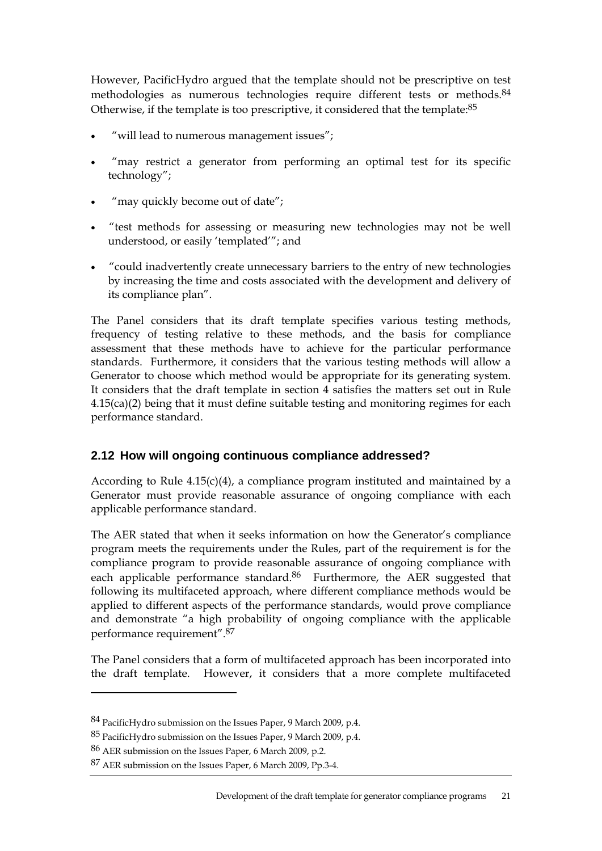However, PacificHydro argued that the template should not be prescriptive on test methodologies as numerous technologies require different tests or methods.84 Otherwise, if the template is too prescriptive, it considered that the template:85

- "will lead to numerous management issues";
- "may restrict a generator from performing an optimal test for its specific technology";
- "may quickly become out of date";
- "test methods for assessing or measuring new technologies may not be well understood, or easily 'templated'"; and
- "could inadvertently create unnecessary barriers to the entry of new technologies by increasing the time and costs associated with the development and delivery of its compliance plan".

The Panel considers that its draft template specifies various testing methods, frequency of testing relative to these methods, and the basis for compliance assessment that these methods have to achieve for the particular performance standards. Furthermore, it considers that the various testing methods will allow a Generator to choose which method would be appropriate for its generating system. It considers that the draft template in section 4 satisfies the matters set out in Rule 4.15(ca)(2) being that it must define suitable testing and monitoring regimes for each performance standard.

#### **2.12 How will ongoing continuous compliance addressed?**

According to Rule 4.15(c)(4), a compliance program instituted and maintained by a Generator must provide reasonable assurance of ongoing compliance with each applicable performance standard.

The AER stated that when it seeks information on how the Generator's compliance program meets the requirements under the Rules, part of the requirement is for the compliance program to provide reasonable assurance of ongoing compliance with each applicable performance standard.<sup>86</sup> Furthermore, the AER suggested that following its multifaceted approach, where different compliance methods would be applied to different aspects of the performance standards, would prove compliance and demonstrate "a high probability of ongoing compliance with the applicable performance requirement".87

The Panel considers that a form of multifaceted approach has been incorporated into the draft template. However, it considers that a more complete multifaceted

<sup>84</sup> PacificHydro submission on the Issues Paper, 9 March 2009, p.4.

<sup>85</sup> PacificHydro submission on the Issues Paper, 9 March 2009, p.4.

<sup>86</sup> AER submission on the Issues Paper, 6 March 2009, p.2.

<sup>87</sup> AER submission on the Issues Paper, 6 March 2009, Pp.3-4.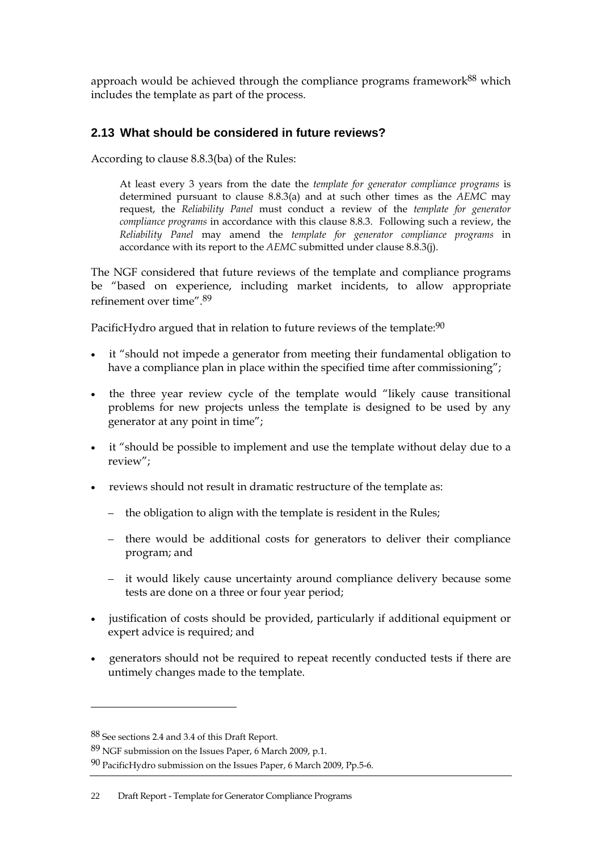approach would be achieved through the compliance programs framework $88$  which includes the template as part of the process.

#### **2.13 What should be considered in future reviews?**

According to clause 8.8.3(ba) of the Rules:

 At least every 3 years from the date the *template for generator compliance programs* is determined pursuant to clause 8.8.3(a) and at such other times as the *AEMC* may request, the *Reliability Panel* must conduct a review of the *template for generator compliance programs* in accordance with this clause 8.8.3. Following such a review, the *Reliability Panel* may amend the *template for generator compliance programs* in accordance with its report to the *AEMC* submitted under clause 8.8.3(j).

The NGF considered that future reviews of the template and compliance programs be "based on experience, including market incidents, to allow appropriate refinement over time".89

PacificHydro argued that in relation to future reviews of the template:<sup>90</sup>

- it "should not impede a generator from meeting their fundamental obligation to have a compliance plan in place within the specified time after commissioning";
- the three year review cycle of the template would "likely cause transitional problems for new projects unless the template is designed to be used by any generator at any point in time";
- it "should be possible to implement and use the template without delay due to a review";
- reviews should not result in dramatic restructure of the template as:
	- the obligation to align with the template is resident in the Rules;
	- there would be additional costs for generators to deliver their compliance program; and
	- it would likely cause uncertainty around compliance delivery because some tests are done on a three or four year period;
- justification of costs should be provided, particularly if additional equipment or expert advice is required; and
- generators should not be required to repeat recently conducted tests if there are untimely changes made to the template.

 $\overline{a}$ 

89 NGF submission on the Issues Paper, 6 March 2009, p.1.

<sup>88</sup> See sections 2.4 and 3.4 of this Draft Report.

<sup>90</sup> PacificHydro submission on the Issues Paper, 6 March 2009, Pp.5-6.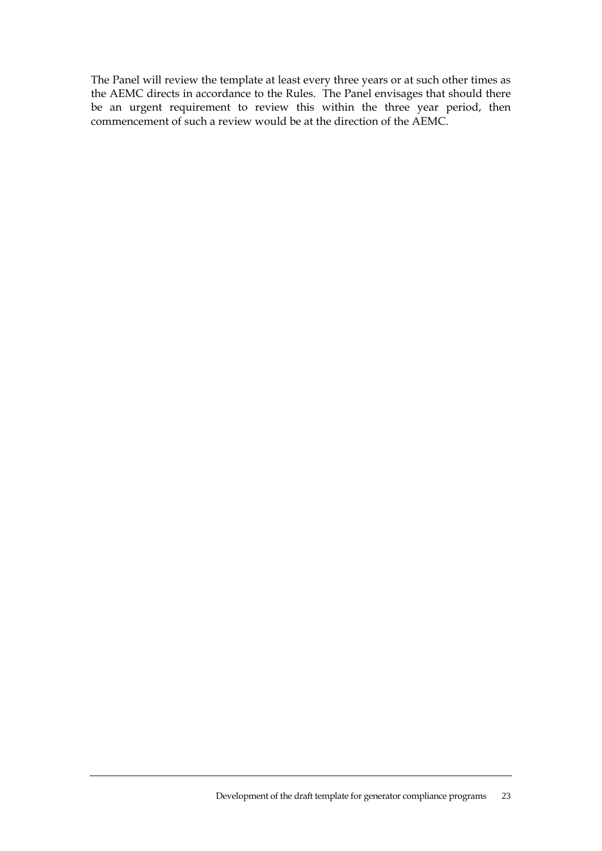The Panel will review the template at least every three years or at such other times as the AEMC directs in accordance to the Rules. The Panel envisages that should there be an urgent requirement to review this within the three year period, then commencement of such a review would be at the direction of the AEMC.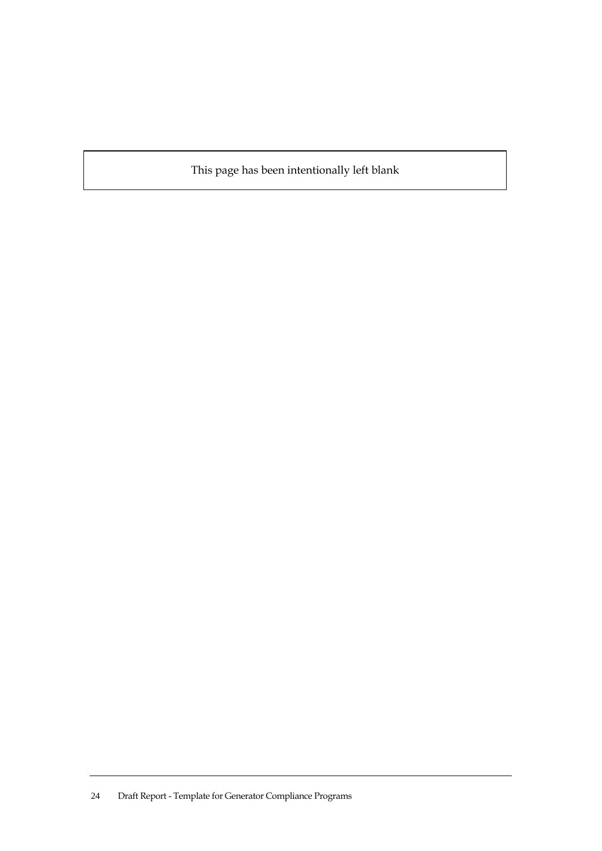This page has been intentionally left blank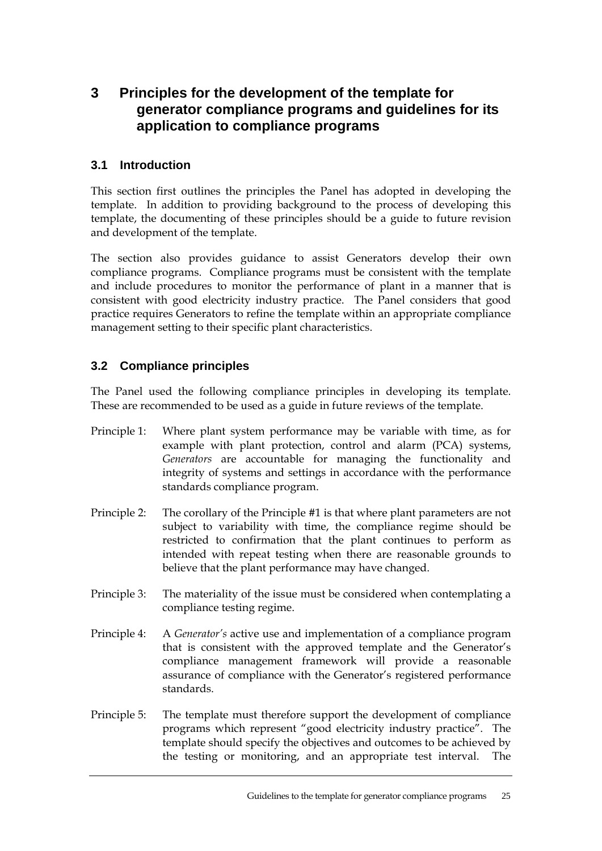## **3 Principles for the development of the template for generator compliance programs and guidelines for its application to compliance programs**

#### **3.1 Introduction**

This section first outlines the principles the Panel has adopted in developing the template. In addition to providing background to the process of developing this template, the documenting of these principles should be a guide to future revision and development of the template.

The section also provides guidance to assist Generators develop their own compliance programs. Compliance programs must be consistent with the template and include procedures to monitor the performance of plant in a manner that is consistent with good electricity industry practice. The Panel considers that good practice requires Generators to refine the template within an appropriate compliance management setting to their specific plant characteristics.

#### **3.2 Compliance principles**

The Panel used the following compliance principles in developing its template. These are recommended to be used as a guide in future reviews of the template.

- Principle 1: Where plant system performance may be variable with time, as for example with plant protection, control and alarm (PCA) systems, *Generators* are accountable for managing the functionality and integrity of systems and settings in accordance with the performance standards compliance program.
- Principle 2: The corollary of the Principle #1 is that where plant parameters are not subject to variability with time, the compliance regime should be restricted to confirmation that the plant continues to perform as intended with repeat testing when there are reasonable grounds to believe that the plant performance may have changed.
- Principle 3: The materiality of the issue must be considered when contemplating a compliance testing regime.
- Principle 4: A *Generator's* active use and implementation of a compliance program that is consistent with the approved template and the Generator's compliance management framework will provide a reasonable assurance of compliance with the Generator's registered performance standards.
- Principle 5: The template must therefore support the development of compliance programs which represent "good electricity industry practice". The template should specify the objectives and outcomes to be achieved by the testing or monitoring, and an appropriate test interval. The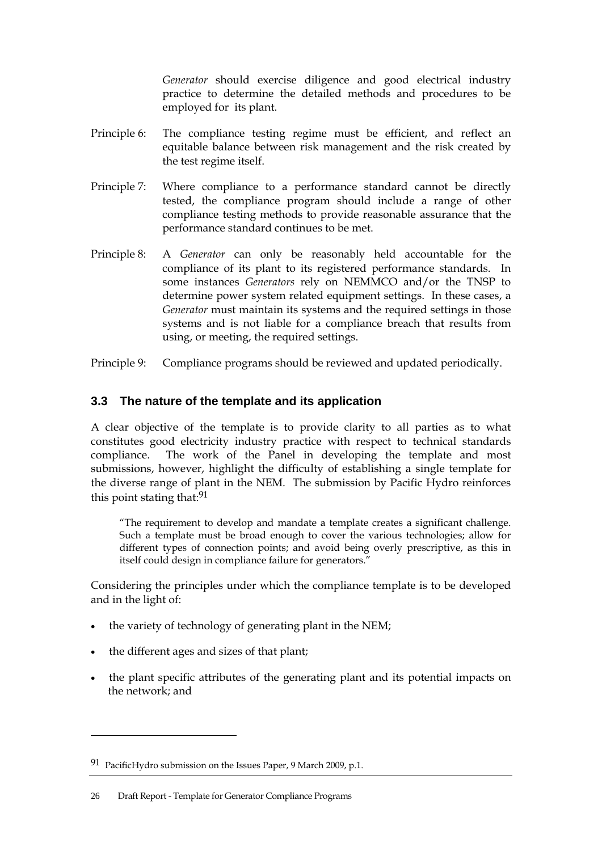*Generator* should exercise diligence and good electrical industry practice to determine the detailed methods and procedures to be employed for its plant.

- Principle 6: The compliance testing regime must be efficient, and reflect an equitable balance between risk management and the risk created by the test regime itself.
- Principle 7: Where compliance to a performance standard cannot be directly tested, the compliance program should include a range of other compliance testing methods to provide reasonable assurance that the performance standard continues to be met.
- Principle 8: A *Generator* can only be reasonably held accountable for the compliance of its plant to its registered performance standards. In some instances *Generators* rely on NEMMCO and/or the TNSP to determine power system related equipment settings. In these cases, a *Generator* must maintain its systems and the required settings in those systems and is not liable for a compliance breach that results from using, or meeting, the required settings.
- Principle 9: Compliance programs should be reviewed and updated periodically.

#### **3.3 The nature of the template and its application**

A clear objective of the template is to provide clarity to all parties as to what constitutes good electricity industry practice with respect to technical standards compliance. The work of the Panel in developing the template and most submissions, however, highlight the difficulty of establishing a single template for the diverse range of plant in the NEM. The submission by Pacific Hydro reinforces this point stating that:91

"The requirement to develop and mandate a template creates a significant challenge. Such a template must be broad enough to cover the various technologies; allow for different types of connection points; and avoid being overly prescriptive, as this in itself could design in compliance failure for generators."

Considering the principles under which the compliance template is to be developed and in the light of:

- the variety of technology of generating plant in the NEM;
- the different ages and sizes of that plant;

• the plant specific attributes of the generating plant and its potential impacts on the network; and

<sup>91</sup> PacificHydro submission on the Issues Paper, 9 March 2009, p.1.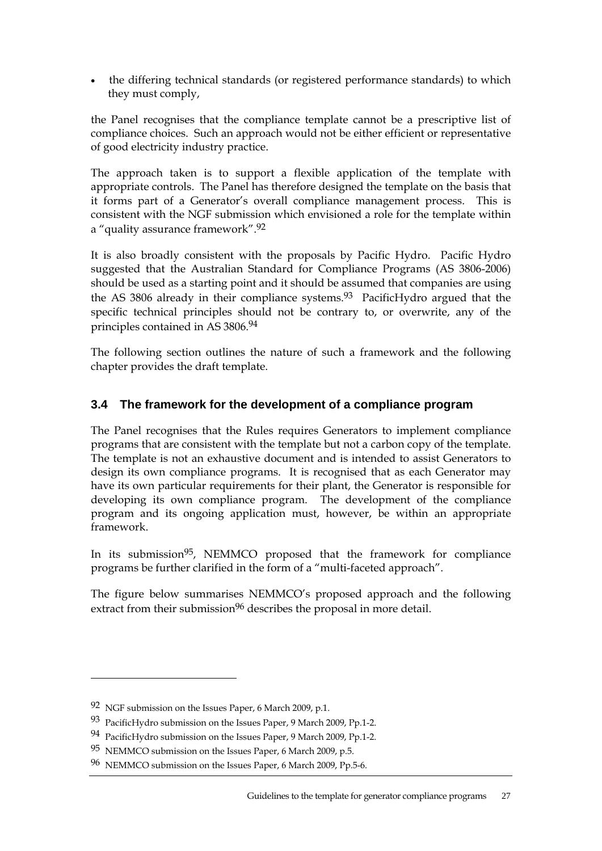• the differing technical standards (or registered performance standards) to which they must comply,

the Panel recognises that the compliance template cannot be a prescriptive list of compliance choices. Such an approach would not be either efficient or representative of good electricity industry practice.

The approach taken is to support a flexible application of the template with appropriate controls. The Panel has therefore designed the template on the basis that it forms part of a Generator's overall compliance management process. This is consistent with the NGF submission which envisioned a role for the template within a "quality assurance framework".92

It is also broadly consistent with the proposals by Pacific Hydro. Pacific Hydro suggested that the Australian Standard for Compliance Programs (AS 3806-2006) should be used as a starting point and it should be assumed that companies are using the AS 3806 already in their compliance systems.93 PacificHydro argued that the specific technical principles should not be contrary to, or overwrite, any of the principles contained in AS 3806.94

The following section outlines the nature of such a framework and the following chapter provides the draft template.

#### **3.4 The framework for the development of a compliance program**

The Panel recognises that the Rules requires Generators to implement compliance programs that are consistent with the template but not a carbon copy of the template. The template is not an exhaustive document and is intended to assist Generators to design its own compliance programs. It is recognised that as each Generator may have its own particular requirements for their plant, the Generator is responsible for developing its own compliance program. The development of the compliance program and its ongoing application must, however, be within an appropriate framework.

In its submission<sup>95</sup>, NEMMCO proposed that the framework for compliance programs be further clarified in the form of a "multi-faceted approach".

The figure below summarises NEMMCO's proposed approach and the following extract from their submission<sup>96</sup> describes the proposal in more detail.

<sup>92</sup> NGF submission on the Issues Paper, 6 March 2009, p.1.

<sup>93</sup> PacificHydro submission on the Issues Paper, 9 March 2009, Pp.1-2.

<sup>94</sup> PacificHydro submission on the Issues Paper, 9 March 2009, Pp.1-2.

<sup>95</sup> NEMMCO submission on the Issues Paper, 6 March 2009, p.5.

<sup>96</sup> NEMMCO submission on the Issues Paper, 6 March 2009, Pp.5-6.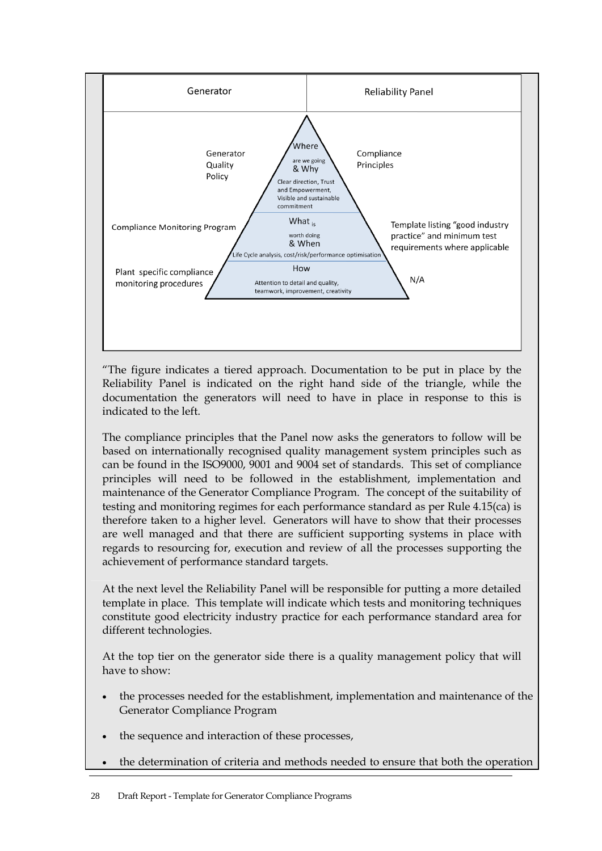

"The figure indicates a tiered approach. Documentation to be put in place by the Reliability Panel is indicated on the right hand side of the triangle, while the documentation the generators will need to have in place in response to this is indicated to the left.

The compliance principles that the Panel now asks the generators to follow will be based on internationally recognised quality management system principles such as can be found in the ISO9000, 9001 and 9004 set of standards. This set of compliance principles will need to be followed in the establishment, implementation and maintenance of the Generator Compliance Program. The concept of the suitability of testing and monitoring regimes for each performance standard as per Rule 4.15(ca) is therefore taken to a higher level. Generators will have to show that their processes are well managed and that there are sufficient supporting systems in place with regards to resourcing for, execution and review of all the processes supporting the achievement of performance standard targets.

At the next level the Reliability Panel will be responsible for putting a more detailed template in place. This template will indicate which tests and monitoring techniques constitute good electricity industry practice for each performance standard area for different technologies.

At the top tier on the generator side there is a quality management policy that will have to show:

- the processes needed for the establishment, implementation and maintenance of the Generator Compliance Program
- the sequence and interaction of these processes,
- the determination of criteria and methods needed to ensure that both the operation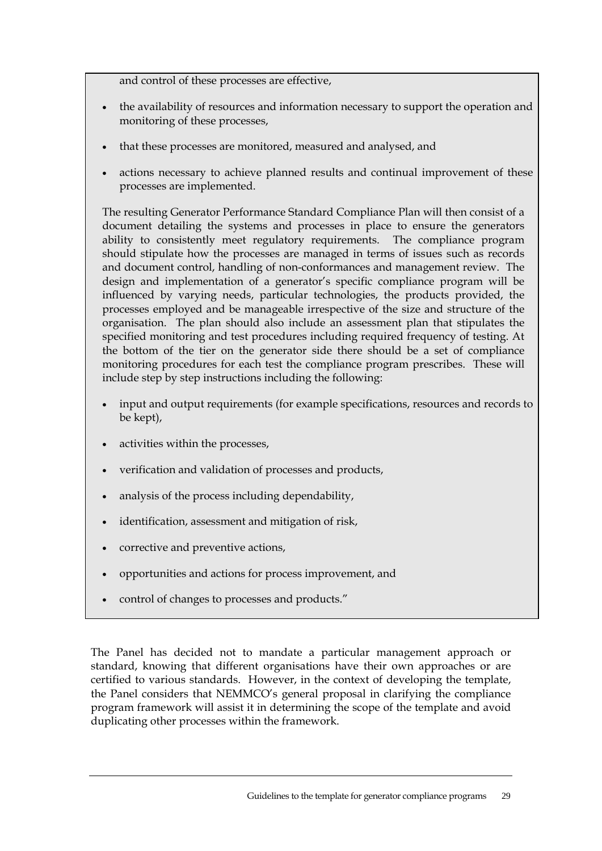and control of these processes are effective,

- the availability of resources and information necessary to support the operation and monitoring of these processes,
- that these processes are monitored, measured and analysed, and
- actions necessary to achieve planned results and continual improvement of these processes are implemented.

The resulting Generator Performance Standard Compliance Plan will then consist of a document detailing the systems and processes in place to ensure the generators ability to consistently meet regulatory requirements. The compliance program should stipulate how the processes are managed in terms of issues such as records and document control, handling of non-conformances and management review. The design and implementation of a generator's specific compliance program will be influenced by varying needs, particular technologies, the products provided, the processes employed and be manageable irrespective of the size and structure of the organisation. The plan should also include an assessment plan that stipulates the specified monitoring and test procedures including required frequency of testing. At the bottom of the tier on the generator side there should be a set of compliance monitoring procedures for each test the compliance program prescribes. These will include step by step instructions including the following:

- input and output requirements (for example specifications, resources and records to be kept),
- activities within the processes,
- verification and validation of processes and products,
- analysis of the process including dependability,
- identification, assessment and mitigation of risk,
- corrective and preventive actions,
- opportunities and actions for process improvement, and
- control of changes to processes and products."

The Panel has decided not to mandate a particular management approach or standard, knowing that different organisations have their own approaches or are certified to various standards. However, in the context of developing the template, the Panel considers that NEMMCO's general proposal in clarifying the compliance program framework will assist it in determining the scope of the template and avoid duplicating other processes within the framework.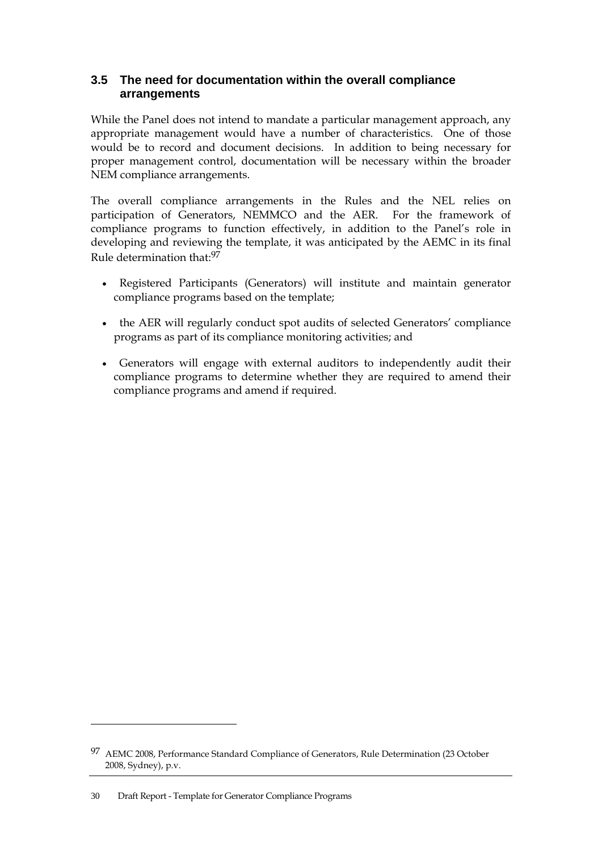#### **3.5 The need for documentation within the overall compliance arrangements**

While the Panel does not intend to mandate a particular management approach, any appropriate management would have a number of characteristics. One of those would be to record and document decisions. In addition to being necessary for proper management control, documentation will be necessary within the broader NEM compliance arrangements.

The overall compliance arrangements in the Rules and the NEL relies on participation of Generators, NEMMCO and the AER. For the framework of compliance programs to function effectively, in addition to the Panel's role in developing and reviewing the template, it was anticipated by the AEMC in its final Rule determination that:97

- Registered Participants (Generators) will institute and maintain generator compliance programs based on the template;
- the AER will regularly conduct spot audits of selected Generators' compliance programs as part of its compliance monitoring activities; and
- Generators will engage with external auditors to independently audit their compliance programs to determine whether they are required to amend their compliance programs and amend if required.

<sup>97</sup> AEMC 2008, Performance Standard Compliance of Generators, Rule Determination (23 October 2008, Sydney), p.v.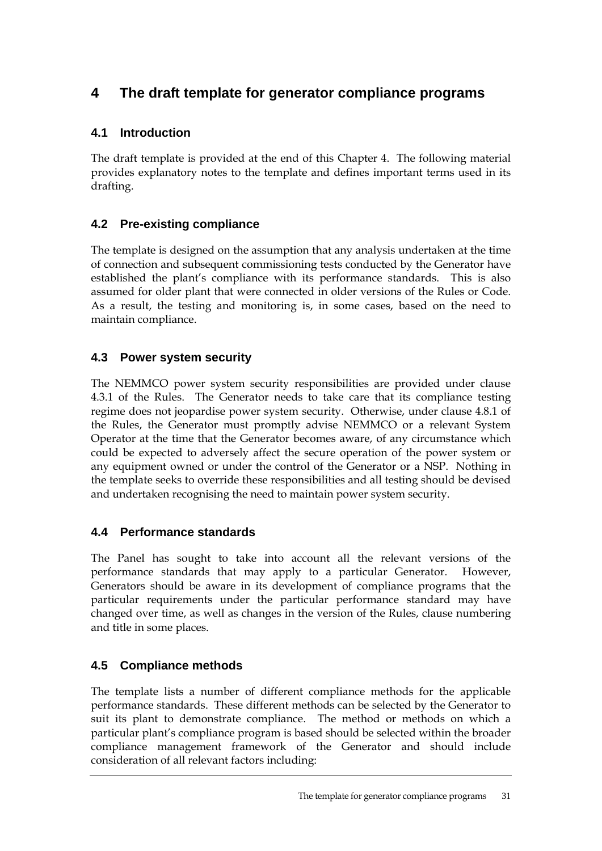# **4 The draft template for generator compliance programs**

## **4.1 Introduction**

The draft template is provided at the end of this Chapter 4. The following material provides explanatory notes to the template and defines important terms used in its drafting.

## **4.2 Pre-existing compliance**

The template is designed on the assumption that any analysis undertaken at the time of connection and subsequent commissioning tests conducted by the Generator have established the plant's compliance with its performance standards. This is also assumed for older plant that were connected in older versions of the Rules or Code. As a result, the testing and monitoring is, in some cases, based on the need to maintain compliance.

## **4.3 Power system security**

The NEMMCO power system security responsibilities are provided under clause 4.3.1 of the Rules. The Generator needs to take care that its compliance testing regime does not jeopardise power system security. Otherwise, under clause 4.8.1 of the Rules, the Generator must promptly advise NEMMCO or a relevant System Operator at the time that the Generator becomes aware, of any circumstance which could be expected to adversely affect the secure operation of the power system or any equipment owned or under the control of the Generator or a NSP. Nothing in the template seeks to override these responsibilities and all testing should be devised and undertaken recognising the need to maintain power system security.

#### **4.4 Performance standards**

The Panel has sought to take into account all the relevant versions of the performance standards that may apply to a particular Generator. However, Generators should be aware in its development of compliance programs that the particular requirements under the particular performance standard may have changed over time, as well as changes in the version of the Rules, clause numbering and title in some places.

#### **4.5 Compliance methods**

The template lists a number of different compliance methods for the applicable performance standards. These different methods can be selected by the Generator to suit its plant to demonstrate compliance. The method or methods on which a particular plant's compliance program is based should be selected within the broader compliance management framework of the Generator and should include consideration of all relevant factors including: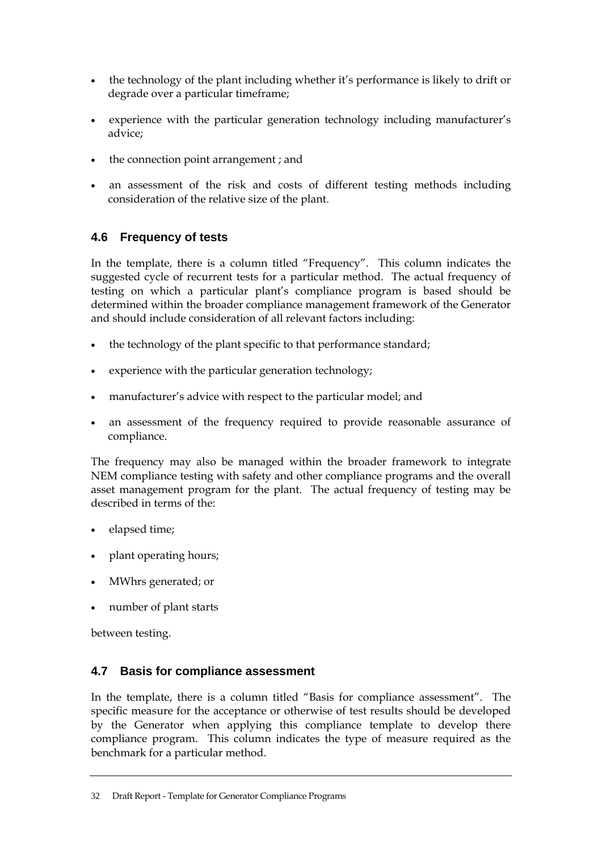- the technology of the plant including whether it's performance is likely to drift or degrade over a particular timeframe;
- experience with the particular generation technology including manufacturer's advice;
- the connection point arrangement ; and
- an assessment of the risk and costs of different testing methods including consideration of the relative size of the plant.

## **4.6 Frequency of tests**

In the template, there is a column titled "Frequency". This column indicates the suggested cycle of recurrent tests for a particular method. The actual frequency of testing on which a particular plant's compliance program is based should be determined within the broader compliance management framework of the Generator and should include consideration of all relevant factors including:

- the technology of the plant specific to that performance standard;
- experience with the particular generation technology;
- manufacturer's advice with respect to the particular model; and
- an assessment of the frequency required to provide reasonable assurance of compliance.

The frequency may also be managed within the broader framework to integrate NEM compliance testing with safety and other compliance programs and the overall asset management program for the plant. The actual frequency of testing may be described in terms of the:

- elapsed time;
- plant operating hours;
- MWhrs generated; or
- number of plant starts

between testing.

#### **4.7 Basis for compliance assessment**

In the template, there is a column titled "Basis for compliance assessment". The specific measure for the acceptance or otherwise of test results should be developed by the Generator when applying this compliance template to develop there compliance program. This column indicates the type of measure required as the benchmark for a particular method.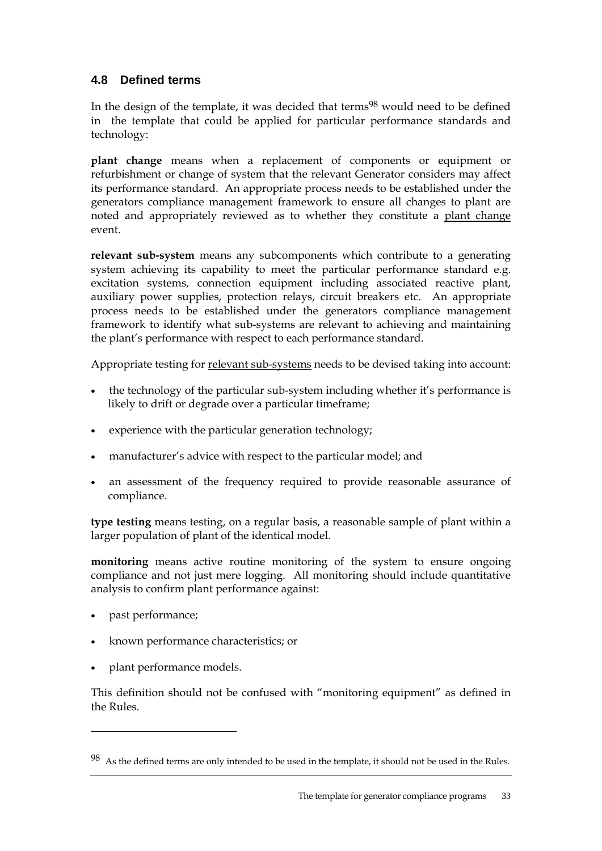### **4.8 Defined terms**

In the design of the template, it was decided that terms<sup>98</sup> would need to be defined in the template that could be applied for particular performance standards and technology:

**plant change** means when a replacement of components or equipment or refurbishment or change of system that the relevant Generator considers may affect its performance standard. An appropriate process needs to be established under the generators compliance management framework to ensure all changes to plant are noted and appropriately reviewed as to whether they constitute a plant change event.

**relevant sub-system** means any subcomponents which contribute to a generating system achieving its capability to meet the particular performance standard e.g. excitation systems, connection equipment including associated reactive plant, auxiliary power supplies, protection relays, circuit breakers etc. An appropriate process needs to be established under the generators compliance management framework to identify what sub-systems are relevant to achieving and maintaining the plant's performance with respect to each performance standard.

Appropriate testing for relevant sub-systems needs to be devised taking into account:

- the technology of the particular sub-system including whether it's performance is likely to drift or degrade over a particular timeframe;
- experience with the particular generation technology;
- manufacturer's advice with respect to the particular model; and
- an assessment of the frequency required to provide reasonable assurance of compliance.

**type testing** means testing, on a regular basis, a reasonable sample of plant within a larger population of plant of the identical model.

**monitoring** means active routine monitoring of the system to ensure ongoing compliance and not just mere logging. All monitoring should include quantitative analysis to confirm plant performance against:

• past performance;

 $\overline{a}$ 

- known performance characteristics; or
- plant performance models.

This definition should not be confused with "monitoring equipment" as defined in the Rules.

<sup>98</sup> As the defined terms are only intended to be used in the template, it should not be used in the Rules.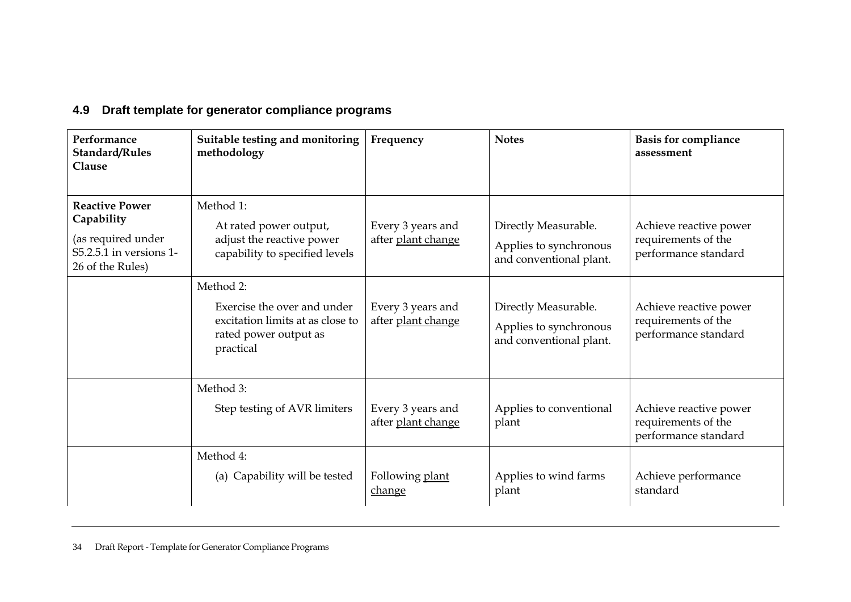### **4.9 Draft template for generator compliance programs**

| Performance<br><b>Standard/Rules</b><br>Clause                                                           | Suitable testing and monitoring<br>methodology                                                                     | Frequency                               | <b>Notes</b>                                                              | <b>Basis for compliance</b><br>assessment                             |
|----------------------------------------------------------------------------------------------------------|--------------------------------------------------------------------------------------------------------------------|-----------------------------------------|---------------------------------------------------------------------------|-----------------------------------------------------------------------|
| <b>Reactive Power</b><br>Capability<br>(as required under<br>S5.2.5.1 in versions 1-<br>26 of the Rules) | Method 1:<br>At rated power output,<br>adjust the reactive power<br>capability to specified levels                 | Every 3 years and<br>after plant change | Directly Measurable.<br>Applies to synchronous<br>and conventional plant. | Achieve reactive power<br>requirements of the<br>performance standard |
|                                                                                                          | Method 2:<br>Exercise the over and under<br>excitation limits at as close to<br>rated power output as<br>practical | Every 3 years and<br>after plant change | Directly Measurable.<br>Applies to synchronous<br>and conventional plant. | Achieve reactive power<br>requirements of the<br>performance standard |
|                                                                                                          | Method 3:<br>Step testing of AVR limiters                                                                          | Every 3 years and<br>after plant change | Applies to conventional<br>plant                                          | Achieve reactive power<br>requirements of the<br>performance standard |
|                                                                                                          | Method 4:<br>(a) Capability will be tested                                                                         | Following plant<br>change               | Applies to wind farms<br>plant                                            | Achieve performance<br>standard                                       |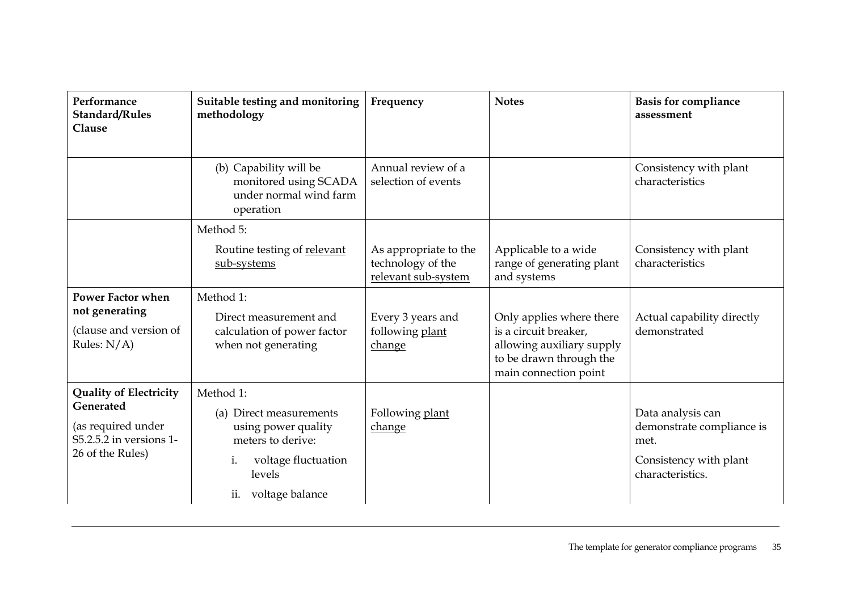| Performance<br><b>Standard/Rules</b><br>Clause                                 | Suitable testing and monitoring<br>methodology                                                                                       | Frequency                                                         | <b>Notes</b>                                                                                           | <b>Basis for compliance</b><br>assessment                                                            |
|--------------------------------------------------------------------------------|--------------------------------------------------------------------------------------------------------------------------------------|-------------------------------------------------------------------|--------------------------------------------------------------------------------------------------------|------------------------------------------------------------------------------------------------------|
|                                                                                | (b) Capability will be<br>monitored using SCADA<br>under normal wind farm<br>operation                                               | Annual review of a<br>selection of events                         |                                                                                                        | Consistency with plant<br>characteristics                                                            |
|                                                                                | Method 5:                                                                                                                            |                                                                   |                                                                                                        |                                                                                                      |
|                                                                                | Routine testing of relevant<br>sub-systems                                                                                           | As appropriate to the<br>technology of the<br>relevant sub-system | Applicable to a wide<br>range of generating plant<br>and systems                                       | Consistency with plant<br>characteristics                                                            |
| <b>Power Factor when</b>                                                       | Method 1:                                                                                                                            |                                                                   |                                                                                                        |                                                                                                      |
| not generating                                                                 | Direct measurement and                                                                                                               | Every 3 years and                                                 | Only applies where there                                                                               | Actual capability directly                                                                           |
| (clause and version of<br>Rules: $N/A$ )                                       | calculation of power factor<br>when not generating                                                                                   | following plant<br>change                                         | is a circuit breaker,<br>allowing auxiliary supply<br>to be drawn through the<br>main connection point | demonstrated                                                                                         |
| <b>Quality of Electricity</b>                                                  | Method 1:                                                                                                                            |                                                                   |                                                                                                        |                                                                                                      |
| Generated<br>(as required under<br>S5.2.5.2 in versions 1-<br>26 of the Rules) | (a) Direct measurements<br>using power quality<br>meters to derive:<br>voltage fluctuation<br>i.<br>levels<br>voltage balance<br>ii. | Following plant<br>change                                         |                                                                                                        | Data analysis can<br>demonstrate compliance is<br>met.<br>Consistency with plant<br>characteristics. |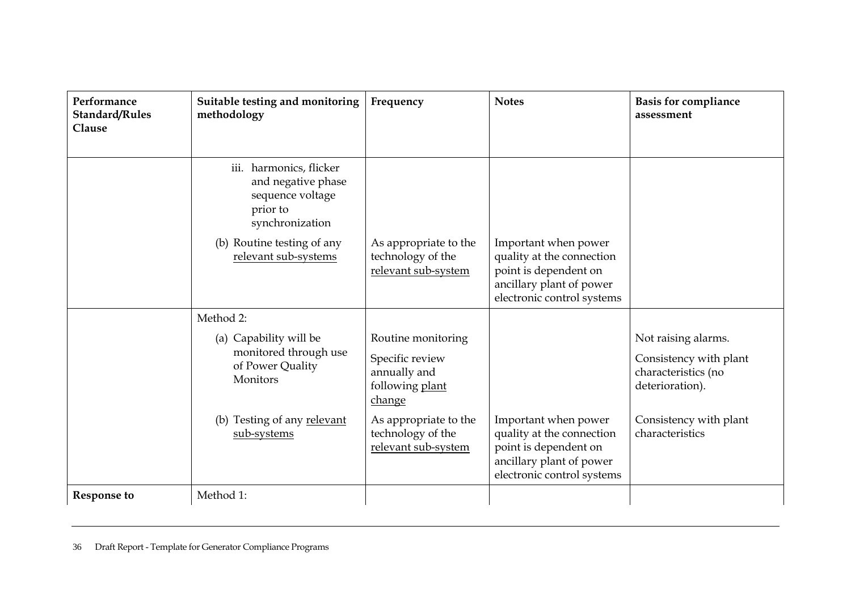| Performance<br>Standard/Rules<br>Clause | Suitable testing and monitoring<br>methodology                                                   | Frequency                                                         | <b>Notes</b>                                                                                                                         | <b>Basis for compliance</b><br>assessment                        |
|-----------------------------------------|--------------------------------------------------------------------------------------------------|-------------------------------------------------------------------|--------------------------------------------------------------------------------------------------------------------------------------|------------------------------------------------------------------|
|                                         | iii. harmonics, flicker<br>and negative phase<br>sequence voltage<br>prior to<br>synchronization |                                                                   |                                                                                                                                      |                                                                  |
|                                         | (b) Routine testing of any<br>relevant sub-systems                                               | As appropriate to the<br>technology of the<br>relevant sub-system | Important when power<br>quality at the connection<br>point is dependent on<br>ancillary plant of power<br>electronic control systems |                                                                  |
|                                         | Method 2:                                                                                        |                                                                   |                                                                                                                                      |                                                                  |
|                                         | (a) Capability will be                                                                           | Routine monitoring                                                |                                                                                                                                      | Not raising alarms.                                              |
|                                         | monitored through use<br>of Power Quality<br>Monitors                                            | Specific review<br>annually and<br>following plant<br>change      |                                                                                                                                      | Consistency with plant<br>characteristics (no<br>deterioration). |
|                                         | Testing of any relevant<br>(b)<br>sub-systems                                                    | As appropriate to the<br>technology of the<br>relevant sub-system | Important when power<br>quality at the connection<br>point is dependent on<br>ancillary plant of power<br>electronic control systems | Consistency with plant<br>characteristics                        |
| <b>Response to</b>                      | Method 1:                                                                                        |                                                                   |                                                                                                                                      |                                                                  |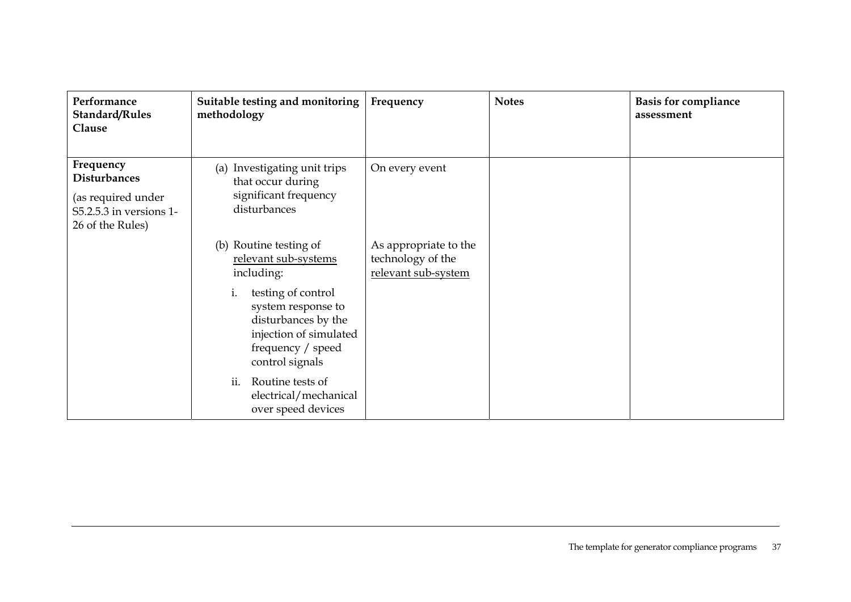| Performance<br>Standard/Rules<br>Clause                                                               | Suitable testing and monitoring<br>methodology                                                                                                                                                                                                                                    | Frequency                                                         | <b>Notes</b> | <b>Basis for compliance</b><br>assessment |
|-------------------------------------------------------------------------------------------------------|-----------------------------------------------------------------------------------------------------------------------------------------------------------------------------------------------------------------------------------------------------------------------------------|-------------------------------------------------------------------|--------------|-------------------------------------------|
| Frequency<br><b>Disturbances</b><br>(as required under<br>S5.2.5.3 in versions 1-<br>26 of the Rules) | (a) Investigating unit trips<br>that occur during<br>significant frequency<br>disturbances                                                                                                                                                                                        | On every event                                                    |              |                                           |
|                                                                                                       | (b) Routine testing of<br>relevant sub-systems<br>including:<br>testing of control<br>i.<br>system response to<br>disturbances by the<br>injection of simulated<br>frequency / speed<br>control signals<br>ii.<br>Routine tests of<br>electrical/mechanical<br>over speed devices | As appropriate to the<br>technology of the<br>relevant sub-system |              |                                           |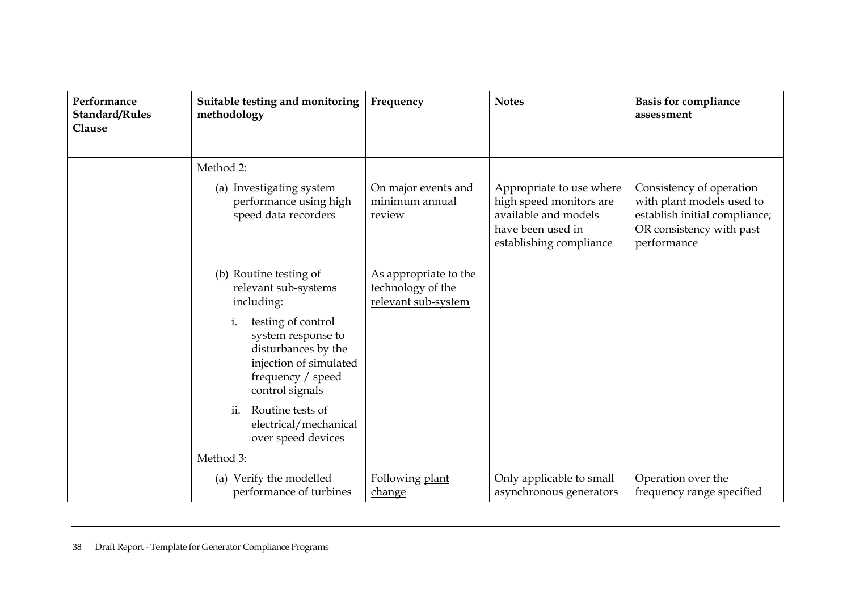| Performance<br>Standard/Rules<br>Clause | Suitable testing and monitoring<br>methodology                                                                                          | Frequency                                                         | <b>Notes</b>                                                                                                                | <b>Basis for compliance</b><br>assessment                                                                                         |
|-----------------------------------------|-----------------------------------------------------------------------------------------------------------------------------------------|-------------------------------------------------------------------|-----------------------------------------------------------------------------------------------------------------------------|-----------------------------------------------------------------------------------------------------------------------------------|
|                                         | Method 2:                                                                                                                               |                                                                   |                                                                                                                             |                                                                                                                                   |
|                                         | (a) Investigating system<br>performance using high<br>speed data recorders                                                              | On major events and<br>minimum annual<br>review                   | Appropriate to use where<br>high speed monitors are<br>available and models<br>have been used in<br>establishing compliance | Consistency of operation<br>with plant models used to<br>establish initial compliance;<br>OR consistency with past<br>performance |
|                                         | (b) Routine testing of<br>relevant sub-systems<br>including:                                                                            | As appropriate to the<br>technology of the<br>relevant sub-system |                                                                                                                             |                                                                                                                                   |
|                                         | testing of control<br>i.<br>system response to<br>disturbances by the<br>injection of simulated<br>frequency / speed<br>control signals |                                                                   |                                                                                                                             |                                                                                                                                   |
|                                         | Routine tests of<br>ii.<br>electrical/mechanical<br>over speed devices                                                                  |                                                                   |                                                                                                                             |                                                                                                                                   |
|                                         | Method 3:                                                                                                                               |                                                                   |                                                                                                                             |                                                                                                                                   |
|                                         | (a) Verify the modelled<br>performance of turbines                                                                                      | Following plant<br>change                                         | Only applicable to small<br>asynchronous generators                                                                         | Operation over the<br>frequency range specified                                                                                   |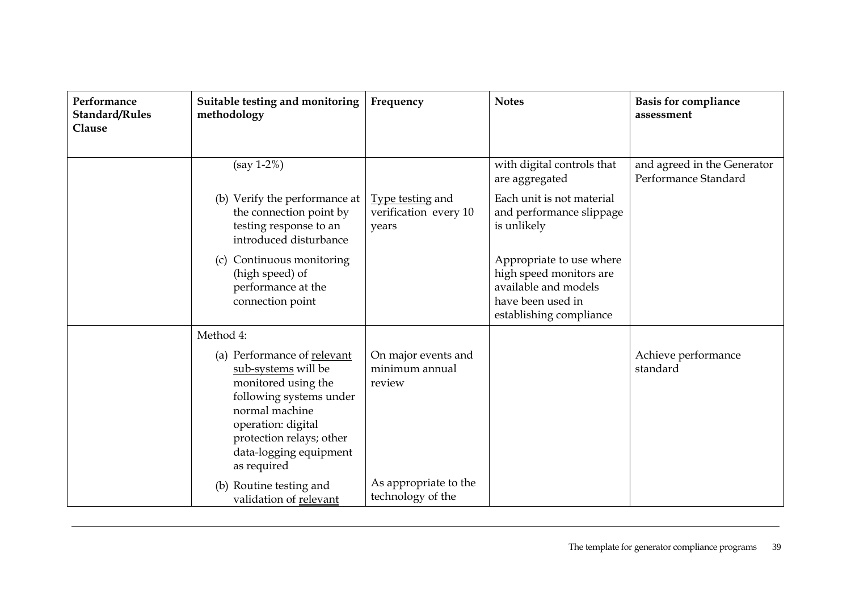| Performance<br>Standard/Rules<br>Clause | Suitable testing and monitoring<br>methodology                                                                                                                                                                                 | Frequency                                          | <b>Notes</b>                                                                                                                | <b>Basis for compliance</b><br>assessment           |
|-----------------------------------------|--------------------------------------------------------------------------------------------------------------------------------------------------------------------------------------------------------------------------------|----------------------------------------------------|-----------------------------------------------------------------------------------------------------------------------------|-----------------------------------------------------|
|                                         | $(say 1-2%)$<br>(b) Verify the performance at<br>the connection point by<br>testing response to an<br>introduced disturbance                                                                                                   | Type testing and<br>verification every 10<br>years | with digital controls that<br>are aggregated<br>Each unit is not material<br>and performance slippage<br>is unlikely        | and agreed in the Generator<br>Performance Standard |
|                                         | (c) Continuous monitoring<br>(high speed) of<br>performance at the<br>connection point                                                                                                                                         |                                                    | Appropriate to use where<br>high speed monitors are<br>available and models<br>have been used in<br>establishing compliance |                                                     |
|                                         | Method 4:<br>(a) Performance of relevant<br>sub-systems will be<br>monitored using the<br>following systems under<br>normal machine<br>operation: digital<br>protection relays; other<br>data-logging equipment<br>as required | On major events and<br>minimum annual<br>review    |                                                                                                                             | Achieve performance<br>standard                     |
|                                         | (b) Routine testing and<br>validation of relevant                                                                                                                                                                              | As appropriate to the<br>technology of the         |                                                                                                                             |                                                     |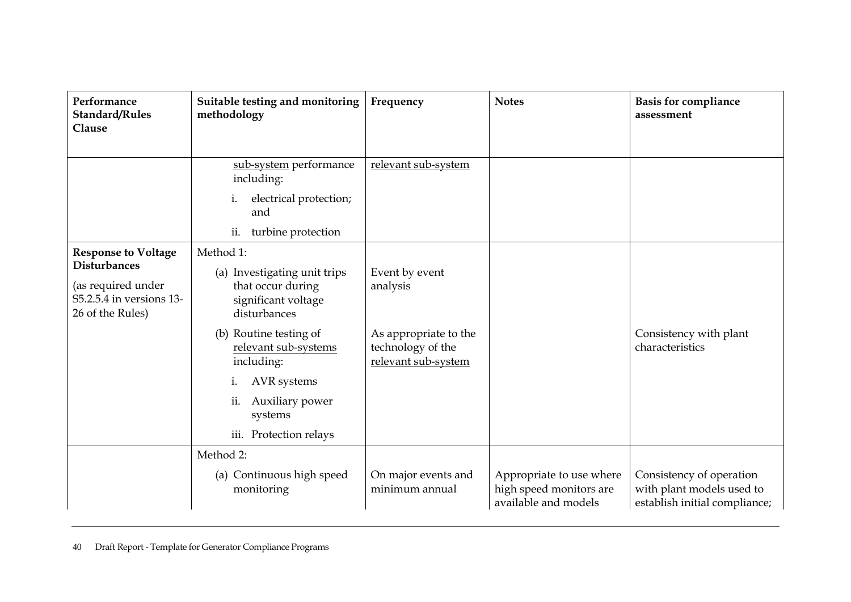| Performance<br>Standard/Rules<br>Clause                                                                                 | Suitable testing and monitoring<br>methodology                                                                                                                                                                 | Frequency                                                                                       | <b>Notes</b>                                                                | <b>Basis for compliance</b><br>assessment                                              |
|-------------------------------------------------------------------------------------------------------------------------|----------------------------------------------------------------------------------------------------------------------------------------------------------------------------------------------------------------|-------------------------------------------------------------------------------------------------|-----------------------------------------------------------------------------|----------------------------------------------------------------------------------------|
|                                                                                                                         | sub-system performance<br>including:<br>electrical protection;<br>i.<br>and<br>ii.<br>turbine protection                                                                                                       | relevant sub-system                                                                             |                                                                             |                                                                                        |
| <b>Response to Voltage</b><br><b>Disturbances</b><br>(as required under<br>S5.2.5.4 in versions 13-<br>26 of the Rules) | Method 1:<br>(a) Investigating unit trips<br>that occur during<br>significant voltage<br>disturbances<br>(b) Routine testing of<br>relevant sub-systems<br>including:<br>AVR systems<br>ii.<br>Auxiliary power | Event by event<br>analysis<br>As appropriate to the<br>technology of the<br>relevant sub-system |                                                                             | Consistency with plant<br>characteristics                                              |
|                                                                                                                         | systems<br>iii. Protection relays<br>Method 2:                                                                                                                                                                 |                                                                                                 |                                                                             |                                                                                        |
|                                                                                                                         | (a) Continuous high speed<br>monitoring                                                                                                                                                                        | On major events and<br>minimum annual                                                           | Appropriate to use where<br>high speed monitors are<br>available and models | Consistency of operation<br>with plant models used to<br>establish initial compliance; |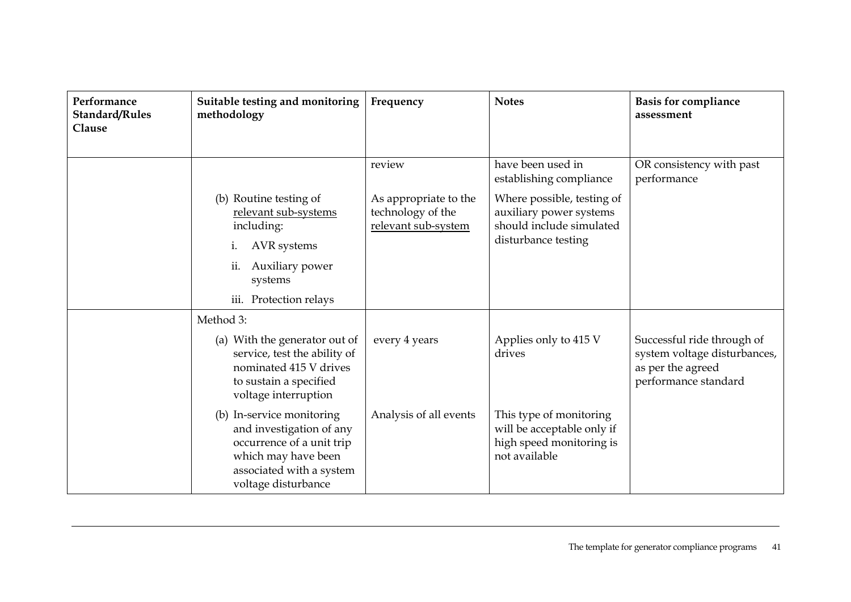| Performance<br>Standard/Rules<br>Clause | Suitable testing and monitoring<br>methodology                                                                                                               | Frequency                                                         | <b>Notes</b>                                                                                             | <b>Basis for compliance</b><br>assessment                                                               |
|-----------------------------------------|--------------------------------------------------------------------------------------------------------------------------------------------------------------|-------------------------------------------------------------------|----------------------------------------------------------------------------------------------------------|---------------------------------------------------------------------------------------------------------|
|                                         |                                                                                                                                                              | review                                                            | have been used in<br>establishing compliance                                                             | OR consistency with past<br>performance                                                                 |
|                                         | (b) Routine testing of<br>relevant sub-systems<br>including:<br>AVR systems<br>i.<br>Auxiliary power<br>ii.<br>systems                                       | As appropriate to the<br>technology of the<br>relevant sub-system | Where possible, testing of<br>auxiliary power systems<br>should include simulated<br>disturbance testing |                                                                                                         |
|                                         | iii. Protection relays                                                                                                                                       |                                                                   |                                                                                                          |                                                                                                         |
|                                         | Method 3:<br>(a) With the generator out of<br>service, test the ability of<br>nominated 415 V drives<br>to sustain a specified<br>voltage interruption       | every 4 years                                                     | Applies only to 415 V<br>drives                                                                          | Successful ride through of<br>system voltage disturbances,<br>as per the agreed<br>performance standard |
|                                         | (b) In-service monitoring<br>and investigation of any<br>occurrence of a unit trip<br>which may have been<br>associated with a system<br>voltage disturbance | Analysis of all events                                            | This type of monitoring<br>will be acceptable only if<br>high speed monitoring is<br>not available       |                                                                                                         |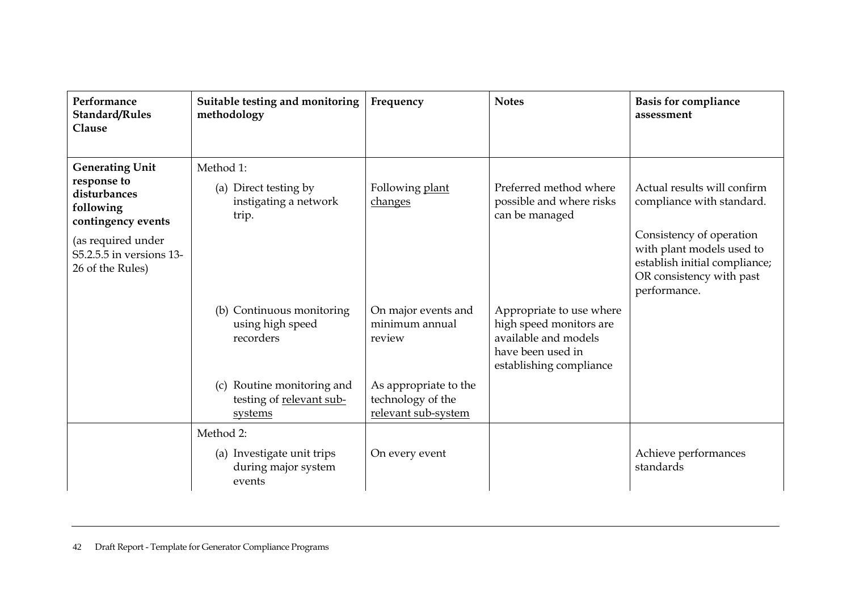| Performance<br>Standard/Rules<br>Clause                                                  | Suitable testing and monitoring<br>methodology                           | Frequency                                                         | <b>Notes</b>                                                                                                                | <b>Basis for compliance</b><br>assessment                                                                                          |
|------------------------------------------------------------------------------------------|--------------------------------------------------------------------------|-------------------------------------------------------------------|-----------------------------------------------------------------------------------------------------------------------------|------------------------------------------------------------------------------------------------------------------------------------|
| <b>Generating Unit</b><br>response to<br>disturbances<br>following<br>contingency events | Method 1:<br>(a) Direct testing by<br>instigating a network<br>trip.     | Following plant<br>changes                                        | Preferred method where<br>possible and where risks<br>can be managed                                                        | Actual results will confirm<br>compliance with standard.                                                                           |
| (as required under<br>S5.2.5.5 in versions 13-<br>26 of the Rules)                       |                                                                          |                                                                   |                                                                                                                             | Consistency of operation<br>with plant models used to<br>establish initial compliance;<br>OR consistency with past<br>performance. |
|                                                                                          | (b) Continuous monitoring<br>using high speed<br>recorders               | On major events and<br>minimum annual<br>review                   | Appropriate to use where<br>high speed monitors are<br>available and models<br>have been used in<br>establishing compliance |                                                                                                                                    |
|                                                                                          | Routine monitoring and<br>(c)<br>testing of relevant sub-<br>systems     | As appropriate to the<br>technology of the<br>relevant sub-system |                                                                                                                             |                                                                                                                                    |
|                                                                                          | Method 2:<br>(a) Investigate unit trips<br>during major system<br>events | On every event                                                    |                                                                                                                             | Achieve performances<br>standards                                                                                                  |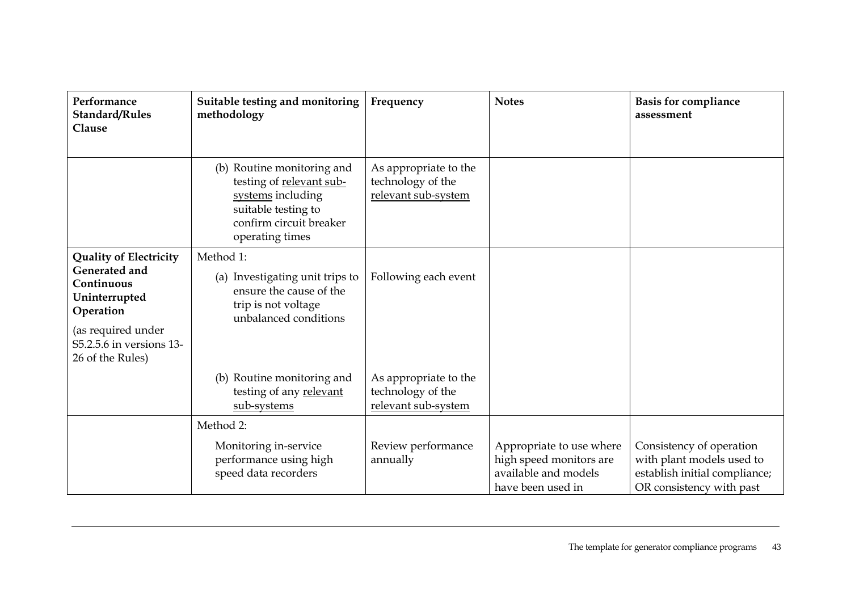| Performance<br><b>Standard/Rules</b><br>Clause                                                                                                                   | Suitable testing and monitoring<br>methodology                                                                                                   | Frequency                                                         | <b>Notes</b>                                                                                     | <b>Basis for compliance</b><br>assessment                                                                          |
|------------------------------------------------------------------------------------------------------------------------------------------------------------------|--------------------------------------------------------------------------------------------------------------------------------------------------|-------------------------------------------------------------------|--------------------------------------------------------------------------------------------------|--------------------------------------------------------------------------------------------------------------------|
|                                                                                                                                                                  | (b) Routine monitoring and<br>testing of relevant sub-<br>systems including<br>suitable testing to<br>confirm circuit breaker<br>operating times | As appropriate to the<br>technology of the<br>relevant sub-system |                                                                                                  |                                                                                                                    |
| <b>Quality of Electricity</b><br>Generated and<br>Continuous<br>Uninterrupted<br>Operation<br>(as required under<br>S5.2.5.6 in versions 13-<br>26 of the Rules) | Method 1:<br>(a) Investigating unit trips to<br>ensure the cause of the<br>trip is not voltage<br>unbalanced conditions                          | Following each event                                              |                                                                                                  |                                                                                                                    |
|                                                                                                                                                                  | (b) Routine monitoring and<br>testing of any relevant<br>sub-systems                                                                             | As appropriate to the<br>technology of the<br>relevant sub-system |                                                                                                  |                                                                                                                    |
|                                                                                                                                                                  | Method 2:<br>Monitoring in-service<br>performance using high<br>speed data recorders                                                             | Review performance<br>annually                                    | Appropriate to use where<br>high speed monitors are<br>available and models<br>have been used in | Consistency of operation<br>with plant models used to<br>establish initial compliance;<br>OR consistency with past |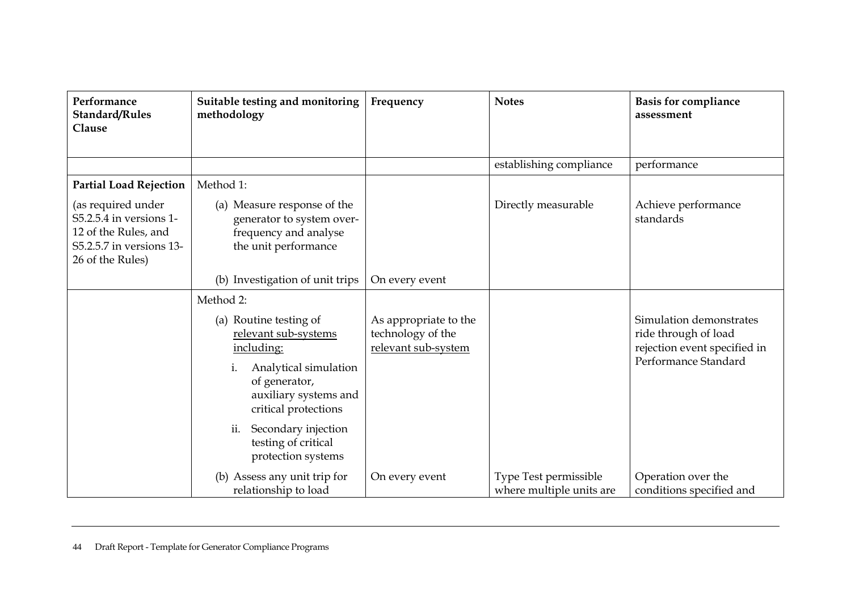| Performance<br>Standard/Rules<br>Clause                                                                               | Suitable testing and monitoring<br>methodology                                                                                                                | Frequency                                                         | <b>Notes</b>                                      | <b>Basis for compliance</b><br>assessment                                                               |
|-----------------------------------------------------------------------------------------------------------------------|---------------------------------------------------------------------------------------------------------------------------------------------------------------|-------------------------------------------------------------------|---------------------------------------------------|---------------------------------------------------------------------------------------------------------|
|                                                                                                                       |                                                                                                                                                               |                                                                   | establishing compliance                           | performance                                                                                             |
| <b>Partial Load Rejection</b>                                                                                         | Method 1:                                                                                                                                                     |                                                                   |                                                   |                                                                                                         |
| (as required under<br>S5.2.5.4 in versions 1-<br>12 of the Rules, and<br>S5.2.5.7 in versions 13-<br>26 of the Rules) | (a) Measure response of the<br>generator to system over-<br>frequency and analyse<br>the unit performance                                                     |                                                                   | Directly measurable                               | Achieve performance<br>standards                                                                        |
|                                                                                                                       | (b) Investigation of unit trips                                                                                                                               | On every event                                                    |                                                   |                                                                                                         |
|                                                                                                                       | Method 2:                                                                                                                                                     |                                                                   |                                                   |                                                                                                         |
|                                                                                                                       | (a) Routine testing of<br>relevant sub-systems<br>including:<br>Analytical simulation<br>i.<br>of generator,<br>auxiliary systems and<br>critical protections | As appropriate to the<br>technology of the<br>relevant sub-system |                                                   | Simulation demonstrates<br>ride through of load<br>rejection event specified in<br>Performance Standard |
|                                                                                                                       | Secondary injection<br>ii.<br>testing of critical<br>protection systems                                                                                       |                                                                   |                                                   |                                                                                                         |
|                                                                                                                       | (b) Assess any unit trip for<br>relationship to load                                                                                                          | On every event                                                    | Type Test permissible<br>where multiple units are | Operation over the<br>conditions specified and                                                          |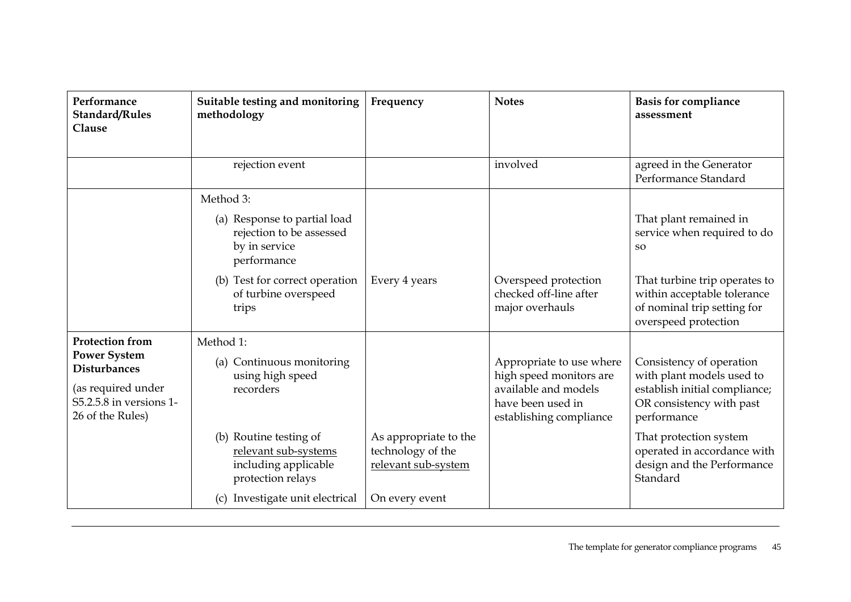| Performance<br><b>Standard/Rules</b><br>Clause                                                                                            | Suitable testing and monitoring<br>methodology                                                                                          | Frequency                                                                           | <b>Notes</b>                                                                                                                | <b>Basis for compliance</b><br>assessment                                                                                         |
|-------------------------------------------------------------------------------------------------------------------------------------------|-----------------------------------------------------------------------------------------------------------------------------------------|-------------------------------------------------------------------------------------|-----------------------------------------------------------------------------------------------------------------------------|-----------------------------------------------------------------------------------------------------------------------------------|
|                                                                                                                                           | rejection event                                                                                                                         |                                                                                     | involved                                                                                                                    | agreed in the Generator<br>Performance Standard                                                                                   |
|                                                                                                                                           | Method 3:<br>(a) Response to partial load<br>rejection to be assessed<br>by in service<br>performance<br>(b) Test for correct operation | Every 4 years                                                                       | Overspeed protection                                                                                                        | That plant remained in<br>service when required to do<br><b>SO</b><br>That turbine trip operates to                               |
|                                                                                                                                           | of turbine overspeed<br>trips                                                                                                           |                                                                                     | checked off-line after<br>major overhauls                                                                                   | within acceptable tolerance<br>of nominal trip setting for<br>overspeed protection                                                |
| <b>Protection from</b><br><b>Power System</b><br><b>Disturbances</b><br>(as required under<br>S5.2.5.8 in versions 1-<br>26 of the Rules) | Method 1:<br>(a) Continuous monitoring<br>using high speed<br>recorders                                                                 |                                                                                     | Appropriate to use where<br>high speed monitors are<br>available and models<br>have been used in<br>establishing compliance | Consistency of operation<br>with plant models used to<br>establish initial compliance;<br>OR consistency with past<br>performance |
|                                                                                                                                           | (b) Routine testing of<br>relevant sub-systems<br>including applicable<br>protection relays<br>Investigate unit electrical<br>(c)       | As appropriate to the<br>technology of the<br>relevant sub-system<br>On every event |                                                                                                                             | That protection system<br>operated in accordance with<br>design and the Performance<br>Standard                                   |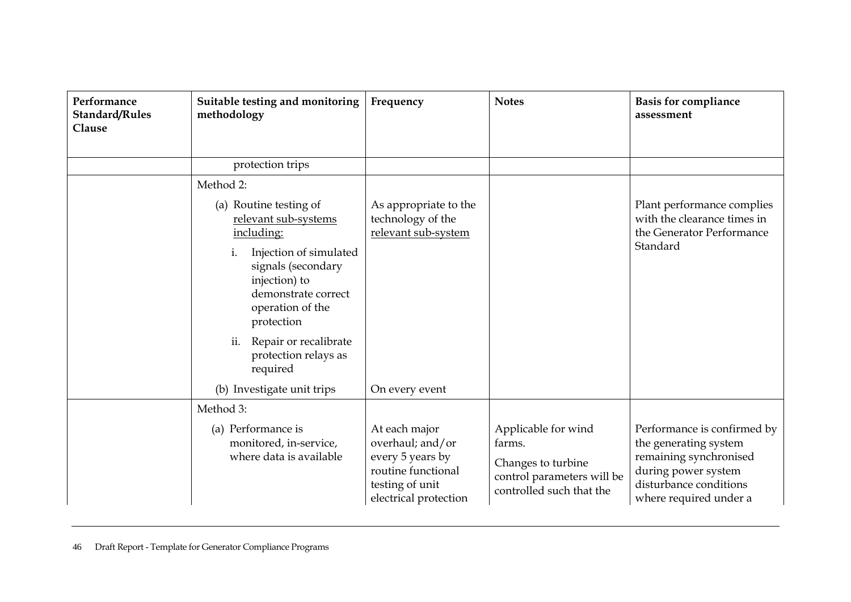| Performance<br>Standard/Rules<br>Clause | Suitable testing and monitoring<br>methodology                                                                                                                                               | Frequency                                                                                                               | <b>Notes</b>                                                                                                  | <b>Basis for compliance</b><br>assessment                                                                                                                 |
|-----------------------------------------|----------------------------------------------------------------------------------------------------------------------------------------------------------------------------------------------|-------------------------------------------------------------------------------------------------------------------------|---------------------------------------------------------------------------------------------------------------|-----------------------------------------------------------------------------------------------------------------------------------------------------------|
|                                         | protection trips                                                                                                                                                                             |                                                                                                                         |                                                                                                               |                                                                                                                                                           |
|                                         | Method 2:                                                                                                                                                                                    |                                                                                                                         |                                                                                                               |                                                                                                                                                           |
|                                         | (a) Routine testing of<br>relevant sub-systems<br>including:<br>Injection of simulated<br>i.<br>signals (secondary<br>injection) to<br>demonstrate correct<br>operation of the<br>protection | As appropriate to the<br>technology of the<br>relevant sub-system                                                       |                                                                                                               | Plant performance complies<br>with the clearance times in<br>the Generator Performance<br>Standard                                                        |
|                                         | Repair or recalibrate<br>ii.<br>protection relays as<br>required                                                                                                                             |                                                                                                                         |                                                                                                               |                                                                                                                                                           |
|                                         | (b) Investigate unit trips                                                                                                                                                                   | On every event                                                                                                          |                                                                                                               |                                                                                                                                                           |
|                                         | Method 3:                                                                                                                                                                                    |                                                                                                                         |                                                                                                               |                                                                                                                                                           |
|                                         | (a) Performance is<br>monitored, in-service,<br>where data is available                                                                                                                      | At each major<br>overhaul; and/or<br>every 5 years by<br>routine functional<br>testing of unit<br>electrical protection | Applicable for wind<br>farms.<br>Changes to turbine<br>control parameters will be<br>controlled such that the | Performance is confirmed by<br>the generating system<br>remaining synchronised<br>during power system<br>disturbance conditions<br>where required under a |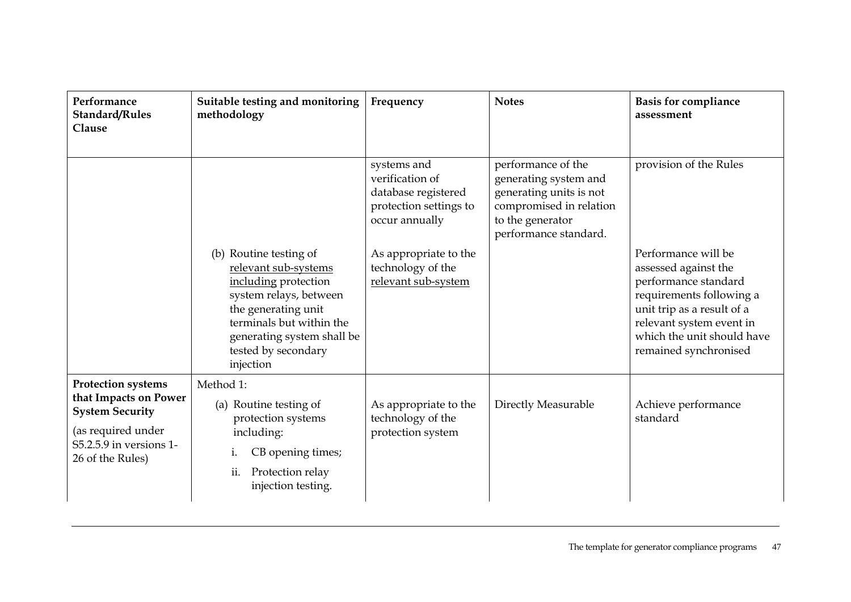| Performance<br>Standard/Rules<br>Clause                                                                                                           | Suitable testing and monitoring<br>methodology                                                                                                                                                                        | Frequency                                                                                         | <b>Notes</b>                                                                                                                                   | <b>Basis for compliance</b><br>assessment                                                                                                                                                                        |
|---------------------------------------------------------------------------------------------------------------------------------------------------|-----------------------------------------------------------------------------------------------------------------------------------------------------------------------------------------------------------------------|---------------------------------------------------------------------------------------------------|------------------------------------------------------------------------------------------------------------------------------------------------|------------------------------------------------------------------------------------------------------------------------------------------------------------------------------------------------------------------|
|                                                                                                                                                   |                                                                                                                                                                                                                       | systems and<br>verification of<br>database registered<br>protection settings to<br>occur annually | performance of the<br>generating system and<br>generating units is not<br>compromised in relation<br>to the generator<br>performance standard. | provision of the Rules                                                                                                                                                                                           |
|                                                                                                                                                   | (b) Routine testing of<br>relevant sub-systems<br>including protection<br>system relays, between<br>the generating unit<br>terminals but within the<br>generating system shall be<br>tested by secondary<br>injection | As appropriate to the<br>technology of the<br>relevant sub-system                                 |                                                                                                                                                | Performance will be<br>assessed against the<br>performance standard<br>requirements following a<br>unit trip as a result of a<br>relevant system event in<br>which the unit should have<br>remained synchronised |
| <b>Protection systems</b><br>that Impacts on Power<br><b>System Security</b><br>(as required under<br>S5.2.5.9 in versions 1-<br>26 of the Rules) | Method 1:<br>(a) Routine testing of<br>protection systems<br>including:<br>CB opening times;<br>ii.<br>Protection relay<br>injection testing.                                                                         | As appropriate to the<br>technology of the<br>protection system                                   | Directly Measurable                                                                                                                            | Achieve performance<br>standard                                                                                                                                                                                  |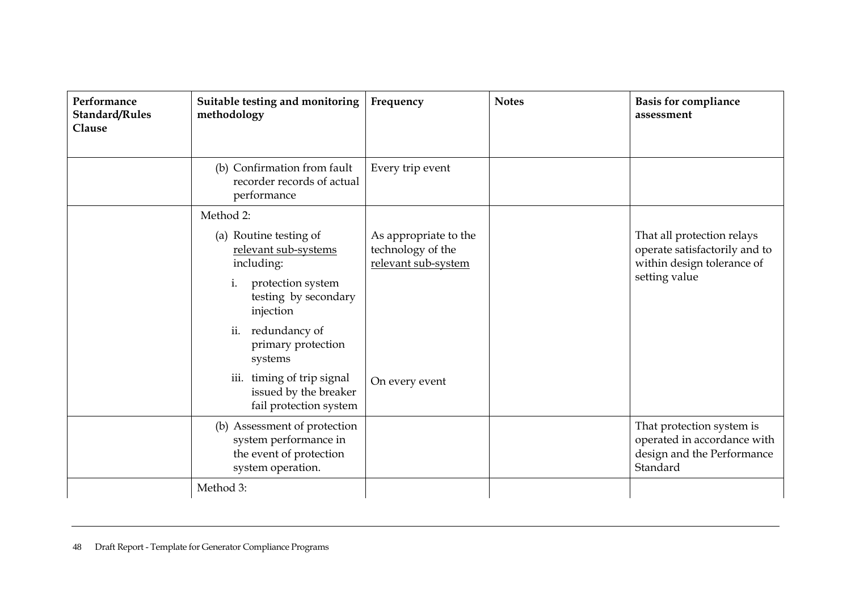| Performance<br>Standard/Rules<br>Clause | Suitable testing and monitoring<br>methodology                                                        | Frequency                                                         | <b>Notes</b> | <b>Basis for compliance</b><br>assessment                                                          |
|-----------------------------------------|-------------------------------------------------------------------------------------------------------|-------------------------------------------------------------------|--------------|----------------------------------------------------------------------------------------------------|
|                                         | (b) Confirmation from fault<br>recorder records of actual<br>performance                              | Every trip event                                                  |              |                                                                                                    |
|                                         | Method 2:                                                                                             |                                                                   |              |                                                                                                    |
|                                         | (a) Routine testing of<br>relevant sub-systems<br>including:                                          | As appropriate to the<br>technology of the<br>relevant sub-system |              | That all protection relays<br>operate satisfactorily and to<br>within design tolerance of          |
|                                         | protection system<br>i.<br>testing by secondary<br>injection                                          |                                                                   |              | setting value                                                                                      |
|                                         | ii. redundancy of<br>primary protection<br>systems                                                    |                                                                   |              |                                                                                                    |
|                                         | iii. timing of trip signal<br>issued by the breaker<br>fail protection system                         | On every event                                                    |              |                                                                                                    |
|                                         | (b) Assessment of protection<br>system performance in<br>the event of protection<br>system operation. |                                                                   |              | That protection system is<br>operated in accordance with<br>design and the Performance<br>Standard |
|                                         | Method 3:                                                                                             |                                                                   |              |                                                                                                    |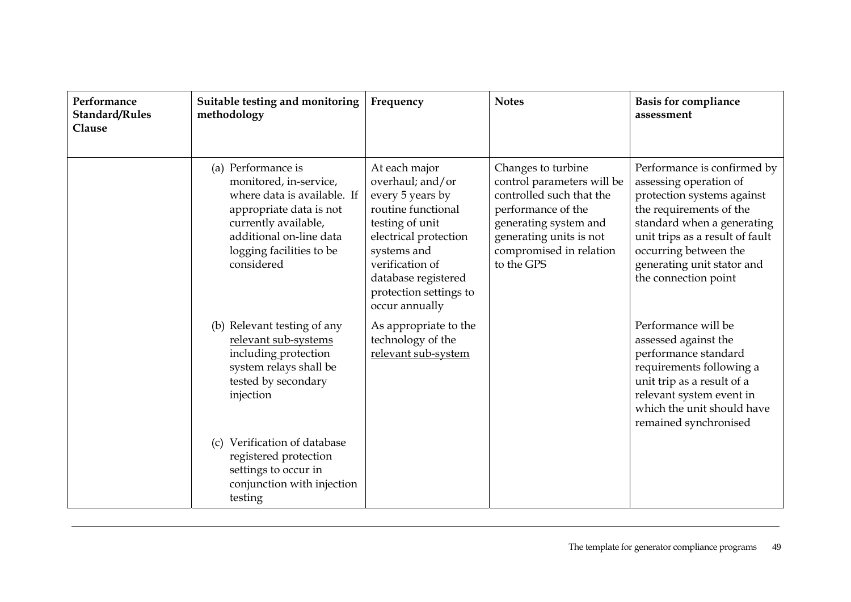| Performance<br>Standard/Rules<br>Clause | Suitable testing and monitoring<br>methodology                                                                                                                                                                                                                      | Frequency                                                                                                                                                                                                                    | <b>Notes</b>                                                                                                                                                                                    | <b>Basis for compliance</b><br>assessment                                                                                                                                                                                                                      |
|-----------------------------------------|---------------------------------------------------------------------------------------------------------------------------------------------------------------------------------------------------------------------------------------------------------------------|------------------------------------------------------------------------------------------------------------------------------------------------------------------------------------------------------------------------------|-------------------------------------------------------------------------------------------------------------------------------------------------------------------------------------------------|----------------------------------------------------------------------------------------------------------------------------------------------------------------------------------------------------------------------------------------------------------------|
|                                         | (a) Performance is<br>monitored, in-service,<br>where data is available. If<br>appropriate data is not<br>currently available,<br>additional on-line data<br>logging facilities to be<br>considered                                                                 | At each major<br>overhaul; and/or<br>every 5 years by<br>routine functional<br>testing of unit<br>electrical protection<br>systems and<br>verification of<br>database registered<br>protection settings to<br>occur annually | Changes to turbine<br>control parameters will be<br>controlled such that the<br>performance of the<br>generating system and<br>generating units is not<br>compromised in relation<br>to the GPS | Performance is confirmed by<br>assessing operation of<br>protection systems against<br>the requirements of the<br>standard when a generating<br>unit trips as a result of fault<br>occurring between the<br>generating unit stator and<br>the connection point |
|                                         | (b) Relevant testing of any<br>relevant sub-systems<br>including protection<br>system relays shall be<br>tested by secondary<br>injection<br>(c) Verification of database<br>registered protection<br>settings to occur in<br>conjunction with injection<br>testing | As appropriate to the<br>technology of the<br>relevant sub-system                                                                                                                                                            |                                                                                                                                                                                                 | Performance will be<br>assessed against the<br>performance standard<br>requirements following a<br>unit trip as a result of a<br>relevant system event in<br>which the unit should have<br>remained synchronised                                               |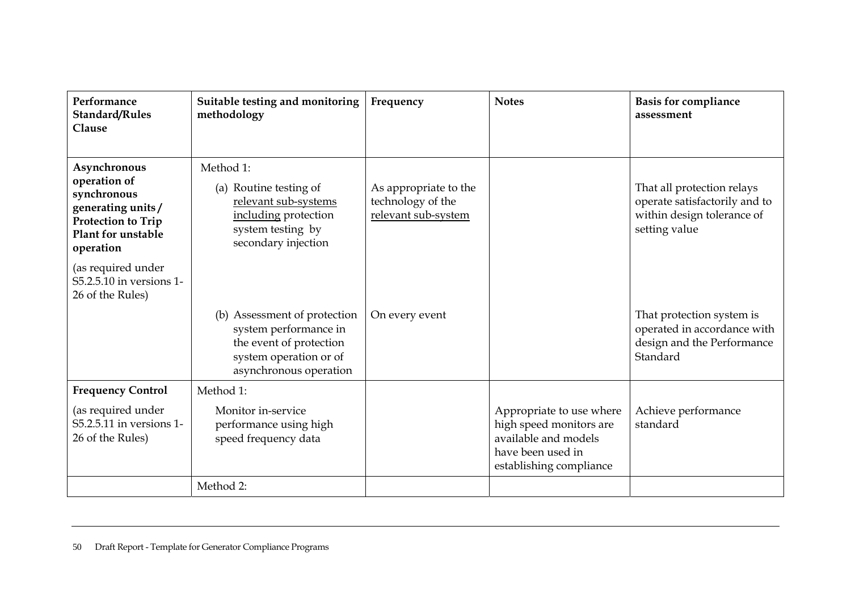| Performance<br><b>Standard/Rules</b><br>Clause                                                                                   | Suitable testing and monitoring<br>methodology                                                                                       | Frequency                                                         | <b>Notes</b>                                                                                                                | <b>Basis for compliance</b><br>assessment                                                                  |
|----------------------------------------------------------------------------------------------------------------------------------|--------------------------------------------------------------------------------------------------------------------------------------|-------------------------------------------------------------------|-----------------------------------------------------------------------------------------------------------------------------|------------------------------------------------------------------------------------------------------------|
| Asynchronous<br>operation of<br>synchronous<br>generating units/<br>Protection to Trip<br><b>Plant for unstable</b><br>operation | Method 1:<br>(a) Routine testing of<br>relevant sub-systems<br>including protection<br>system testing by<br>secondary injection      | As appropriate to the<br>technology of the<br>relevant sub-system |                                                                                                                             | That all protection relays<br>operate satisfactorily and to<br>within design tolerance of<br>setting value |
| (as required under<br>S5.2.5.10 in versions 1-<br>26 of the Rules)                                                               |                                                                                                                                      |                                                                   |                                                                                                                             |                                                                                                            |
|                                                                                                                                  | (b) Assessment of protection<br>system performance in<br>the event of protection<br>system operation or of<br>asynchronous operation | On every event                                                    |                                                                                                                             | That protection system is<br>operated in accordance with<br>design and the Performance<br>Standard         |
| <b>Frequency Control</b>                                                                                                         | Method 1:                                                                                                                            |                                                                   |                                                                                                                             |                                                                                                            |
| (as required under<br>S5.2.5.11 in versions 1-<br>26 of the Rules)                                                               | Monitor in-service<br>performance using high<br>speed frequency data                                                                 |                                                                   | Appropriate to use where<br>high speed monitors are<br>available and models<br>have been used in<br>establishing compliance | Achieve performance<br>standard                                                                            |
|                                                                                                                                  | Method 2:                                                                                                                            |                                                                   |                                                                                                                             |                                                                                                            |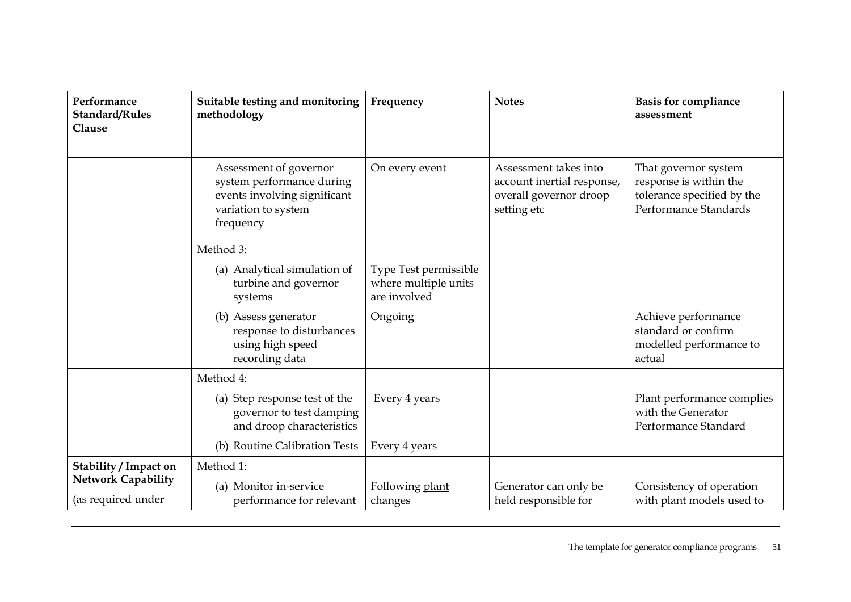| Performance<br><b>Standard/Rules</b><br>Clause | Suitable testing and monitoring<br>methodology                                                                          | Frequency                                                     | <b>Notes</b>                                                                                 | <b>Basis for compliance</b><br>assessment                                                             |
|------------------------------------------------|-------------------------------------------------------------------------------------------------------------------------|---------------------------------------------------------------|----------------------------------------------------------------------------------------------|-------------------------------------------------------------------------------------------------------|
|                                                | Assessment of governor<br>system performance during<br>events involving significant<br>variation to system<br>frequency | On every event                                                | Assessment takes into<br>account inertial response,<br>overall governor droop<br>setting etc | That governor system<br>response is within the<br>tolerance specified by the<br>Performance Standards |
|                                                | Method 3:<br>(a) Analytical simulation of<br>turbine and governor<br>systems                                            | Type Test permissible<br>where multiple units<br>are involved |                                                                                              |                                                                                                       |
|                                                | (b) Assess generator<br>response to disturbances<br>using high speed<br>recording data                                  | Ongoing                                                       |                                                                                              | Achieve performance<br>standard or confirm<br>modelled performance to<br>actual                       |
|                                                | Method 4:                                                                                                               |                                                               |                                                                                              |                                                                                                       |
|                                                | (a) Step response test of the<br>governor to test damping<br>and droop characteristics                                  | Every 4 years                                                 |                                                                                              | Plant performance complies<br>with the Generator<br>Performance Standard                              |
|                                                | (b) Routine Calibration Tests                                                                                           | Every 4 years                                                 |                                                                                              |                                                                                                       |
| Stability / Impact on                          | Method 1:                                                                                                               |                                                               |                                                                                              |                                                                                                       |
| <b>Network Capability</b>                      | (a) Monitor in-service                                                                                                  | Following plant                                               | Generator can only be                                                                        | Consistency of operation                                                                              |
| (as required under                             | performance for relevant                                                                                                | changes                                                       | held responsible for                                                                         | with plant models used to                                                                             |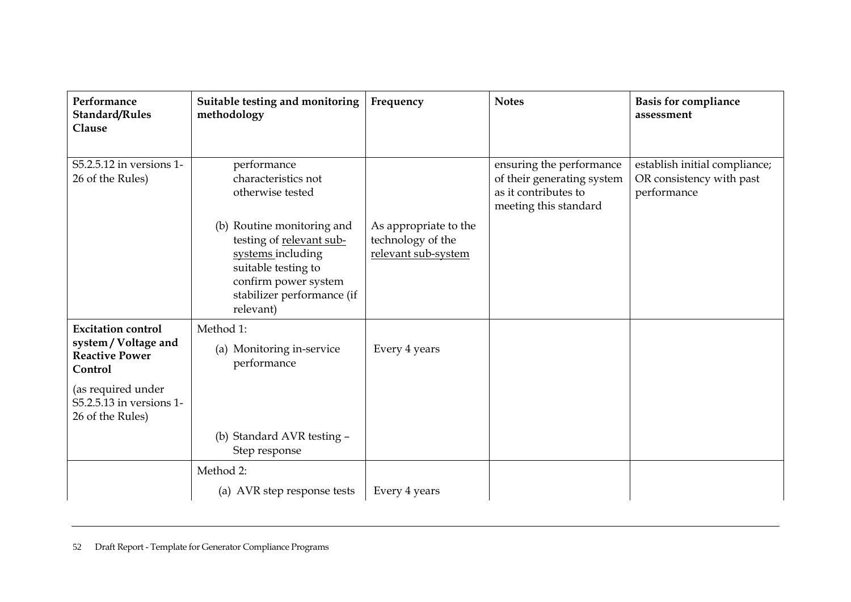| Performance<br>Standard/Rules<br>Clause                                               | Suitable testing and monitoring<br>methodology                                                                                                                        | Frequency                                                         | <b>Notes</b>                                                                                            | <b>Basis for compliance</b><br>assessment                                |
|---------------------------------------------------------------------------------------|-----------------------------------------------------------------------------------------------------------------------------------------------------------------------|-------------------------------------------------------------------|---------------------------------------------------------------------------------------------------------|--------------------------------------------------------------------------|
| S5.2.5.12 in versions 1-<br>26 of the Rules)                                          | performance<br>characteristics not<br>otherwise tested                                                                                                                |                                                                   | ensuring the performance<br>of their generating system<br>as it contributes to<br>meeting this standard | establish initial compliance;<br>OR consistency with past<br>performance |
|                                                                                       | (b) Routine monitoring and<br>testing of relevant sub-<br>systems including<br>suitable testing to<br>confirm power system<br>stabilizer performance (if<br>relevant) | As appropriate to the<br>technology of the<br>relevant sub-system |                                                                                                         |                                                                          |
| <b>Excitation control</b><br>system / Voltage and<br><b>Reactive Power</b><br>Control | Method 1:<br>(a) Monitoring in-service<br>performance                                                                                                                 | Every 4 years                                                     |                                                                                                         |                                                                          |
| (as required under<br>S5.2.5.13 in versions 1-<br>26 of the Rules)                    |                                                                                                                                                                       |                                                                   |                                                                                                         |                                                                          |
|                                                                                       | (b) Standard AVR testing -<br>Step response                                                                                                                           |                                                                   |                                                                                                         |                                                                          |
|                                                                                       | Method 2:                                                                                                                                                             |                                                                   |                                                                                                         |                                                                          |
|                                                                                       | AVR step response tests<br>(a)                                                                                                                                        | Every 4 years                                                     |                                                                                                         |                                                                          |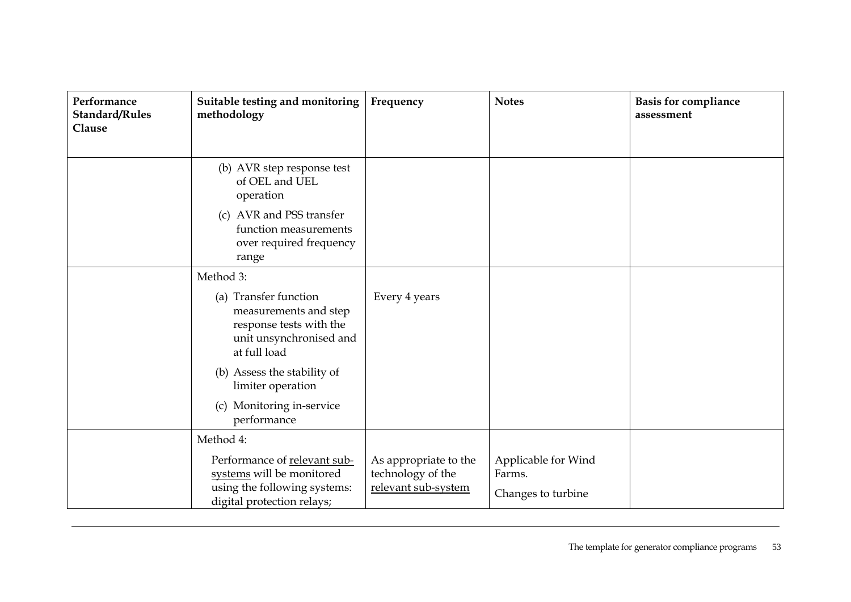| Performance<br>Standard/Rules<br>Clause | Suitable testing and monitoring<br>methodology                                                                       | Frequency                                                         | <b>Notes</b>                  | <b>Basis for compliance</b><br>assessment |
|-----------------------------------------|----------------------------------------------------------------------------------------------------------------------|-------------------------------------------------------------------|-------------------------------|-------------------------------------------|
|                                         | (b) AVR step response test<br>of OEL and UEL<br>operation                                                            |                                                                   |                               |                                           |
|                                         | (c) AVR and PSS transfer<br>function measurements<br>over required frequency<br>range                                |                                                                   |                               |                                           |
|                                         | Method 3:                                                                                                            |                                                                   |                               |                                           |
|                                         | (a) Transfer function<br>measurements and step<br>response tests with the<br>unit unsynchronised and<br>at full load | Every 4 years                                                     |                               |                                           |
|                                         | (b) Assess the stability of<br>limiter operation                                                                     |                                                                   |                               |                                           |
|                                         | (c) Monitoring in-service<br>performance                                                                             |                                                                   |                               |                                           |
|                                         | Method 4:                                                                                                            |                                                                   |                               |                                           |
|                                         | Performance of relevant sub-<br>systems will be monitored<br>using the following systems:                            | As appropriate to the<br>technology of the<br>relevant sub-system | Applicable for Wind<br>Farms. |                                           |
|                                         | digital protection relays;                                                                                           |                                                                   | Changes to turbine            |                                           |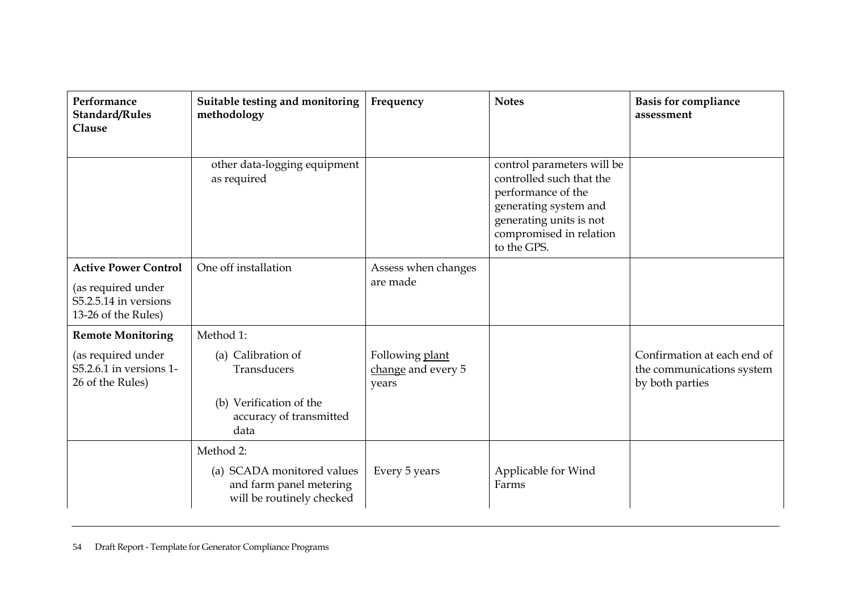| Performance<br>Standard/Rules<br>Clause                            | Suitable testing and monitoring<br>methodology                                          | Frequency                                      | <b>Notes</b>                                                                                                                                                               | <b>Basis for compliance</b><br>assessment                                   |
|--------------------------------------------------------------------|-----------------------------------------------------------------------------------------|------------------------------------------------|----------------------------------------------------------------------------------------------------------------------------------------------------------------------------|-----------------------------------------------------------------------------|
|                                                                    | other data-logging equipment<br>as required                                             |                                                | control parameters will be<br>controlled such that the<br>performance of the<br>generating system and<br>generating units is not<br>compromised in relation<br>to the GPS. |                                                                             |
| <b>Active Power Control</b>                                        | One off installation                                                                    | Assess when changes                            |                                                                                                                                                                            |                                                                             |
| (as required under<br>S5.2.5.14 in versions<br>13-26 of the Rules) |                                                                                         | are made                                       |                                                                                                                                                                            |                                                                             |
| <b>Remote Monitoring</b>                                           | Method 1:                                                                               |                                                |                                                                                                                                                                            |                                                                             |
| (as required under<br>S5.2.6.1 in versions 1-<br>26 of the Rules)  | (a) Calibration of<br>Transducers<br>(b) Verification of the<br>accuracy of transmitted | Following plant<br>change and every 5<br>years |                                                                                                                                                                            | Confirmation at each end of<br>the communications system<br>by both parties |
|                                                                    | data<br>Method 2:                                                                       |                                                |                                                                                                                                                                            |                                                                             |
|                                                                    | (a) SCADA monitored values<br>and farm panel metering<br>will be routinely checked      | Every 5 years                                  | Applicable for Wind<br>Farms                                                                                                                                               |                                                                             |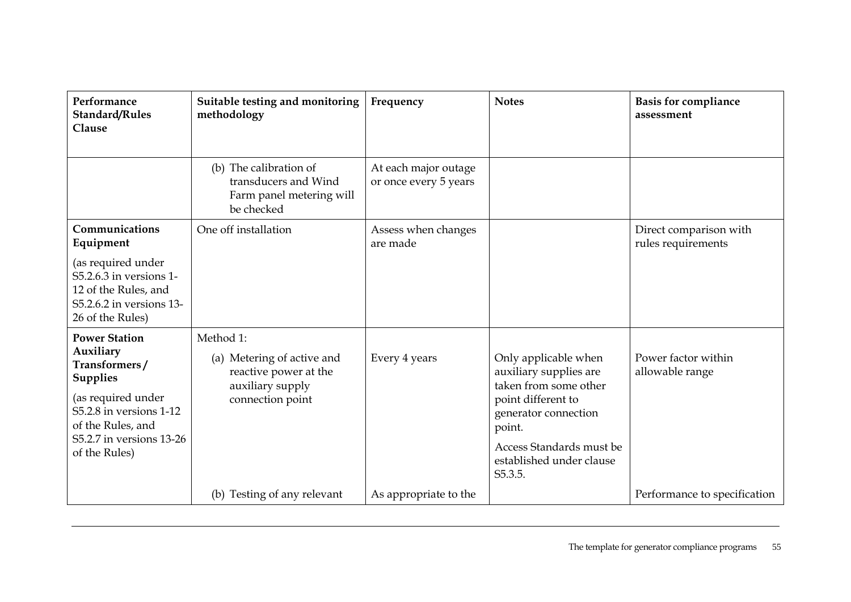| Performance<br><b>Standard/Rules</b><br>Clause                                                                                                                                                  | Suitable testing and monitoring<br>methodology                                                           | Frequency                                     | <b>Notes</b>                                                                                                                                                                                       | <b>Basis for compliance</b><br>assessment    |
|-------------------------------------------------------------------------------------------------------------------------------------------------------------------------------------------------|----------------------------------------------------------------------------------------------------------|-----------------------------------------------|----------------------------------------------------------------------------------------------------------------------------------------------------------------------------------------------------|----------------------------------------------|
|                                                                                                                                                                                                 | (b) The calibration of<br>transducers and Wind<br>Farm panel metering will<br>be checked                 | At each major outage<br>or once every 5 years |                                                                                                                                                                                                    |                                              |
| Communications<br>Equipment                                                                                                                                                                     | One off installation                                                                                     | Assess when changes<br>are made               |                                                                                                                                                                                                    | Direct comparison with<br>rules requirements |
| (as required under<br>S5.2.6.3 in versions 1-<br>12 of the Rules, and<br>S5.2.6.2 in versions 13-<br>26 of the Rules)                                                                           |                                                                                                          |                                               |                                                                                                                                                                                                    |                                              |
| <b>Power Station</b><br><b>Auxiliary</b><br>Transformers/<br><b>Supplies</b><br>(as required under<br>S5.2.8 in versions 1-12<br>of the Rules, and<br>S5.2.7 in versions 13-26<br>of the Rules) | Method 1:<br>(a) Metering of active and<br>reactive power at the<br>auxiliary supply<br>connection point | Every 4 years                                 | Only applicable when<br>auxiliary supplies are<br>taken from some other<br>point different to<br>generator connection<br>point.<br>Access Standards must be<br>established under clause<br>S5.3.5. | Power factor within<br>allowable range       |
|                                                                                                                                                                                                 | (b) Testing of any relevant                                                                              | As appropriate to the                         |                                                                                                                                                                                                    | Performance to specification                 |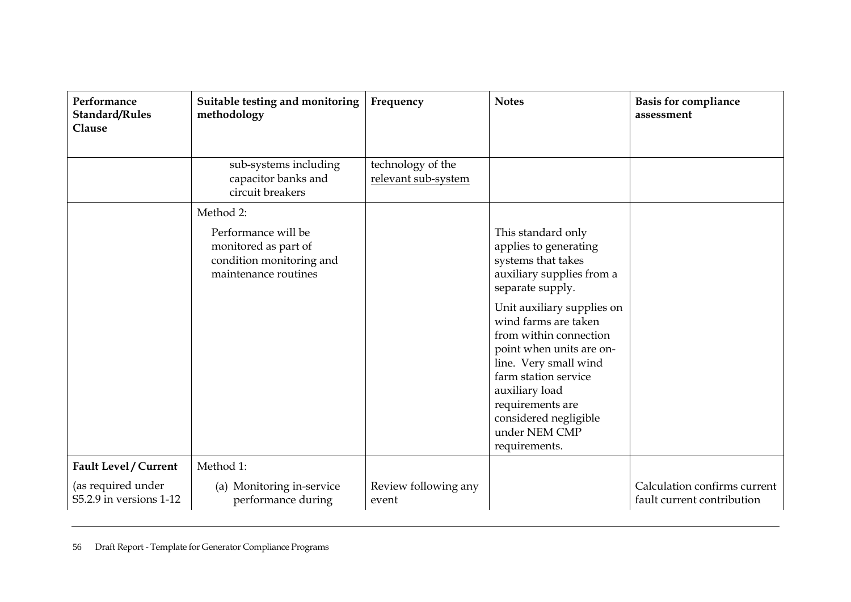| Performance<br>Standard/Rules<br>Clause       | Suitable testing and monitoring<br>methodology                                                               | Frequency                                | <b>Notes</b>                                                                                                                                                                                                                                                                                                                                                                     | <b>Basis for compliance</b><br>assessment                  |
|-----------------------------------------------|--------------------------------------------------------------------------------------------------------------|------------------------------------------|----------------------------------------------------------------------------------------------------------------------------------------------------------------------------------------------------------------------------------------------------------------------------------------------------------------------------------------------------------------------------------|------------------------------------------------------------|
|                                               | sub-systems including<br>capacitor banks and<br>circuit breakers                                             | technology of the<br>relevant sub-system |                                                                                                                                                                                                                                                                                                                                                                                  |                                                            |
|                                               | Method 2:<br>Performance will be<br>monitored as part of<br>condition monitoring and<br>maintenance routines |                                          | This standard only<br>applies to generating<br>systems that takes<br>auxiliary supplies from a<br>separate supply.<br>Unit auxiliary supplies on<br>wind farms are taken<br>from within connection<br>point when units are on-<br>line. Very small wind<br>farm station service<br>auxiliary load<br>requirements are<br>considered negligible<br>under NEM CMP<br>requirements. |                                                            |
| Fault Level / Current                         | Method 1:                                                                                                    |                                          |                                                                                                                                                                                                                                                                                                                                                                                  |                                                            |
| (as required under<br>S5.2.9 in versions 1-12 | (a) Monitoring in-service<br>performance during                                                              | Review following any<br>event            |                                                                                                                                                                                                                                                                                                                                                                                  | Calculation confirms current<br>fault current contribution |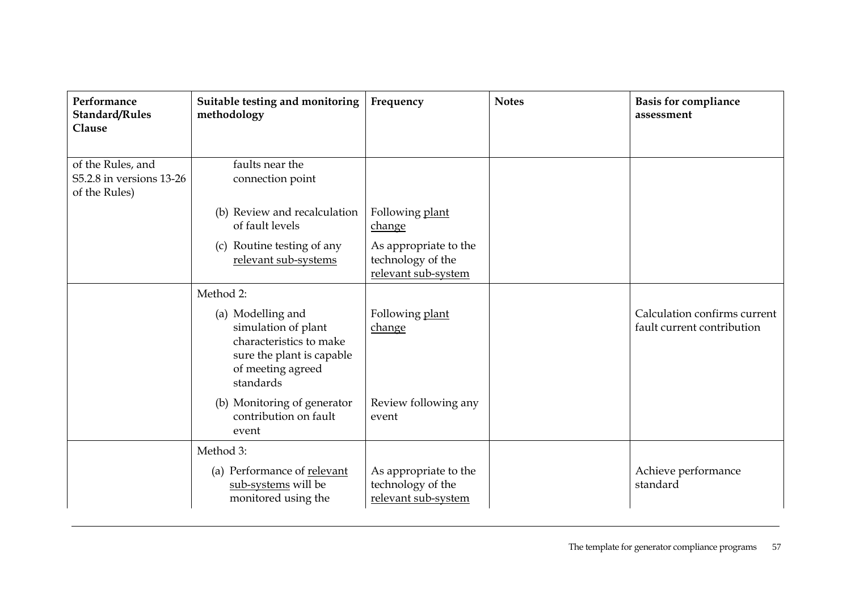| Performance<br>Standard/Rules<br>Clause                        | Suitable testing and monitoring<br>methodology                                                                                     | Frequency                                                         | <b>Notes</b> | <b>Basis for compliance</b><br>assessment                  |
|----------------------------------------------------------------|------------------------------------------------------------------------------------------------------------------------------------|-------------------------------------------------------------------|--------------|------------------------------------------------------------|
| of the Rules, and<br>S5.2.8 in versions 13-26<br>of the Rules) | faults near the<br>connection point                                                                                                |                                                                   |              |                                                            |
|                                                                | (b) Review and recalculation<br>of fault levels                                                                                    | Following plant<br>change                                         |              |                                                            |
|                                                                | (c) Routine testing of any<br>relevant sub-systems                                                                                 | As appropriate to the<br>technology of the<br>relevant sub-system |              |                                                            |
|                                                                | Method 2:                                                                                                                          |                                                                   |              |                                                            |
|                                                                | (a) Modelling and<br>simulation of plant<br>characteristics to make<br>sure the plant is capable<br>of meeting agreed<br>standards | Following plant<br>change                                         |              | Calculation confirms current<br>fault current contribution |
|                                                                | (b) Monitoring of generator<br>contribution on fault<br>event                                                                      | Review following any<br>event                                     |              |                                                            |
|                                                                | Method 3:                                                                                                                          |                                                                   |              |                                                            |
|                                                                | (a) Performance of relevant<br>sub-systems will be<br>monitored using the                                                          | As appropriate to the<br>technology of the<br>relevant sub-system |              | Achieve performance<br>standard                            |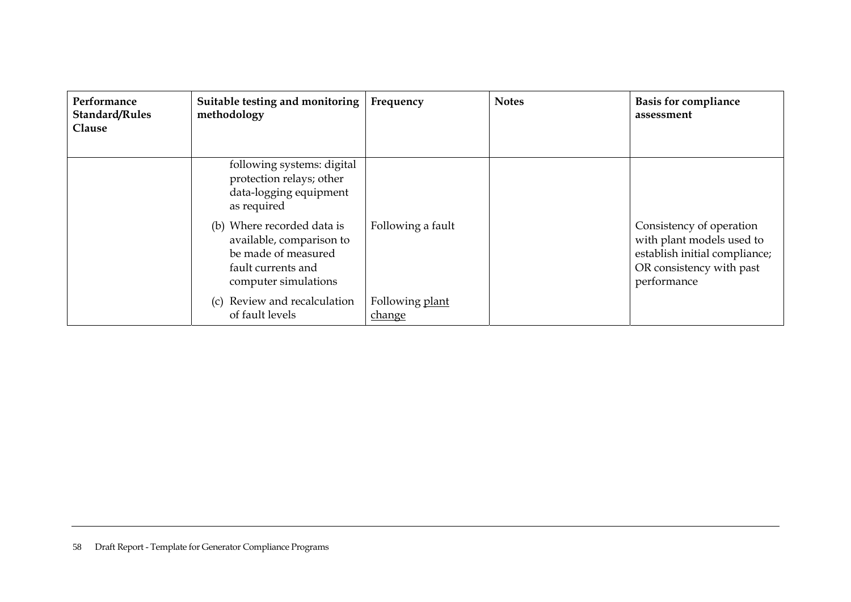| Performance<br><b>Standard/Rules</b><br>Clause | Suitable testing and monitoring<br>methodology                                                                              | Frequency                 | <b>Notes</b> | <b>Basis for compliance</b><br>assessment                                                                                         |
|------------------------------------------------|-----------------------------------------------------------------------------------------------------------------------------|---------------------------|--------------|-----------------------------------------------------------------------------------------------------------------------------------|
|                                                | following systems: digital<br>protection relays; other<br>data-logging equipment<br>as required                             |                           |              |                                                                                                                                   |
|                                                | (b) Where recorded data is<br>available, comparison to<br>be made of measured<br>fault currents and<br>computer simulations | Following a fault         |              | Consistency of operation<br>with plant models used to<br>establish initial compliance;<br>OR consistency with past<br>performance |
|                                                | (c) Review and recalculation<br>of fault levels                                                                             | Following plant<br>change |              |                                                                                                                                   |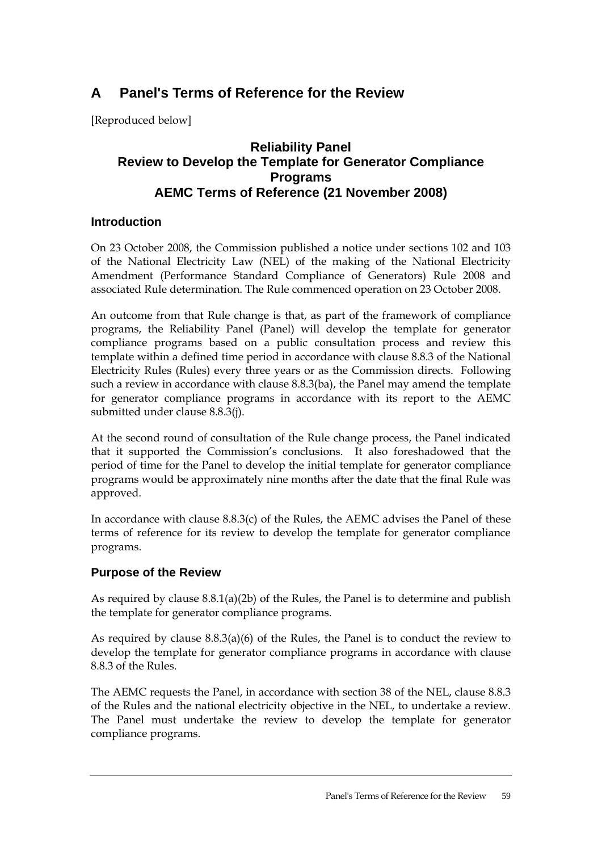# **A Panel's Terms of Reference for the Review**

[Reproduced below]

### **Reliability Panel Review to Develop the Template for Generator Compliance Programs AEMC Terms of Reference (21 November 2008)**

#### **Introduction**

On 23 October 2008, the Commission published a notice under sections 102 and 103 of the National Electricity Law (NEL) of the making of the National Electricity Amendment (Performance Standard Compliance of Generators) Rule 2008 and associated Rule determination. The Rule commenced operation on 23 October 2008.

An outcome from that Rule change is that, as part of the framework of compliance programs, the Reliability Panel (Panel) will develop the template for generator compliance programs based on a public consultation process and review this template within a defined time period in accordance with clause 8.8.3 of the National Electricity Rules (Rules) every three years or as the Commission directs. Following such a review in accordance with clause 8.8.3(ba), the Panel may amend the template for generator compliance programs in accordance with its report to the AEMC submitted under clause 8.8.3(j).

At the second round of consultation of the Rule change process, the Panel indicated that it supported the Commission's conclusions. It also foreshadowed that the period of time for the Panel to develop the initial template for generator compliance programs would be approximately nine months after the date that the final Rule was approved.

In accordance with clause 8.8.3(c) of the Rules, the AEMC advises the Panel of these terms of reference for its review to develop the template for generator compliance programs.

#### **Purpose of the Review**

As required by clause 8.8.1(a)(2b) of the Rules, the Panel is to determine and publish the template for generator compliance programs.

As required by clause 8.8.3(a)(6) of the Rules, the Panel is to conduct the review to develop the template for generator compliance programs in accordance with clause 8.8.3 of the Rules.

The AEMC requests the Panel, in accordance with section 38 of the NEL, clause 8.8.3 of the Rules and the national electricity objective in the NEL, to undertake a review. The Panel must undertake the review to develop the template for generator compliance programs.